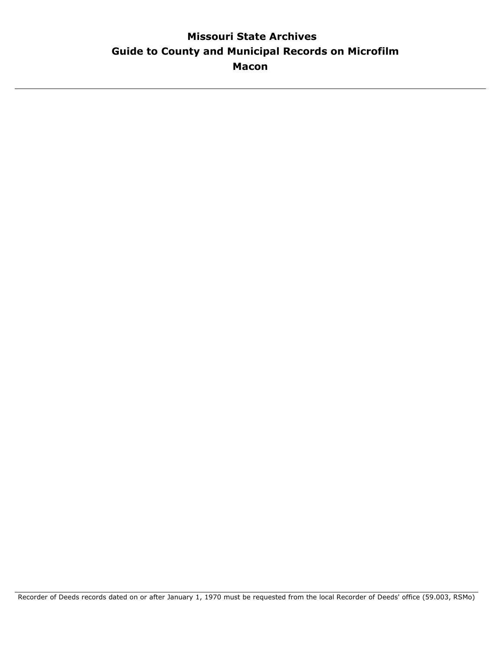# **Guide to County and Municipal Records on Microfilm Missouri State Archives Macon**

Recorder of Deeds records dated on or after January 1, 1970 must be requested from the local Recorder of Deeds' office (59.003, RSMo)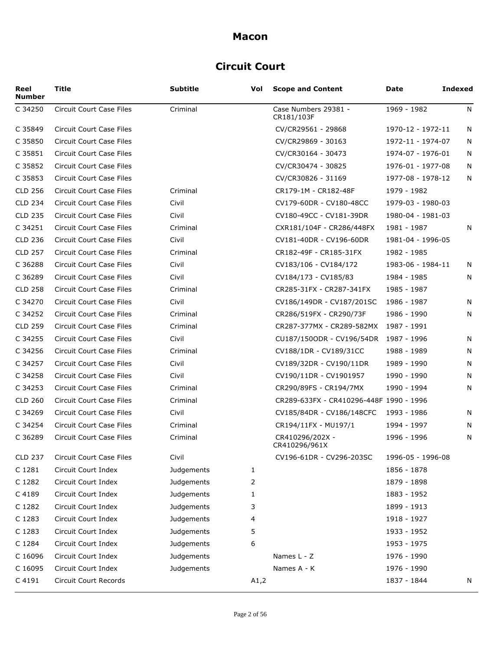# **Circuit Court**

| Reel<br><b>Number</b> | <b>Title</b>                    | Subtitle   | Vol  | <b>Scope and Content</b>                | Date              | <b>Indexed</b> |
|-----------------------|---------------------------------|------------|------|-----------------------------------------|-------------------|----------------|
| C 34250               | Circuit Court Case Files        | Criminal   |      | Case Numbers 29381 -<br>CR181/103F      | 1969 - 1982       | N              |
| C 35849               | <b>Circuit Court Case Files</b> |            |      | CV/CR29561 - 29868                      | 1970-12 - 1972-11 | N              |
| C 35850               | <b>Circuit Court Case Files</b> |            |      | CV/CR29869 - 30163                      | 1972-11 - 1974-07 | N              |
| C 35851               | <b>Circuit Court Case Files</b> |            |      | CV/CR30164 - 30473                      | 1974-07 - 1976-01 | N              |
| C 35852               | <b>Circuit Court Case Files</b> |            |      | CV/CR30474 - 30825                      | 1976-01 - 1977-08 | N              |
| C 35853               | Circuit Court Case Files        |            |      | CV/CR30826 - 31169                      | 1977-08 - 1978-12 | N              |
| <b>CLD 256</b>        | Circuit Court Case Files        | Criminal   |      | CR179-1M - CR182-48F                    | 1979 - 1982       |                |
| <b>CLD 234</b>        | <b>Circuit Court Case Files</b> | Civil      |      | CV179-60DR - CV180-48CC                 | 1979-03 - 1980-03 |                |
| <b>CLD 235</b>        | Circuit Court Case Files        | Civil      |      | CV180-49CC - CV181-39DR                 | 1980-04 - 1981-03 |                |
| C 34251               | Circuit Court Case Files        | Criminal   |      | CXR181/104F - CR286/448FX               | 1981 - 1987       | N              |
| <b>CLD 236</b>        | Circuit Court Case Files        | Civil      |      | CV181-40DR - CV196-60DR                 | 1981-04 - 1996-05 |                |
| <b>CLD 257</b>        | <b>Circuit Court Case Files</b> | Criminal   |      | CR182-49F - CR185-31FX                  | 1982 - 1985       |                |
| C 36288               | <b>Circuit Court Case Files</b> | Civil      |      | CV183/106 - CV184/172                   | 1983-06 - 1984-11 | N              |
| C 36289               | Circuit Court Case Files        | Civil      |      | CV184/173 - CV185/83                    | 1984 - 1985       | N              |
| <b>CLD 258</b>        | Circuit Court Case Files        | Criminal   |      | CR285-31FX - CR287-341FX                | 1985 - 1987       |                |
| C 34270               | Circuit Court Case Files        | Civil      |      | CV186/149DR - CV187/201SC               | 1986 - 1987       | N              |
| C 34252               | Circuit Court Case Files        | Criminal   |      | CR286/519FX - CR290/73F                 | 1986 - 1990       | N              |
| <b>CLD 259</b>        | Circuit Court Case Files        | Criminal   |      | CR287-377MX - CR289-582MX               | 1987 - 1991       |                |
| C 34255               | Circuit Court Case Files        | Civil      |      | CU187/150ODR - CV196/54DR               | 1987 - 1996       | N              |
| C 34256               | Circuit Court Case Files        | Criminal   |      | CV188/1DR - CV189/31CC                  | 1988 - 1989       | N              |
| C 34257               | Circuit Court Case Files        | Civil      |      | CV189/32DR - CV190/11DR                 | 1989 - 1990       | N              |
| C 34258               | Circuit Court Case Files        | Civil      |      | CV190/11DR - CV1901957                  | 1990 - 1990       | N              |
| C 34253               | Circuit Court Case Files        | Criminal   |      | CR290/89FS - CR194/7MX                  | 1990 - 1994       | N              |
| <b>CLD 260</b>        | Circuit Court Case Files        | Criminal   |      | CR289-633FX - CR410296-448F 1990 - 1996 |                   |                |
| C 34269               | Circuit Court Case Files        | Civil      |      | CV185/84DR - CV186/148CFC               | 1993 - 1986       | N              |
| C 34254               | Circuit Court Case Files        | Criminal   |      | CR194/11FX - MU197/1                    | 1994 - 1997       | N              |
| C 36289               | Circuit Court Case Files        | Criminal   |      | CR410296/202X -<br>CR410296/961X        | 1996 - 1996       | N              |
| <b>CLD 237</b>        | Circuit Court Case Files        | Civil      |      | CV196-61DR - CV296-203SC                | 1996-05 - 1996-08 |                |
| C 1281                | Circuit Court Index             | Judgements | 1    |                                         | 1856 - 1878       |                |
| C 1282                | Circuit Court Index             | Judgements | 2    |                                         | 1879 - 1898       |                |
| C 4189                | Circuit Court Index             | Judgements | 1    |                                         | 1883 - 1952       |                |
| C 1282                | Circuit Court Index             | Judgements | 3    |                                         | 1899 - 1913       |                |
| C 1283                | Circuit Court Index             | Judgements | 4    |                                         | 1918 - 1927       |                |
| C 1283                | Circuit Court Index             | Judgements | 5    |                                         | 1933 - 1952       |                |
| C 1284                | Circuit Court Index             | Judgements | 6    |                                         | 1953 - 1975       |                |
| C 16096               | Circuit Court Index             | Judgements |      | Names L - Z                             | 1976 - 1990       |                |
| C 16095               | Circuit Court Index             | Judgements |      | Names A - K                             | 1976 - 1990       |                |
| C 4191                | Circuit Court Records           |            | A1,2 |                                         | 1837 - 1844       | N              |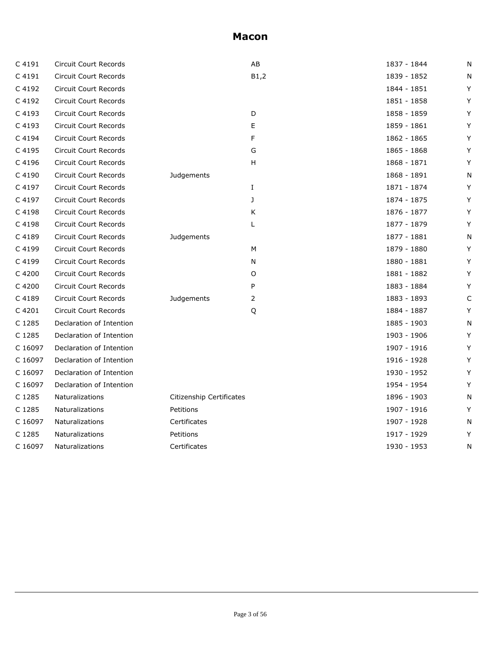| C 4191  | <b>Circuit Court Records</b> |                          | AB   | 1837 - 1844 | N |
|---------|------------------------------|--------------------------|------|-------------|---|
| C 4191  | Circuit Court Records        |                          | B1,2 | 1839 - 1852 | N |
| C 4192  | <b>Circuit Court Records</b> |                          |      | 1844 - 1851 | Y |
| C 4192  | Circuit Court Records        |                          |      | 1851 - 1858 | Y |
| C 4193  | <b>Circuit Court Records</b> |                          | D    | 1858 - 1859 | Y |
| C 4193  | Circuit Court Records        |                          | Е    | 1859 - 1861 | Y |
| C 4194  | <b>Circuit Court Records</b> |                          | F    | 1862 - 1865 | Y |
| C 4195  | Circuit Court Records        |                          | G    | 1865 - 1868 | Y |
| C 4196  | <b>Circuit Court Records</b> |                          | H.   | 1868 - 1871 | Y |
| C 4190  | Circuit Court Records        | Judgements               |      | 1868 - 1891 | N |
| C 4197  | <b>Circuit Court Records</b> |                          | Ι.   | 1871 - 1874 | Y |
| C 4197  | <b>Circuit Court Records</b> |                          | J    | 1874 - 1875 | Y |
| C 4198  | Circuit Court Records        |                          | Κ    | 1876 - 1877 | Y |
| C 4198  | <b>Circuit Court Records</b> |                          | L    | 1877 - 1879 | Y |
| C 4189  | Circuit Court Records        | Judgements               |      | 1877 - 1881 | N |
| C 4199  | <b>Circuit Court Records</b> |                          | М    | 1879 - 1880 | Y |
| C 4199  | <b>Circuit Court Records</b> |                          | N    | 1880 - 1881 | Y |
| C 4200  | <b>Circuit Court Records</b> |                          | O    | 1881 - 1882 | Y |
| C 4200  | Circuit Court Records        |                          | P    | 1883 - 1884 | Y |
| C 4189  | <b>Circuit Court Records</b> | Judgements               | 2    | 1883 - 1893 | C |
| C 4201  | Circuit Court Records        |                          | Q    | 1884 - 1887 | Y |
| C 1285  | Declaration of Intention     |                          |      | 1885 - 1903 | N |
| C 1285  | Declaration of Intention     |                          |      | 1903 - 1906 | Y |
| C 16097 | Declaration of Intention     |                          |      | 1907 - 1916 | Y |
| C 16097 | Declaration of Intention     |                          |      | 1916 - 1928 | Y |
| C 16097 | Declaration of Intention     |                          |      | 1930 - 1952 | Y |
| C 16097 | Declaration of Intention     |                          |      | 1954 - 1954 | Y |
| C 1285  | Naturalizations              | Citizenship Certificates |      | 1896 - 1903 | N |
| C 1285  | Naturalizations              | Petitions                |      | 1907 - 1916 | Y |
| C 16097 | Naturalizations              | Certificates             |      | 1907 - 1928 | N |
| C 1285  | Naturalizations              | Petitions                |      | 1917 - 1929 | Y |
| C 16097 | Naturalizations              | Certificates             |      | 1930 - 1953 | Ν |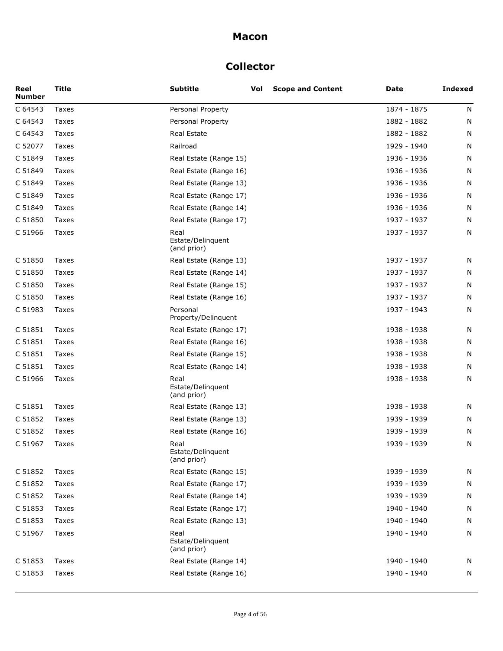# **Collector**

| Reel<br>Number | <b>Title</b> | <b>Subtitle</b>                          | Vol | <b>Scope and Content</b> | Date        | <b>Indexed</b> |
|----------------|--------------|------------------------------------------|-----|--------------------------|-------------|----------------|
| C 64543        | Taxes        | Personal Property                        |     |                          | 1874 - 1875 | N              |
| C 64543        | Taxes        | Personal Property                        |     |                          | 1882 - 1882 | N              |
| C 64543        | <b>Taxes</b> | Real Estate                              |     |                          | 1882 - 1882 | N              |
| C 52077        | Taxes        | Railroad                                 |     |                          | 1929 - 1940 | N              |
| C 51849        | Taxes        | Real Estate (Range 15)                   |     |                          | 1936 - 1936 | N              |
| C 51849        | Taxes        | Real Estate (Range 16)                   |     |                          | 1936 - 1936 | N              |
| C 51849        | Taxes        | Real Estate (Range 13)                   |     |                          | 1936 - 1936 | N              |
| C 51849        | Taxes        | Real Estate (Range 17)                   |     |                          | 1936 - 1936 | N              |
| C 51849        | Taxes        | Real Estate (Range 14)                   |     |                          | 1936 - 1936 | N              |
| C 51850        | Taxes        | Real Estate (Range 17)                   |     |                          | 1937 - 1937 | N              |
| C 51966        | Taxes        | Real<br>Estate/Delinquent<br>(and prior) |     |                          | 1937 - 1937 | N              |
| C 51850        | Taxes        | Real Estate (Range 13)                   |     |                          | 1937 - 1937 | N              |
| C 51850        | Taxes        | Real Estate (Range 14)                   |     |                          | 1937 - 1937 | N              |
| C 51850        | Taxes        | Real Estate (Range 15)                   |     |                          | 1937 - 1937 | N              |
| C 51850        | Taxes        | Real Estate (Range 16)                   |     |                          | 1937 - 1937 | N              |
| C 51983        | Taxes        | Personal<br>Property/Delinquent          |     |                          | 1937 - 1943 | N              |
| C 51851        | Taxes        | Real Estate (Range 17)                   |     |                          | 1938 - 1938 | N              |
| C 51851        | Taxes        | Real Estate (Range 16)                   |     |                          | 1938 - 1938 | N              |
| C 51851        | Taxes        | Real Estate (Range 15)                   |     |                          | 1938 - 1938 | N              |
| C 51851        | Taxes        | Real Estate (Range 14)                   |     |                          | 1938 - 1938 | N              |
| C 51966        | Taxes        | Real<br>Estate/Delinquent<br>(and prior) |     |                          | 1938 - 1938 | N              |
| C 51851        | Taxes        | Real Estate (Range 13)                   |     |                          | 1938 - 1938 | N              |
| C 51852        | Taxes        | Real Estate (Range 13)                   |     |                          | 1939 - 1939 | N              |
| C 51852        | Taxes        | Real Estate (Range 16)                   |     |                          | 1939 - 1939 | N              |
| C 51967        | Taxes        | Real<br>Estate/Delinquent<br>(and prior) |     |                          | 1939 - 1939 | N              |
| C 51852        | Taxes        | Real Estate (Range 15)                   |     |                          | 1939 - 1939 | N              |
| C 51852        | Taxes        | Real Estate (Range 17)                   |     |                          | 1939 - 1939 | N              |
| C 51852        | Taxes        | Real Estate (Range 14)                   |     |                          | 1939 - 1939 | N              |
| C 51853        | Taxes        | Real Estate (Range 17)                   |     |                          | 1940 - 1940 | N              |
| C 51853        | Taxes        | Real Estate (Range 13)                   |     |                          | 1940 - 1940 | N              |
| C 51967        | Taxes        | Real<br>Estate/Delinquent<br>(and prior) |     |                          | 1940 - 1940 | N              |
| C 51853        | Taxes        | Real Estate (Range 14)                   |     |                          | 1940 - 1940 | N              |
| C 51853        | Taxes        | Real Estate (Range 16)                   |     |                          | 1940 - 1940 | N              |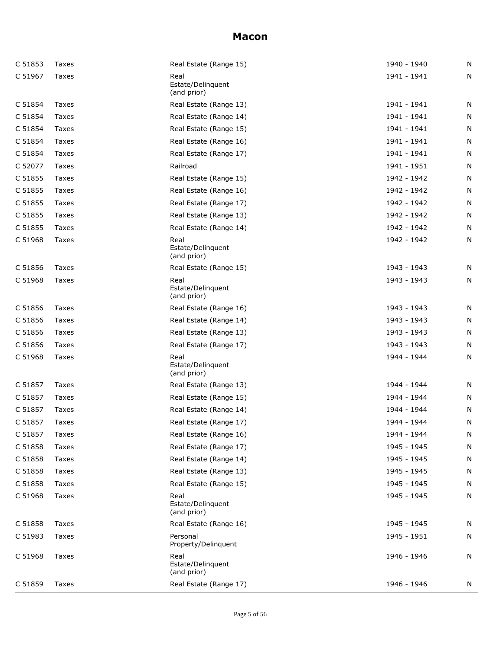| C 51853 | Taxes | Real Estate (Range 15)                   | 1940 - 1940 | N |
|---------|-------|------------------------------------------|-------------|---|
| C 51967 | Taxes | Real<br>Estate/Delinguent<br>(and prior) | 1941 - 1941 | N |
| C 51854 | Taxes | Real Estate (Range 13)                   | 1941 - 1941 | N |
| C 51854 | Taxes | Real Estate (Range 14)                   | 1941 - 1941 | N |
| C 51854 | Taxes | Real Estate (Range 15)                   | 1941 - 1941 | N |
| C 51854 | Taxes | Real Estate (Range 16)                   | 1941 - 1941 | N |
| C 51854 | Taxes | Real Estate (Range 17)                   | 1941 - 1941 | N |
| C 52077 | Taxes | Railroad                                 | 1941 - 1951 | N |
| C 51855 | Taxes | Real Estate (Range 15)                   | 1942 - 1942 | N |
| C 51855 | Taxes | Real Estate (Range 16)                   | 1942 - 1942 | N |
| C 51855 | Taxes | Real Estate (Range 17)                   | 1942 - 1942 | N |
| C 51855 | Taxes | Real Estate (Range 13)                   | 1942 - 1942 | N |
| C 51855 | Taxes | Real Estate (Range 14)                   | 1942 - 1942 | N |
| C 51968 | Taxes | Real<br>Estate/Delinguent<br>(and prior) | 1942 - 1942 | N |
| C 51856 | Taxes | Real Estate (Range 15)                   | 1943 - 1943 | N |
| C 51968 | Taxes | Real<br>Estate/Delinguent<br>(and prior) | 1943 - 1943 | N |
| C 51856 | Taxes | Real Estate (Range 16)                   | 1943 - 1943 | N |
| C 51856 | Taxes | Real Estate (Range 14)                   | 1943 - 1943 | N |
| C 51856 | Taxes | Real Estate (Range 13)                   | 1943 - 1943 | N |
| C 51856 | Taxes | Real Estate (Range 17)                   | 1943 - 1943 | N |
| C 51968 | Taxes | Real<br>Estate/Delinguent<br>(and prior) | 1944 - 1944 | N |
| C 51857 | Taxes | Real Estate (Range 13)                   | 1944 - 1944 | N |
| C 51857 | Taxes | Real Estate (Range 15)                   | 1944 - 1944 | N |
| C 51857 | Taxes | Real Estate (Range 14)                   | 1944 - 1944 | N |
| C 51857 | Taxes | Real Estate (Range 17)                   | 1944 - 1944 | N |
| C 51857 | Taxes | Real Estate (Range 16)                   | 1944 - 1944 | N |
| C 51858 | Taxes | Real Estate (Range 17)                   | 1945 - 1945 | N |
| C 51858 | Taxes | Real Estate (Range 14)                   | 1945 - 1945 | N |
| C 51858 | Taxes | Real Estate (Range 13)                   | 1945 - 1945 | N |
| C 51858 | Taxes | Real Estate (Range 15)                   | 1945 - 1945 | N |
| C 51968 | Taxes | Real<br>Estate/Delinquent<br>(and prior) | 1945 - 1945 | N |
| C 51858 | Taxes | Real Estate (Range 16)                   | 1945 - 1945 | N |
| C 51983 | Taxes | Personal<br>Property/Delinquent          | 1945 - 1951 | N |
| C 51968 | Taxes | Real<br>Estate/Delinquent<br>(and prior) | 1946 - 1946 | N |
| C 51859 | Taxes | Real Estate (Range 17)                   | 1946 - 1946 | N |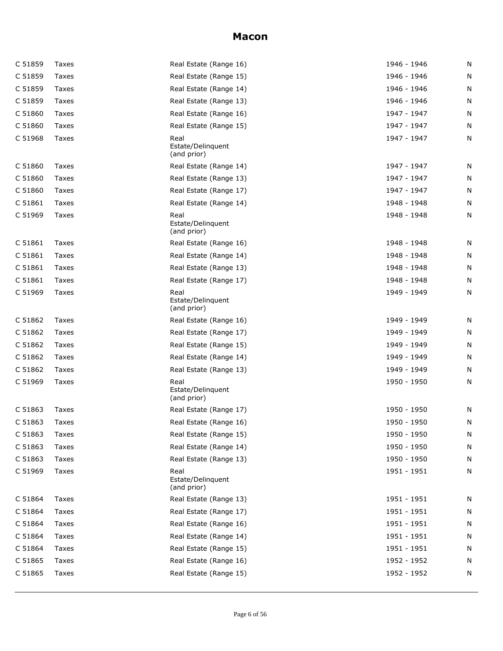| C 51859 | Taxes        | Real Estate (Range 16)                   | 1946 - 1946 | N |
|---------|--------------|------------------------------------------|-------------|---|
| C 51859 | Taxes        | Real Estate (Range 15)                   | 1946 - 1946 | N |
| C 51859 | Taxes        | Real Estate (Range 14)                   | 1946 - 1946 | N |
| C 51859 | Taxes        | Real Estate (Range 13)                   | 1946 - 1946 | N |
| C 51860 | Taxes        | Real Estate (Range 16)                   | 1947 - 1947 | N |
| C 51860 | Taxes        | Real Estate (Range 15)                   | 1947 - 1947 | N |
| C 51968 | Taxes        | Real<br>Estate/Delinguent<br>(and prior) | 1947 - 1947 | N |
| C 51860 | Taxes        | Real Estate (Range 14)                   | 1947 - 1947 | N |
| C 51860 | Taxes        | Real Estate (Range 13)                   | 1947 - 1947 | N |
| C 51860 | Taxes        | Real Estate (Range 17)                   | 1947 - 1947 | N |
| C 51861 | Taxes        | Real Estate (Range 14)                   | 1948 - 1948 | N |
| C 51969 | Taxes        | Real<br>Estate/Delinguent<br>(and prior) | 1948 - 1948 | N |
| C 51861 | Taxes        | Real Estate (Range 16)                   | 1948 - 1948 | N |
| C 51861 | Taxes        | Real Estate (Range 14)                   | 1948 - 1948 | N |
| C 51861 | Taxes        | Real Estate (Range 13)                   | 1948 - 1948 | N |
| C 51861 | Taxes        | Real Estate (Range 17)                   | 1948 - 1948 | N |
| C 51969 | Taxes        | Real<br>Estate/Delinguent<br>(and prior) | 1949 - 1949 | N |
| C 51862 | Taxes        | Real Estate (Range 16)                   | 1949 - 1949 | N |
| C 51862 | Taxes        | Real Estate (Range 17)                   | 1949 - 1949 | N |
| C 51862 | Taxes        | Real Estate (Range 15)                   | 1949 - 1949 | N |
| C 51862 | Taxes        | Real Estate (Range 14)                   | 1949 - 1949 | N |
| C 51862 | Taxes        | Real Estate (Range 13)                   | 1949 - 1949 | N |
| C 51969 | Taxes        | Real<br>Estate/Delinquent<br>(and prior) | 1950 - 1950 | N |
| C 51863 | Taxes        | Real Estate (Range 17)                   | 1950 - 1950 | N |
| C 51863 | Taxes        | Real Estate (Range 16)                   | 1950 - 1950 | N |
| C 51863 | Taxes        | Real Estate (Range 15)                   | 1950 - 1950 | N |
| C 51863 | <b>Taxes</b> | Real Estate (Range 14)                   | 1950 - 1950 | N |
| C 51863 | Taxes        | Real Estate (Range 13)                   | 1950 - 1950 | N |
| C 51969 | Taxes        | Real<br>Estate/Delinquent<br>(and prior) | 1951 - 1951 | N |
| C 51864 | Taxes        | Real Estate (Range 13)                   | 1951 - 1951 | N |
| C 51864 | Taxes        | Real Estate (Range 17)                   | 1951 - 1951 | N |
| C 51864 | Taxes        | Real Estate (Range 16)                   | 1951 - 1951 | N |
| C 51864 | Taxes        | Real Estate (Range 14)                   | 1951 - 1951 | N |
| C 51864 | Taxes        | Real Estate (Range 15)                   | 1951 - 1951 | N |
| C 51865 | Taxes        | Real Estate (Range 16)                   | 1952 - 1952 | N |
| C 51865 | Taxes        | Real Estate (Range 15)                   | 1952 - 1952 | N |
|         |              |                                          |             |   |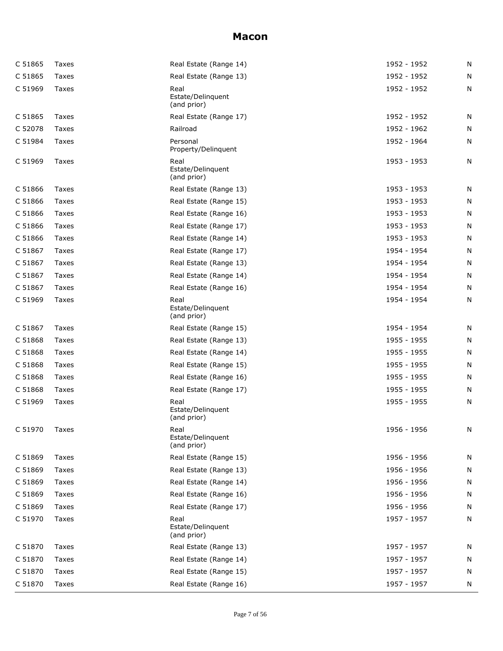| C 51865 | Taxes | Real Estate (Range 14)                   | 1952 - 1952 | N |
|---------|-------|------------------------------------------|-------------|---|
| C 51865 | Taxes | Real Estate (Range 13)                   | 1952 - 1952 | N |
| C 51969 | Taxes | Real<br>Estate/Delinquent<br>(and prior) | 1952 - 1952 | N |
| C 51865 | Taxes | Real Estate (Range 17)                   | 1952 - 1952 | N |
| C 52078 | Taxes | Railroad                                 | 1952 - 1962 | N |
| C 51984 | Taxes | Personal<br>Property/Delinquent          | 1952 - 1964 | N |
| C 51969 | Taxes | Real<br>Estate/Delinquent<br>(and prior) | 1953 - 1953 | N |
| C 51866 | Taxes | Real Estate (Range 13)                   | 1953 - 1953 | N |
| C 51866 | Taxes | Real Estate (Range 15)                   | 1953 - 1953 | N |
| C 51866 | Taxes | Real Estate (Range 16)                   | 1953 - 1953 | N |
| C 51866 | Taxes | Real Estate (Range 17)                   | 1953 - 1953 | Ν |
| C 51866 | Taxes | Real Estate (Range 14)                   | 1953 - 1953 | N |
| C 51867 | Taxes | Real Estate (Range 17)                   | 1954 - 1954 | N |
| C 51867 | Taxes | Real Estate (Range 13)                   | 1954 - 1954 | N |
| C 51867 | Taxes | Real Estate (Range 14)                   | 1954 - 1954 | Ν |
| C 51867 | Taxes | Real Estate (Range 16)                   | 1954 - 1954 | N |
| C 51969 | Taxes | Real<br>Estate/Delinquent<br>(and prior) | 1954 - 1954 | N |
| C 51867 | Taxes | Real Estate (Range 15)                   | 1954 - 1954 | N |
| C 51868 | Taxes | Real Estate (Range 13)                   | 1955 - 1955 | N |
| C 51868 | Taxes | Real Estate (Range 14)                   | 1955 - 1955 | N |
| C 51868 | Taxes | Real Estate (Range 15)                   | 1955 - 1955 | N |
| C 51868 | Taxes | Real Estate (Range 16)                   | 1955 - 1955 | N |
| C 51868 | Taxes | Real Estate (Range 17)                   | 1955 - 1955 | N |
| C 51969 | Taxes | Real<br>Estate/Delinguent<br>(and prior) | 1955 - 1955 | N |
| C 51970 | Taxes | Real<br>Estate/Delinguent<br>(and prior) | 1956 - 1956 | N |
| C 51869 | Taxes | Real Estate (Range 15)                   | 1956 - 1956 | N |
| C 51869 | Taxes | Real Estate (Range 13)                   | 1956 - 1956 | Ν |
| C 51869 | Taxes | Real Estate (Range 14)                   | 1956 - 1956 | N |
| C 51869 | Taxes | Real Estate (Range 16)                   | 1956 - 1956 | N |
| C 51869 | Taxes | Real Estate (Range 17)                   | 1956 - 1956 | Ν |
| C 51970 | Taxes | Real<br>Estate/Delinquent<br>(and prior) | 1957 - 1957 | Ν |
| C 51870 | Taxes | Real Estate (Range 13)                   | 1957 - 1957 | N |
| C 51870 | Taxes | Real Estate (Range 14)                   | 1957 - 1957 | Ν |
| C 51870 | Taxes | Real Estate (Range 15)                   | 1957 - 1957 | N |
| C 51870 | Taxes | Real Estate (Range 16)                   | 1957 - 1957 | N |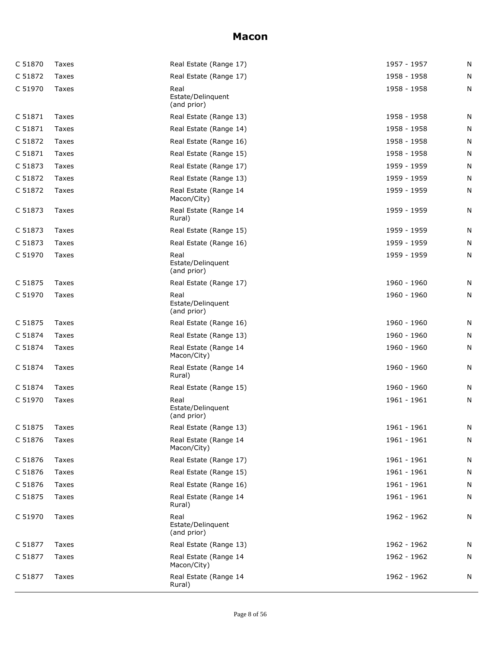| C 51870 | Taxes        | Real Estate (Range 17)                   | 1957 - 1957   | N |
|---------|--------------|------------------------------------------|---------------|---|
| C 51872 | Taxes        | Real Estate (Range 17)                   | 1958 - 1958   | N |
| C 51970 | Taxes        | Real<br>Estate/Delinquent<br>(and prior) | 1958 - 1958   | N |
| C 51871 | Taxes        | Real Estate (Range 13)                   | 1958 - 1958   | N |
| C 51871 | Taxes        | Real Estate (Range 14)                   | 1958 - 1958   | N |
| C 51872 | Taxes        | Real Estate (Range 16)                   | 1958 - 1958   | N |
| C 51871 | Taxes        | Real Estate (Range 15)                   | 1958 - 1958   | N |
| C 51873 | Taxes        | Real Estate (Range 17)                   | 1959 - 1959   | N |
| C 51872 | Taxes        | Real Estate (Range 13)                   | 1959 - 1959   | N |
| C 51872 | Taxes        | Real Estate (Range 14<br>Macon/City)     | 1959 - 1959   | N |
| C 51873 | Taxes        | Real Estate (Range 14<br>Rural)          | 1959 - 1959   | N |
| C 51873 | Taxes        | Real Estate (Range 15)                   | 1959 - 1959   | N |
| C 51873 | Taxes        | Real Estate (Range 16)                   | 1959 - 1959   | N |
| C 51970 | Taxes        | Real<br>Estate/Delinquent<br>(and prior) | 1959 - 1959   | N |
| C 51875 | Taxes        | Real Estate (Range 17)                   | 1960 - 1960   | N |
| C 51970 | Taxes        | Real<br>Estate/Delinquent<br>(and prior) | 1960 - 1960   | N |
| C 51875 | Taxes        | Real Estate (Range 16)                   | 1960 - 1960   | N |
| C 51874 | Taxes        | Real Estate (Range 13)                   | 1960 - 1960   | N |
| C 51874 | Taxes        | Real Estate (Range 14<br>Macon/City)     | 1960 - 1960   | N |
| C 51874 | Taxes        | Real Estate (Range 14<br>Rural)          | 1960 - 1960   | N |
| C 51874 | Taxes        | Real Estate (Range 15)                   | 1960 - 1960   | N |
| C 51970 | Taxes        | Real<br>Estate/Delinquent<br>(and prior) | 1961 - 1961   | N |
| C 51875 | <b>Taxes</b> | Real Estate (Range 13)                   | $1961 - 1961$ | N |
| C 51876 | Taxes        | Real Estate (Range 14<br>Macon/City)     | 1961 - 1961   | N |
| C 51876 | Taxes        | Real Estate (Range 17)                   | 1961 - 1961   | N |
| C 51876 | Taxes        | Real Estate (Range 15)                   | 1961 - 1961   | N |
| C 51876 | Taxes        | Real Estate (Range 16)                   | 1961 - 1961   | N |
| C 51875 | Taxes        | Real Estate (Range 14<br>Rural)          | 1961 - 1961   | N |
| C 51970 | Taxes        | Real<br>Estate/Delinquent<br>(and prior) | 1962 - 1962   | N |
| C 51877 | Taxes        | Real Estate (Range 13)                   | 1962 - 1962   | N |
| C 51877 | Taxes        | Real Estate (Range 14<br>Macon/City)     | 1962 - 1962   | N |
| C 51877 | Taxes        | Real Estate (Range 14<br>Rural)          | 1962 - 1962   | N |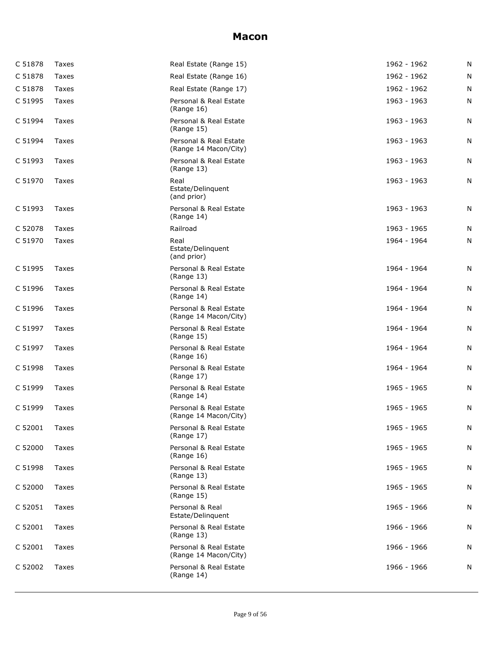| C 51878 | Taxes        | Real Estate (Range 15)                          | 1962 - 1962 | N |
|---------|--------------|-------------------------------------------------|-------------|---|
| C 51878 | Taxes        | Real Estate (Range 16)                          | 1962 - 1962 | N |
| C 51878 | Taxes        | Real Estate (Range 17)                          | 1962 - 1962 | N |
| C 51995 | Taxes        | Personal & Real Estate<br>(Range 16)            | 1963 - 1963 | N |
| C 51994 | Taxes        | Personal & Real Estate<br>(Range 15)            | 1963 - 1963 | N |
| C 51994 | Taxes        | Personal & Real Estate<br>(Range 14 Macon/City) | 1963 - 1963 | N |
| C 51993 | Taxes        | Personal & Real Estate<br>(Range 13)            | 1963 - 1963 | N |
| C 51970 | Taxes        | Real<br>Estate/Delinquent<br>(and prior)        | 1963 - 1963 | N |
| C 51993 | Taxes        | Personal & Real Estate<br>(Range 14)            | 1963 - 1963 | N |
| C 52078 | Taxes        | Railroad                                        | 1963 - 1965 | N |
| C 51970 | Taxes        | Real<br>Estate/Delinquent<br>(and prior)        | 1964 - 1964 | N |
| C 51995 | Taxes        | Personal & Real Estate<br>(Range 13)            | 1964 - 1964 | N |
| C 51996 | Taxes        | Personal & Real Estate<br>(Range 14)            | 1964 - 1964 | N |
| C 51996 | Taxes        | Personal & Real Estate<br>(Range 14 Macon/City) | 1964 - 1964 | N |
| C 51997 | Taxes        | Personal & Real Estate<br>(Range 15)            | 1964 - 1964 | N |
| C 51997 | Taxes        | Personal & Real Estate<br>(Range 16)            | 1964 - 1964 | N |
| C 51998 | Taxes        | Personal & Real Estate<br>(Range 17)            | 1964 - 1964 | N |
| C 51999 | Taxes        | Personal & Real Estate<br>(Range 14)            | 1965 - 1965 | N |
| C 51999 | Taxes        | Personal & Real Estate<br>(Range 14 Macon/City) | 1965 - 1965 | N |
| C 52001 | <b>Taxes</b> | Personal & Real Estate<br>(Range 17)            | 1965 - 1965 | N |
| C 52000 | Taxes        | Personal & Real Estate<br>(Range 16)            | 1965 - 1965 | N |
| C 51998 | Taxes        | Personal & Real Estate<br>(Range 13)            | 1965 - 1965 | N |
| C 52000 | Taxes        | Personal & Real Estate<br>(Range 15)            | 1965 - 1965 | N |
| C 52051 | Taxes        | Personal & Real<br>Estate/Delinguent            | 1965 - 1966 | N |
| C 52001 | Taxes        | Personal & Real Estate<br>(Range 13)            | 1966 - 1966 | N |
| C 52001 | Taxes        | Personal & Real Estate<br>(Range 14 Macon/City) | 1966 - 1966 | N |
| C 52002 | Taxes        | Personal & Real Estate<br>(Range 14)            | 1966 - 1966 | N |
|         |              |                                                 |             |   |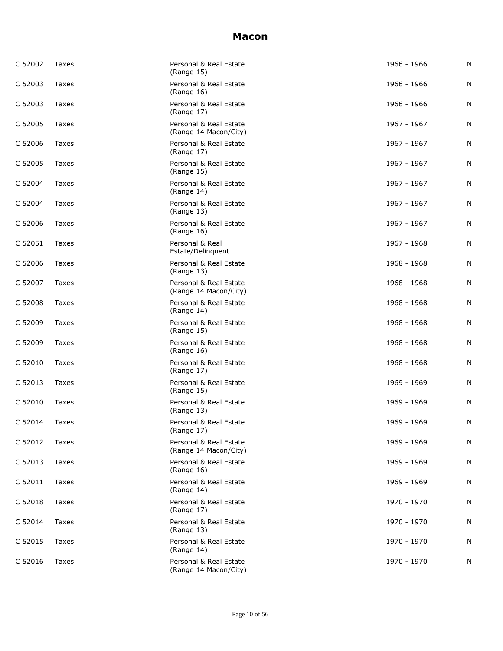| C 52002 | Taxes | Personal & Real Estate<br>(Range 15)            | 1966 - 1966 | N |
|---------|-------|-------------------------------------------------|-------------|---|
| C 52003 | Taxes | Personal & Real Estate<br>(Range 16)            | 1966 - 1966 | N |
| C 52003 | Taxes | Personal & Real Estate<br>(Range 17)            | 1966 - 1966 | N |
| C 52005 | Taxes | Personal & Real Estate<br>(Range 14 Macon/City) | 1967 - 1967 | N |
| C 52006 | Taxes | Personal & Real Estate<br>(Range 17)            | 1967 - 1967 | N |
| C 52005 | Taxes | Personal & Real Estate<br>(Range 15)            | 1967 - 1967 | N |
| C 52004 | Taxes | Personal & Real Estate<br>(Range 14)            | 1967 - 1967 | N |
| C 52004 | Taxes | Personal & Real Estate<br>(Range 13)            | 1967 - 1967 | N |
| C 52006 | Taxes | Personal & Real Estate<br>(Range 16)            | 1967 - 1967 | N |
| C 52051 | Taxes | Personal & Real<br>Estate/Delinquent            | 1967 - 1968 | N |
| C 52006 | Taxes | Personal & Real Estate<br>(Range 13)            | 1968 - 1968 | N |
| C 52007 | Taxes | Personal & Real Estate<br>(Range 14 Macon/City) | 1968 - 1968 | N |
| C 52008 | Taxes | Personal & Real Estate<br>(Range 14)            | 1968 - 1968 | N |
| C 52009 | Taxes | Personal & Real Estate<br>(Range 15)            | 1968 - 1968 | N |
| C 52009 | Taxes | Personal & Real Estate<br>(Range 16)            | 1968 - 1968 | N |
| C 52010 | Taxes | Personal & Real Estate<br>(Range 17)            | 1968 - 1968 | N |
| C 52013 | Taxes | Personal & Real Estate<br>(Range 15)            | 1969 - 1969 | N |
| C 52010 | Taxes | Personal & Real Estate<br>(Range 13)            | 1969 - 1969 | N |
| C 52014 | Taxes | Personal & Real Estate<br>(Range 17)            | 1969 - 1969 | N |
| C 52012 | Taxes | Personal & Real Estate<br>(Range 14 Macon/City) | 1969 - 1969 | N |
| C 52013 | Taxes | Personal & Real Estate<br>(Range 16)            | 1969 - 1969 | N |
| C 52011 | Taxes | Personal & Real Estate<br>(Range 14)            | 1969 - 1969 | N |
| C 52018 | Taxes | Personal & Real Estate<br>(Range 17)            | 1970 - 1970 | N |
| C 52014 | Taxes | Personal & Real Estate<br>(Range 13)            | 1970 - 1970 | N |
| C 52015 | Taxes | Personal & Real Estate<br>(Range 14)            | 1970 - 1970 | N |
| C 52016 | Taxes | Personal & Real Estate<br>(Range 14 Macon/City) | 1970 - 1970 | N |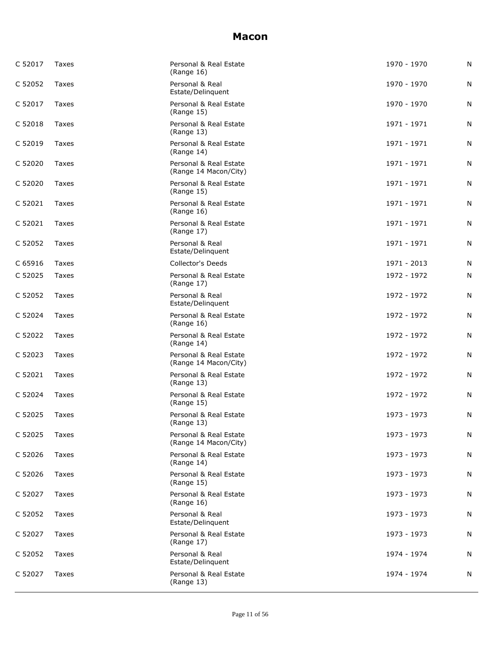| C 52017 | Taxes | Personal & Real Estate<br>(Range 16)            | 1970 - 1970 | N |
|---------|-------|-------------------------------------------------|-------------|---|
| C 52052 | Taxes | Personal & Real<br>Estate/Delinguent            | 1970 - 1970 | N |
| C 52017 | Taxes | Personal & Real Estate<br>(Range 15)            | 1970 - 1970 | N |
| C 52018 | Taxes | Personal & Real Estate<br>(Range 13)            | 1971 - 1971 | N |
| C 52019 | Taxes | Personal & Real Estate<br>(Range 14)            | 1971 - 1971 | N |
| C 52020 | Taxes | Personal & Real Estate<br>(Range 14 Macon/City) | 1971 - 1971 | N |
| C 52020 | Taxes | Personal & Real Estate<br>(Range 15)            | 1971 - 1971 | N |
| C 52021 | Taxes | Personal & Real Estate<br>(Range 16)            | 1971 - 1971 | N |
| C 52021 | Taxes | Personal & Real Estate<br>(Range 17)            | 1971 - 1971 | N |
| C 52052 | Taxes | Personal & Real<br>Estate/Delinquent            | 1971 - 1971 | N |
| C 65916 | Taxes | <b>Collector's Deeds</b>                        | 1971 - 2013 | N |
| C 52025 | Taxes | Personal & Real Estate<br>(Range 17)            | 1972 - 1972 | N |
| C 52052 | Taxes | Personal & Real<br>Estate/Delinquent            | 1972 - 1972 | N |
| C 52024 | Taxes | Personal & Real Estate<br>(Range 16)            | 1972 - 1972 | N |
| C 52022 | Taxes | Personal & Real Estate<br>(Range 14)            | 1972 - 1972 | N |
| C 52023 | Taxes | Personal & Real Estate<br>(Range 14 Macon/City) | 1972 - 1972 | N |
| C 52021 | Taxes | Personal & Real Estate<br>(Range 13)            | 1972 - 1972 | N |
| C 52024 | Taxes | Personal & Real Estate<br>(Range 15)            | 1972 - 1972 | N |
| C 52025 | Taxes | Personal & Real Estate<br>(Range 13)            | 1973 - 1973 | N |
| C 52025 | Taxes | Personal & Real Estate<br>(Range 14 Macon/City) | 1973 - 1973 | N |
| C 52026 | Taxes | Personal & Real Estate<br>(Range 14)            | 1973 - 1973 | N |
| C 52026 | Taxes | Personal & Real Estate<br>(Range 15)            | 1973 - 1973 | N |
| C 52027 | Taxes | Personal & Real Estate<br>(Range 16)            | 1973 - 1973 | N |
| C 52052 | Taxes | Personal & Real<br>Estate/Delinguent            | 1973 - 1973 | N |
| C 52027 | Taxes | Personal & Real Estate<br>(Range 17)            | 1973 - 1973 | N |
| C 52052 | Taxes | Personal & Real<br>Estate/Delinquent            | 1974 - 1974 | N |
| C 52027 | Taxes | Personal & Real Estate<br>(Range 13)            | 1974 - 1974 | N |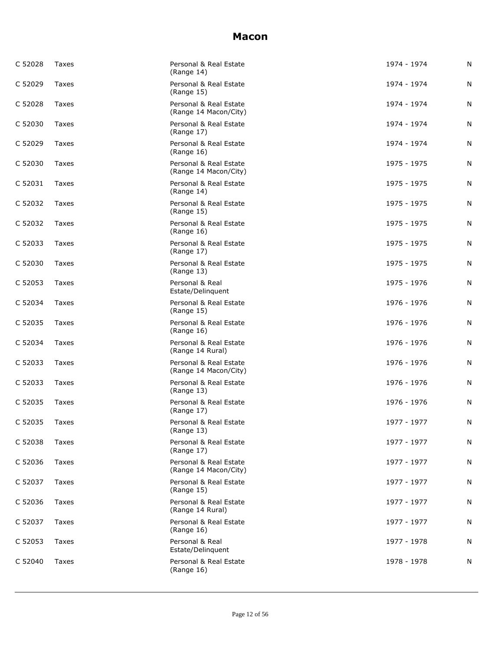| C 52028 | Taxes | Personal & Real Estate<br>(Range 14)            | 1974 - 1974 | N |
|---------|-------|-------------------------------------------------|-------------|---|
| C 52029 | Taxes | Personal & Real Estate<br>(Range 15)            | 1974 - 1974 | N |
| C 52028 | Taxes | Personal & Real Estate<br>(Range 14 Macon/City) | 1974 - 1974 | N |
| C 52030 | Taxes | Personal & Real Estate<br>(Range 17)            | 1974 - 1974 | N |
| C 52029 | Taxes | Personal & Real Estate<br>(Range 16)            | 1974 - 1974 | N |
| C 52030 | Taxes | Personal & Real Estate<br>(Range 14 Macon/City) | 1975 - 1975 | N |
| C 52031 | Taxes | Personal & Real Estate<br>(Range 14)            | 1975 - 1975 | N |
| C 52032 | Taxes | Personal & Real Estate<br>(Range 15)            | 1975 - 1975 | N |
| C 52032 | Taxes | Personal & Real Estate<br>(Range 16)            | 1975 - 1975 | N |
| C 52033 | Taxes | Personal & Real Estate<br>(Range 17)            | 1975 - 1975 | N |
| C 52030 | Taxes | Personal & Real Estate<br>(Range 13)            | 1975 - 1975 | N |
| C 52053 | Taxes | Personal & Real<br>Estate/Delinquent            | 1975 - 1976 | N |
| C 52034 | Taxes | Personal & Real Estate<br>(Range 15)            | 1976 - 1976 | N |
| C 52035 | Taxes | Personal & Real Estate<br>(Range 16)            | 1976 - 1976 | N |
| C 52034 | Taxes | Personal & Real Estate<br>(Range 14 Rural)      | 1976 - 1976 | N |
| C 52033 | Taxes | Personal & Real Estate<br>(Range 14 Macon/City) | 1976 - 1976 | N |
| C 52033 | Taxes | Personal & Real Estate<br>(Range 13)            | 1976 - 1976 | N |
| C 52035 | Taxes | Personal & Real Estate<br>(Range 17)            | 1976 - 1976 | N |
| C 52035 | Taxes | Personal & Real Estate<br>(Range 13)            | 1977 - 1977 | N |
| C 52038 | Taxes | Personal & Real Estate<br>(Range 17)            | 1977 - 1977 | N |
| C 52036 | Taxes | Personal & Real Estate<br>(Range 14 Macon/City) | 1977 - 1977 | N |
| C 52037 | Taxes | Personal & Real Estate<br>(Range 15)            | 1977 - 1977 | N |
| C 52036 | Taxes | Personal & Real Estate<br>(Range 14 Rural)      | 1977 - 1977 | N |
| C 52037 | Taxes | Personal & Real Estate<br>(Range 16)            | 1977 - 1977 | N |
| C 52053 | Taxes | Personal & Real<br>Estate/Delinquent            | 1977 - 1978 | N |
| C 52040 | Taxes | Personal & Real Estate<br>(Range 16)            | 1978 - 1978 | N |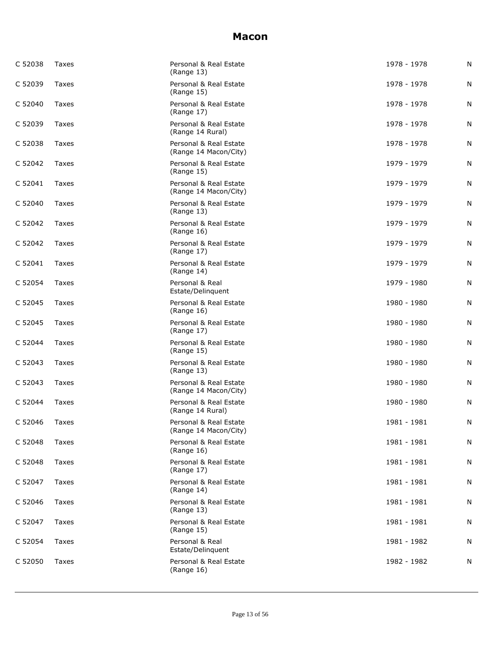| C 52038 | Taxes | Personal & Real Estate<br>(Range 13)            | 1978 - 1978 | N |
|---------|-------|-------------------------------------------------|-------------|---|
| C 52039 | Taxes | Personal & Real Estate<br>(Range 15)            | 1978 - 1978 | N |
| C 52040 | Taxes | Personal & Real Estate<br>(Range 17)            | 1978 - 1978 | N |
| C 52039 | Taxes | Personal & Real Estate<br>(Range 14 Rural)      | 1978 - 1978 | N |
| C 52038 | Taxes | Personal & Real Estate<br>(Range 14 Macon/City) | 1978 - 1978 | N |
| C 52042 | Taxes | Personal & Real Estate<br>(Range 15)            | 1979 - 1979 | N |
| C 52041 | Taxes | Personal & Real Estate<br>(Range 14 Macon/City) | 1979 - 1979 | N |
| C 52040 | Taxes | Personal & Real Estate<br>(Range 13)            | 1979 - 1979 | N |
| C 52042 | Taxes | Personal & Real Estate<br>(Range 16)            | 1979 - 1979 | N |
| C 52042 | Taxes | Personal & Real Estate<br>(Range 17)            | 1979 - 1979 | N |
| C 52041 | Taxes | Personal & Real Estate<br>(Range 14)            | 1979 - 1979 | N |
| C 52054 | Taxes | Personal & Real<br>Estate/Delinquent            | 1979 - 1980 | N |
| C 52045 | Taxes | Personal & Real Estate<br>(Range 16)            | 1980 - 1980 | N |
| C 52045 | Taxes | Personal & Real Estate<br>(Range 17)            | 1980 - 1980 | N |
| C 52044 | Taxes | Personal & Real Estate<br>(Range 15)            | 1980 - 1980 | N |
| C 52043 | Taxes | Personal & Real Estate<br>(Range 13)            | 1980 - 1980 | N |
| C 52043 | Taxes | Personal & Real Estate<br>(Range 14 Macon/City) | 1980 - 1980 | N |
| C 52044 | Taxes | Personal & Real Estate<br>(Range 14 Rural)      | 1980 - 1980 | N |
| C 52046 | Taxes | Personal & Real Estate<br>(Range 14 Macon/City) | 1981 - 1981 | N |
| C 52048 | Taxes | Personal & Real Estate<br>(Range 16)            | 1981 - 1981 | N |
| C 52048 | Taxes | Personal & Real Estate<br>(Range 17)            | 1981 - 1981 | N |
| C 52047 | Taxes | Personal & Real Estate<br>(Range 14)            | 1981 - 1981 | N |
| C 52046 | Taxes | Personal & Real Estate<br>(Range 13)            | 1981 - 1981 | N |
| C 52047 | Taxes | Personal & Real Estate<br>(Range 15)            | 1981 - 1981 | N |
| C 52054 | Taxes | Personal & Real<br>Estate/Delinquent            | 1981 - 1982 | N |
| C 52050 | Taxes | Personal & Real Estate<br>(Range 16)            | 1982 - 1982 | N |
|         |       |                                                 |             |   |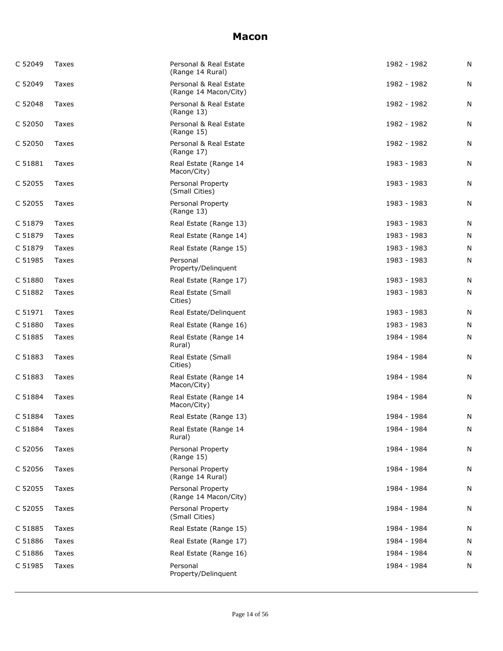| C 52049 | Taxes        | Personal & Real Estate<br>(Range 14 Rural)      | 1982 - 1982 | N         |
|---------|--------------|-------------------------------------------------|-------------|-----------|
| C 52049 | Taxes        | Personal & Real Estate<br>(Range 14 Macon/City) | 1982 - 1982 | N         |
| C 52048 | Taxes        | Personal & Real Estate<br>(Range 13)            | 1982 - 1982 | N         |
| C 52050 | Taxes        | Personal & Real Estate<br>(Range 15)            | 1982 - 1982 | N         |
| C 52050 | Taxes        | Personal & Real Estate<br>(Range 17)            | 1982 - 1982 | N         |
| C 51881 | Taxes        | Real Estate (Range 14<br>Macon/City)            | 1983 - 1983 | N         |
| C 52055 | Taxes        | Personal Property<br>(Small Cities)             | 1983 - 1983 | N         |
| C 52055 | Taxes        | Personal Property<br>(Range 13)                 | 1983 - 1983 | N         |
| C 51879 | Taxes        | Real Estate (Range 13)                          | 1983 - 1983 | N         |
| C 51879 | Taxes        | Real Estate (Range 14)                          | 1983 - 1983 | N         |
| C 51879 | Taxes        | Real Estate (Range 15)                          | 1983 - 1983 | N         |
| C 51985 | Taxes        | Personal<br>Property/Delinquent                 | 1983 - 1983 | N         |
| C 51880 | Taxes        | Real Estate (Range 17)                          | 1983 - 1983 | N         |
| C 51882 | Taxes        | Real Estate (Small<br>Cities)                   | 1983 - 1983 | N         |
| C 51971 | Taxes        | Real Estate/Delinquent                          | 1983 - 1983 | N         |
| C 51880 | Taxes        | Real Estate (Range 16)                          | 1983 - 1983 | N         |
| C 51885 | Taxes        | Real Estate (Range 14<br>Rural)                 | 1984 - 1984 | N         |
| C 51883 | Taxes        | Real Estate (Small<br>Cities)                   | 1984 - 1984 | N         |
| C 51883 | Taxes        | Real Estate (Range 14<br>Macon/City)            | 1984 - 1984 | N         |
| C 51884 | Taxes        | Real Estate (Range 14<br>Macon/City)            | 1984 - 1984 | Ν         |
| C 51884 | Taxes        | Real Estate (Range 13)                          | 1984 - 1984 | N         |
| C 51884 | Taxes        | Real Estate (Range 14<br>Rural)                 | 1984 - 1984 | ${\sf N}$ |
| C 52056 | Taxes        | Personal Property<br>(Range 15)                 | 1984 - 1984 | N         |
| C 52056 | Taxes        | Personal Property<br>(Range 14 Rural)           | 1984 - 1984 | N         |
| C 52055 | Taxes        | Personal Property<br>(Range 14 Macon/City)      | 1984 - 1984 | Ν         |
| C 52055 | Taxes        | Personal Property<br>(Small Cities)             | 1984 - 1984 | N         |
| C 51885 | <b>Taxes</b> | Real Estate (Range 15)                          | 1984 - 1984 | N         |
| C 51886 | Taxes        | Real Estate (Range 17)                          | 1984 - 1984 | N         |
| C 51886 | Taxes        | Real Estate (Range 16)                          | 1984 - 1984 | N         |
| C 51985 | Taxes        | Personal<br>Property/Delinquent                 | 1984 - 1984 | N         |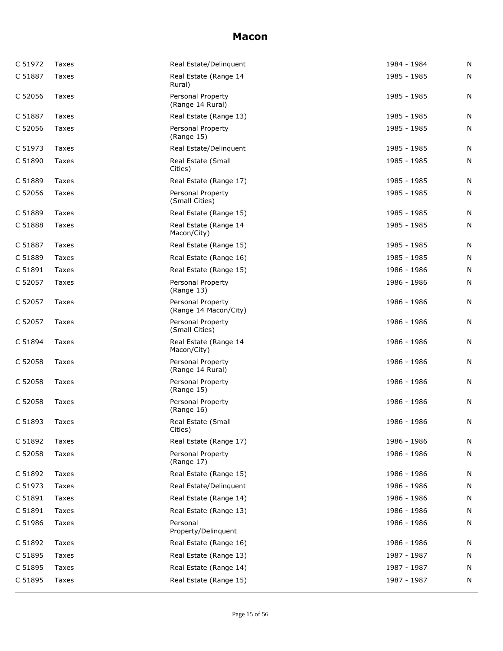| C 51972 | Taxes        | Real Estate/Delinguent                     | 1984 - 1984 | N |
|---------|--------------|--------------------------------------------|-------------|---|
| C 51887 | Taxes        | Real Estate (Range 14<br>Rural)            | 1985 - 1985 | N |
| C 52056 | Taxes        | Personal Property<br>(Range 14 Rural)      | 1985 - 1985 | N |
| C 51887 | Taxes        | Real Estate (Range 13)                     | 1985 - 1985 | N |
| C 52056 | Taxes        | Personal Property<br>(Range 15)            | 1985 - 1985 | N |
| C 51973 | Taxes        | Real Estate/Delinquent                     | 1985 - 1985 | N |
| C 51890 | Taxes        | Real Estate (Small<br>Cities)              | 1985 - 1985 | N |
| C 51889 | Taxes        | Real Estate (Range 17)                     | 1985 - 1985 | N |
| C 52056 | Taxes        | Personal Property<br>(Small Cities)        | 1985 - 1985 | N |
| C 51889 | Taxes        | Real Estate (Range 15)                     | 1985 - 1985 | N |
| C 51888 | Taxes        | Real Estate (Range 14<br>Macon/City)       | 1985 - 1985 | N |
| C 51887 | Taxes        | Real Estate (Range 15)                     | 1985 - 1985 | N |
| C 51889 | Taxes        | Real Estate (Range 16)                     | 1985 - 1985 | N |
| C 51891 | Taxes        | Real Estate (Range 15)                     | 1986 - 1986 | N |
| C 52057 | Taxes        | Personal Property<br>(Range 13)            | 1986 - 1986 | N |
| C 52057 | Taxes        | Personal Property<br>(Range 14 Macon/City) | 1986 - 1986 | N |
| C 52057 | Taxes        | Personal Property<br>(Small Cities)        | 1986 - 1986 | N |
| C 51894 | Taxes        | Real Estate (Range 14<br>Macon/City)       | 1986 - 1986 | N |
| C 52058 | Taxes        | Personal Property<br>(Range 14 Rural)      | 1986 - 1986 | N |
| C 52058 | Taxes        | Personal Property<br>(Range 15)            | 1986 - 1986 | N |
| C 52058 | <b>Taxes</b> | Personal Property<br>(Range 16)            | 1986 - 1986 | N |
| C 51893 | Taxes        | Real Estate (Small<br>Cities)              | 1986 - 1986 | N |
| C 51892 | Taxes        | Real Estate (Range 17)                     | 1986 - 1986 | N |
| C 52058 | Taxes        | Personal Property<br>(Range 17)            | 1986 - 1986 | N |
| C 51892 | Taxes        | Real Estate (Range 15)                     | 1986 - 1986 | N |
| C 51973 | Taxes        | Real Estate/Delinquent                     | 1986 - 1986 | N |
| C 51891 | Taxes        | Real Estate (Range 14)                     | 1986 - 1986 | N |
| C 51891 | Taxes        | Real Estate (Range 13)                     | 1986 - 1986 | N |
| C 51986 | Taxes        | Personal<br>Property/Delinquent            | 1986 - 1986 | N |
| C 51892 | Taxes        | Real Estate (Range 16)                     | 1986 - 1986 | N |
| C 51895 | Taxes        | Real Estate (Range 13)                     | 1987 - 1987 | N |
| C 51895 | Taxes        | Real Estate (Range 14)                     | 1987 - 1987 | N |
| C 51895 | Taxes        | Real Estate (Range 15)                     | 1987 - 1987 | N |
|         |              |                                            |             |   |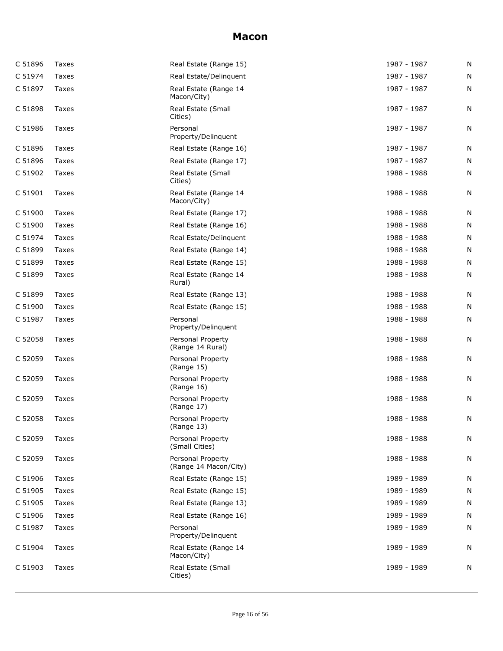| C 51896 | Taxes | Real Estate (Range 15)                     | 1987 - 1987 | N |
|---------|-------|--------------------------------------------|-------------|---|
| C 51974 | Taxes | Real Estate/Delinguent                     | 1987 - 1987 | N |
| C 51897 | Taxes | Real Estate (Range 14<br>Macon/City)       | 1987 - 1987 | N |
| C 51898 | Taxes | Real Estate (Small<br>Cities)              | 1987 - 1987 | N |
| C 51986 | Taxes | Personal<br>Property/Delinquent            | 1987 - 1987 | N |
| C 51896 | Taxes | Real Estate (Range 16)                     | 1987 - 1987 | N |
| C 51896 | Taxes | Real Estate (Range 17)                     | 1987 - 1987 | N |
| C 51902 | Taxes | Real Estate (Small<br>Cities)              | 1988 - 1988 | N |
| C 51901 | Taxes | Real Estate (Range 14<br>Macon/City)       | 1988 - 1988 | N |
| C 51900 | Taxes | Real Estate (Range 17)                     | 1988 - 1988 | N |
| C 51900 | Taxes | Real Estate (Range 16)                     | 1988 - 1988 | N |
| C 51974 | Taxes | Real Estate/Delinquent                     | 1988 - 1988 | N |
| C 51899 | Taxes | Real Estate (Range 14)                     | 1988 - 1988 | N |
| C 51899 | Taxes | Real Estate (Range 15)                     | 1988 - 1988 | N |
| C 51899 | Taxes | Real Estate (Range 14<br>Rural)            | 1988 - 1988 | N |
| C 51899 | Taxes | Real Estate (Range 13)                     | 1988 - 1988 | N |
| C 51900 | Taxes | Real Estate (Range 15)                     | 1988 - 1988 | N |
| C 51987 | Taxes | Personal<br>Property/Delinquent            | 1988 - 1988 | N |
| C 52058 | Taxes | Personal Property<br>(Range 14 Rural)      | 1988 - 1988 | Ν |
| C 52059 | Taxes | Personal Property<br>(Range 15)            | 1988 - 1988 | N |
| C 52059 | Taxes | Personal Property<br>(Range 16)            | 1988 - 1988 | N |
| C 52059 | Taxes | Personal Property<br>(Range 17)            | 1988 - 1988 | N |
| C 52058 | Taxes | Personal Property<br>(Range 13)            | 1988 - 1988 | N |
| C 52059 | Taxes | Personal Property<br>(Small Cities)        | 1988 - 1988 | N |
| C 52059 | Taxes | Personal Property<br>(Range 14 Macon/City) | 1988 - 1988 | N |
| C 51906 | Taxes | Real Estate (Range 15)                     | 1989 - 1989 | N |
| C 51905 | Taxes | Real Estate (Range 15)                     | 1989 - 1989 | N |
| C 51905 | Taxes | Real Estate (Range 13)                     | 1989 - 1989 | N |
| C 51906 | Taxes | Real Estate (Range 16)                     | 1989 - 1989 | N |
| C 51987 | Taxes | Personal<br>Property/Delinquent            | 1989 - 1989 | Ν |
| C 51904 | Taxes | Real Estate (Range 14<br>Macon/City)       | 1989 - 1989 | N |
| C 51903 | Taxes | Real Estate (Small<br>Cities)              | 1989 - 1989 | Ν |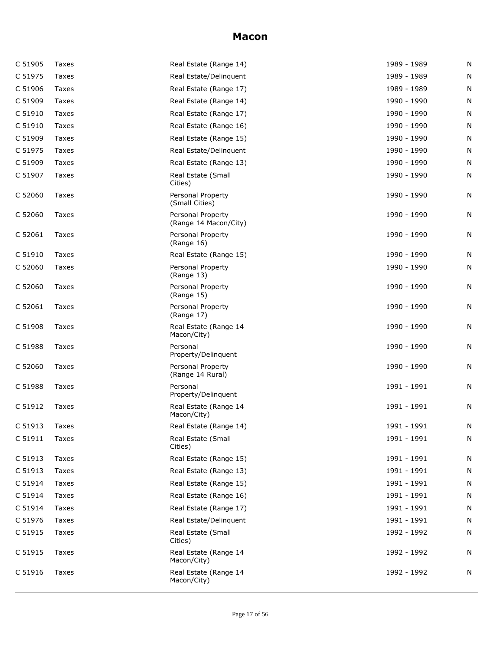| C 51905 | Taxes | Real Estate (Range 14)                     | 1989 - 1989 | N |
|---------|-------|--------------------------------------------|-------------|---|
| C 51975 | Taxes | Real Estate/Delinquent                     | 1989 - 1989 | N |
| C 51906 | Taxes | Real Estate (Range 17)                     | 1989 - 1989 | N |
| C 51909 | Taxes | Real Estate (Range 14)                     | 1990 - 1990 | N |
| C 51910 | Taxes | Real Estate (Range 17)                     | 1990 - 1990 | N |
| C 51910 | Taxes | Real Estate (Range 16)                     | 1990 - 1990 | N |
| C 51909 | Taxes | Real Estate (Range 15)                     | 1990 - 1990 | N |
| C 51975 | Taxes | Real Estate/Delinquent                     | 1990 - 1990 | N |
| C 51909 | Taxes | Real Estate (Range 13)                     | 1990 - 1990 | N |
| C 51907 | Taxes | Real Estate (Small<br>Cities)              | 1990 - 1990 | N |
| C 52060 | Taxes | Personal Property<br>(Small Cities)        | 1990 - 1990 | N |
| C 52060 | Taxes | Personal Property<br>(Range 14 Macon/City) | 1990 - 1990 | N |
| C 52061 | Taxes | Personal Property<br>(Range 16)            | 1990 - 1990 | N |
| C 51910 | Taxes | Real Estate (Range 15)                     | 1990 - 1990 | N |
| C 52060 | Taxes | Personal Property<br>(Range 13)            | 1990 - 1990 | N |
| C 52060 | Taxes | Personal Property<br>(Range 15)            | 1990 - 1990 | N |
| C 52061 | Taxes | Personal Property<br>(Range 17)            | 1990 - 1990 | N |
| C 51908 | Taxes | Real Estate (Range 14<br>Macon/City)       | 1990 - 1990 | N |
| C 51988 | Taxes | Personal<br>Property/Delinquent            | 1990 - 1990 | N |
| C 52060 | Taxes | Personal Property<br>(Range 14 Rural)      | 1990 - 1990 | N |
| C 51988 | Taxes | Personal<br>Property/Delinquent            | 1991 - 1991 | N |
| C 51912 | Taxes | Real Estate (Range 14<br>Macon/City)       | 1991 - 1991 | N |
| C 51913 | Taxes | Real Estate (Range 14)                     | 1991 - 1991 | N |
| C 51911 | Taxes | Real Estate (Small<br>Cities)              | 1991 - 1991 | N |
| C 51913 | Taxes | Real Estate (Range 15)                     | 1991 - 1991 | N |
| C 51913 | Taxes | Real Estate (Range 13)                     | 1991 - 1991 | N |
| C 51914 | Taxes | Real Estate (Range 15)                     | 1991 - 1991 | N |
| C 51914 | Taxes | Real Estate (Range 16)                     | 1991 - 1991 | N |
| C 51914 | Taxes | Real Estate (Range 17)                     | 1991 - 1991 | N |
| C 51976 | Taxes | Real Estate/Delinquent                     | 1991 - 1991 | N |
| C 51915 | Taxes | Real Estate (Small<br>Cities)              | 1992 - 1992 | N |
| C 51915 | Taxes | Real Estate (Range 14<br>Macon/City)       | 1992 - 1992 | N |
| C 51916 | Taxes | Real Estate (Range 14<br>Macon/City)       | 1992 - 1992 | N |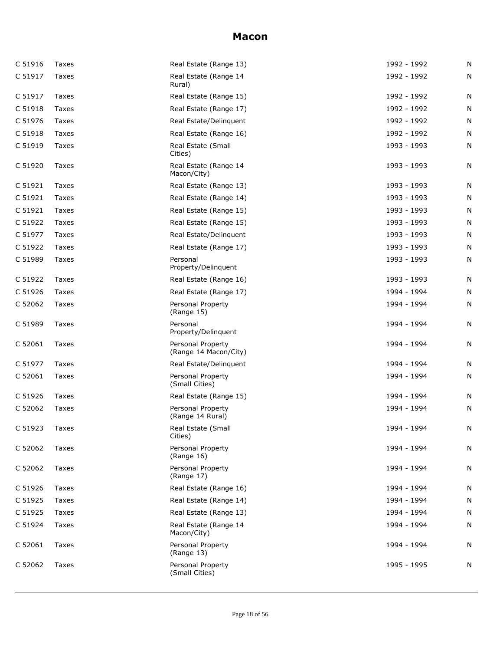|         | Taxes | Real Estate (Range 13)                     | 1992 - 1992 | N |
|---------|-------|--------------------------------------------|-------------|---|
| C 51917 | Taxes | Real Estate (Range 14<br>Rural)            | 1992 - 1992 | N |
| C 51917 | Taxes | Real Estate (Range 15)                     | 1992 - 1992 | N |
| C 51918 | Taxes | Real Estate (Range 17)                     | 1992 - 1992 | N |
| C 51976 | Taxes | Real Estate/Delinquent                     | 1992 - 1992 | N |
| C 51918 | Taxes | Real Estate (Range 16)                     | 1992 - 1992 | N |
| C 51919 | Taxes | Real Estate (Small<br>Cities)              | 1993 - 1993 | N |
| C 51920 | Taxes | Real Estate (Range 14<br>Macon/City)       | 1993 - 1993 | N |
| C 51921 | Taxes | Real Estate (Range 13)                     | 1993 - 1993 | N |
| C 51921 | Taxes | Real Estate (Range 14)                     | 1993 - 1993 | N |
| C 51921 | Taxes | Real Estate (Range 15)                     | 1993 - 1993 | N |
| C 51922 | Taxes | Real Estate (Range 15)                     | 1993 - 1993 | N |
| C 51977 | Taxes | Real Estate/Delinquent                     | 1993 - 1993 | N |
| C 51922 | Taxes | Real Estate (Range 17)                     | 1993 - 1993 | N |
| C 51989 | Taxes | Personal<br>Property/Delinquent            | 1993 - 1993 | N |
| C 51922 | Taxes | Real Estate (Range 16)                     | 1993 - 1993 | Ν |
| C 51926 | Taxes | Real Estate (Range 17)                     | 1994 - 1994 | N |
| C 52062 | Taxes | Personal Property<br>(Range 15)            | 1994 - 1994 | N |
| C 51989 | Taxes | Personal<br>Property/Delinquent            | 1994 - 1994 | N |
|         |       |                                            |             |   |
| C 52061 | Taxes | Personal Property<br>(Range 14 Macon/City) | 1994 - 1994 | N |
| C 51977 | Taxes | Real Estate/Delinguent                     | 1994 - 1994 | N |
| C 52061 | Taxes | Personal Property<br>(Small Cities)        | 1994 - 1994 | N |
| C 51926 | Taxes | Real Estate (Range 15)                     | 1994 - 1994 | N |
| C 52062 | Taxes | Personal Property<br>(Range 14 Rural)      | 1994 - 1994 | N |
| C 51923 | Taxes | Real Estate (Small<br>Cities)              | 1994 - 1994 | N |
| C 52062 | Taxes | Personal Property<br>(Range 16)            | 1994 - 1994 | N |
| C 52062 | Taxes | Personal Property<br>(Range 17)            | 1994 - 1994 | N |
| C 51926 | Taxes | Real Estate (Range 16)                     | 1994 - 1994 | N |
| C 51925 | Taxes | Real Estate (Range 14)                     | 1994 - 1994 | N |
| C 51925 | Taxes | Real Estate (Range 13)                     | 1994 - 1994 | N |
| C 51924 | Taxes | Real Estate (Range 14<br>Macon/City)       | 1994 - 1994 | N |
| C 52061 | Taxes | Personal Property<br>(Range 13)            | 1994 - 1994 | N |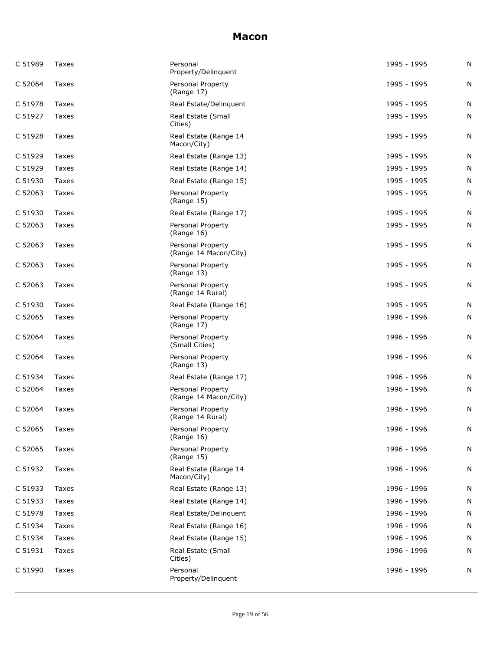| C 51989 | Taxes | Personal<br>Property/Delinquent            | 1995 - 1995 | N |
|---------|-------|--------------------------------------------|-------------|---|
| C 52064 | Taxes | Personal Property<br>(Range 17)            | 1995 - 1995 | N |
| C 51978 | Taxes | Real Estate/Delinguent                     | 1995 - 1995 | N |
| C 51927 | Taxes | Real Estate (Small<br>Cities)              | 1995 - 1995 | N |
| C 51928 | Taxes | Real Estate (Range 14<br>Macon/City)       | 1995 - 1995 | N |
| C 51929 | Taxes | Real Estate (Range 13)                     | 1995 - 1995 | N |
| C 51929 | Taxes | Real Estate (Range 14)                     | 1995 - 1995 | N |
| C 51930 | Taxes | Real Estate (Range 15)                     | 1995 - 1995 | N |
| C 52063 | Taxes | Personal Property<br>(Range 15)            | 1995 - 1995 | N |
| C 51930 | Taxes | Real Estate (Range 17)                     | 1995 - 1995 | N |
| C 52063 | Taxes | Personal Property<br>(Range 16)            | 1995 - 1995 | N |
| C 52063 | Taxes | Personal Property<br>(Range 14 Macon/City) | 1995 - 1995 | N |
| C 52063 | Taxes | Personal Property<br>(Range 13)            | 1995 - 1995 | N |
| C 52063 | Taxes | Personal Property<br>(Range 14 Rural)      | 1995 - 1995 | N |
| C 51930 | Taxes | Real Estate (Range 16)                     | 1995 - 1995 | N |
| C 52065 | Taxes | Personal Property<br>(Range 17)            | 1996 - 1996 | N |
| C 52064 | Taxes | Personal Property<br>(Small Cities)        | 1996 - 1996 | N |
| C 52064 | Taxes | Personal Property<br>(Range 13)            | 1996 - 1996 | N |
| C 51934 | Taxes | Real Estate (Range 17)                     | 1996 - 1996 | N |
| C 52064 | Taxes | Personal Property<br>(Range 14 Macon/City) | 1996 - 1996 | N |
| C 52064 | Taxes | Personal Property<br>(Range 14 Rural)      | 1996 - 1996 | N |
| C 52065 | Taxes | Personal Property<br>(Range 16)            | 1996 - 1996 | N |
| C 52065 | Taxes | Personal Property<br>(Range 15)            | 1996 - 1996 | N |
| C 51932 | Taxes | Real Estate (Range 14<br>Macon/City)       | 1996 - 1996 | N |
| C 51933 | Taxes | Real Estate (Range 13)                     | 1996 - 1996 | N |
| C 51933 | Taxes | Real Estate (Range 14)                     | 1996 - 1996 | N |
| C 51978 | Taxes | Real Estate/Delinguent                     | 1996 - 1996 | N |
| C 51934 | Taxes | Real Estate (Range 16)                     | 1996 - 1996 | N |
| C 51934 | Taxes | Real Estate (Range 15)                     | 1996 - 1996 | N |
| C 51931 | Taxes | Real Estate (Small<br>Cities)              | 1996 - 1996 | N |
| C 51990 | Taxes | Personal<br>Property/Delinquent            | 1996 - 1996 | N |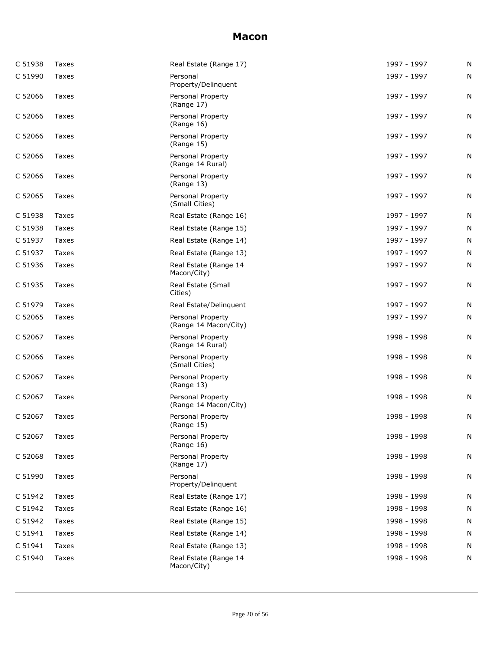| C 51938 | Taxes | Real Estate (Range 17)                     | 1997 - 1997 | N |
|---------|-------|--------------------------------------------|-------------|---|
| C 51990 | Taxes | Personal<br>Property/Delinquent            | 1997 - 1997 | N |
| C 52066 | Taxes | Personal Property<br>(Range 17)            | 1997 - 1997 | N |
| C 52066 | Taxes | Personal Property<br>(Range 16)            | 1997 - 1997 | N |
| C 52066 | Taxes | Personal Property<br>(Range 15)            | 1997 - 1997 | N |
| C 52066 | Taxes | Personal Property<br>(Range 14 Rural)      | 1997 - 1997 | N |
| C 52066 | Taxes | Personal Property<br>(Range 13)            | 1997 - 1997 | N |
| C 52065 | Taxes | Personal Property<br>(Small Cities)        | 1997 - 1997 | N |
| C 51938 | Taxes | Real Estate (Range 16)                     | 1997 - 1997 | N |
| C 51938 | Taxes | Real Estate (Range 15)                     | 1997 - 1997 | N |
| C 51937 | Taxes | Real Estate (Range 14)                     | 1997 - 1997 | N |
| C 51937 | Taxes | Real Estate (Range 13)                     | 1997 - 1997 | N |
| C 51936 | Taxes | Real Estate (Range 14<br>Macon/City)       | 1997 - 1997 | N |
| C 51935 | Taxes | Real Estate (Small<br>Cities)              | 1997 - 1997 | N |
| C 51979 | Taxes | Real Estate/Delinguent                     | 1997 - 1997 | N |
| C 52065 | Taxes | Personal Property<br>(Range 14 Macon/City) | 1997 - 1997 | N |
| C 52067 | Taxes | Personal Property<br>(Range 14 Rural)      | 1998 - 1998 | N |
| C 52066 | Taxes | Personal Property<br>(Small Cities)        | 1998 - 1998 | N |
| C 52067 | Taxes | Personal Property<br>(Range 13)            | 1998 - 1998 | N |
| C 52067 | Taxes | Personal Property<br>(Range 14 Macon/City) | 1998 - 1998 | Ν |
| C 52067 | Taxes | Personal Property<br>(Range 15)            | 1998 - 1998 | N |
| C 52067 | Taxes | Personal Property<br>(Range 16)            | 1998 - 1998 | N |
| C 52068 | Taxes | Personal Property<br>(Range 17)            | 1998 - 1998 | Ν |
| C 51990 | Taxes | Personal<br>Property/Delinquent            | 1998 - 1998 | N |
| C 51942 | Taxes | Real Estate (Range 17)                     | 1998 - 1998 | Ν |
| C 51942 | Taxes | Real Estate (Range 16)                     | 1998 - 1998 | Ν |
| C 51942 | Taxes | Real Estate (Range 15)                     | 1998 - 1998 | N |
| C 51941 | Taxes | Real Estate (Range 14)                     | 1998 - 1998 | N |
| C 51941 | Taxes | Real Estate (Range 13)                     | 1998 - 1998 | N |
| C 51940 | Taxes | Real Estate (Range 14<br>Macon/City)       | 1998 - 1998 | Ν |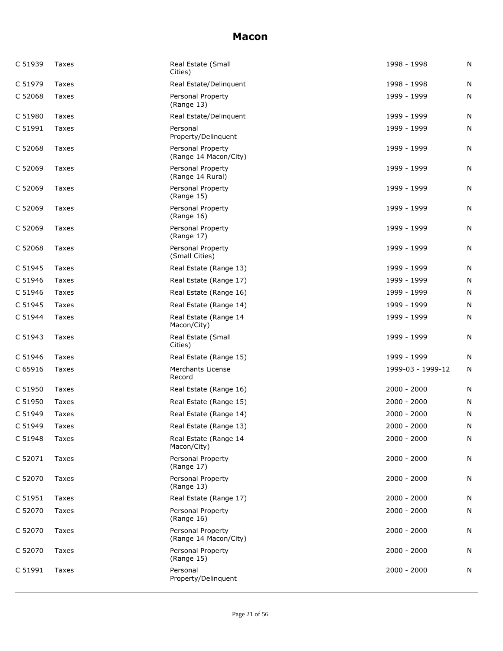| C 51939 | Taxes | Real Estate (Small<br>Cities)              | 1998 - 1998       | N |
|---------|-------|--------------------------------------------|-------------------|---|
| C 51979 | Taxes | Real Estate/Delinguent                     | 1998 - 1998       | N |
| C 52068 | Taxes | Personal Property<br>(Range 13)            | 1999 - 1999       | N |
| C 51980 | Taxes | Real Estate/Delinquent                     | 1999 - 1999       | N |
| C 51991 | Taxes | Personal<br>Property/Delinquent            | 1999 - 1999       | N |
| C 52068 | Taxes | Personal Property<br>(Range 14 Macon/City) | 1999 - 1999       | N |
| C 52069 | Taxes | Personal Property<br>(Range 14 Rural)      | 1999 - 1999       | N |
| C 52069 | Taxes | Personal Property<br>(Range 15)            | 1999 - 1999       | N |
| C 52069 | Taxes | Personal Property<br>(Range 16)            | 1999 - 1999       | N |
| C 52069 | Taxes | Personal Property<br>(Range 17)            | 1999 - 1999       | N |
| C 52068 | Taxes | Personal Property<br>(Small Cities)        | 1999 - 1999       | N |
| C 51945 | Taxes | Real Estate (Range 13)                     | 1999 - 1999       | N |
| C 51946 | Taxes | Real Estate (Range 17)                     | 1999 - 1999       | N |
| C 51946 | Taxes | Real Estate (Range 16)                     | 1999 - 1999       | N |
| C 51945 | Taxes | Real Estate (Range 14)                     | 1999 - 1999       | N |
| C 51944 | Taxes | Real Estate (Range 14<br>Macon/City)       | 1999 - 1999       | N |
| C 51943 | Taxes | Real Estate (Small<br>Cities)              | 1999 - 1999       | N |
| C 51946 | Taxes | Real Estate (Range 15)                     | 1999 - 1999       | N |
| C 65916 | Taxes | Merchants License<br>Record                | 1999-03 - 1999-12 | N |
| C 51950 | Taxes | Real Estate (Range 16)                     | $2000 - 2000$     | N |
| C 51950 | Taxes | Real Estate (Range 15)                     | $2000 - 2000$     | N |
| C 51949 | Taxes | Real Estate (Range 14)                     | $2000 - 2000$     | N |
| C 51949 | Taxes | Real Estate (Range 13)                     | $2000 - 2000$     | N |
| C 51948 | Taxes | Real Estate (Range 14<br>Macon/City)       | $2000 - 2000$     | N |
| C 52071 | Taxes | Personal Property<br>(Range 17)            | $2000 - 2000$     | N |
| C 52070 | Taxes | Personal Property<br>(Range 13)            | $2000 - 2000$     | N |
| C 51951 | Taxes | Real Estate (Range 17)                     | $2000 - 2000$     | N |
| C 52070 | Taxes | Personal Property<br>(Range 16)            | $2000 - 2000$     | N |
| C 52070 | Taxes | Personal Property<br>(Range 14 Macon/City) | $2000 - 2000$     | N |
| C 52070 | Taxes | Personal Property<br>(Range 15)            | $2000 - 2000$     | N |
| C 51991 | Taxes | Personal<br>Property/Delinquent            | $2000 - 2000$     | N |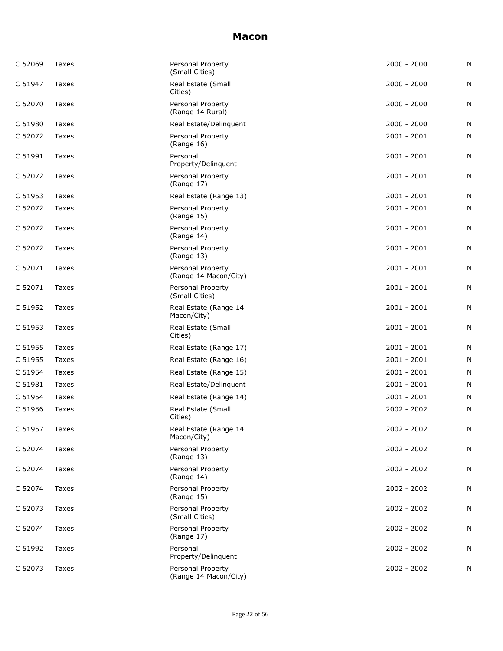| C 52069 | Taxes        | Personal Property<br>(Small Cities)        | $2000 - 2000$ | Ν |
|---------|--------------|--------------------------------------------|---------------|---|
| C 51947 | Taxes        | Real Estate (Small<br>Cities)              | $2000 - 2000$ | N |
| C 52070 | Taxes        | Personal Property<br>(Range 14 Rural)      | $2000 - 2000$ | N |
| C 51980 | Taxes        | Real Estate/Delinquent                     | $2000 - 2000$ | N |
| C 52072 | Taxes        | Personal Property<br>(Range 16)            | $2001 - 2001$ | N |
| C 51991 | <b>Taxes</b> | Personal<br>Property/Delinquent            | $2001 - 2001$ | N |
| C 52072 | Taxes        | Personal Property<br>(Range 17)            | 2001 - 2001   | N |
| C 51953 | Taxes        | Real Estate (Range 13)                     | 2001 - 2001   | N |
| C 52072 | Taxes        | Personal Property<br>(Range 15)            | $2001 - 2001$ | N |
| C 52072 | Taxes        | Personal Property<br>(Range 14)            | $2001 - 2001$ | N |
| C 52072 | Taxes        | Personal Property<br>(Range 13)            | $2001 - 2001$ | N |
| C 52071 | Taxes        | Personal Property<br>(Range 14 Macon/City) | $2001 - 2001$ | N |
| C 52071 | Taxes        | Personal Property<br>(Small Cities)        | $2001 - 2001$ | N |
| C 51952 | Taxes        | Real Estate (Range 14<br>Macon/City)       | $2001 - 2001$ | N |
| C 51953 | Taxes        | Real Estate (Small<br>Cities)              | $2001 - 2001$ | Ν |
| C 51955 | Taxes        | Real Estate (Range 17)                     | $2001 - 2001$ | N |
| C 51955 | Taxes        | Real Estate (Range 16)                     | $2001 - 2001$ | N |
| C 51954 | Taxes        | Real Estate (Range 15)                     | $2001 - 2001$ | N |
| C 51981 | Taxes        | Real Estate/Delinquent                     | $2001 - 2001$ | N |
| C 51954 | Taxes        | Real Estate (Range 14)                     | $2001 - 2001$ | N |
| C 51956 | Taxes        | Real Estate (Small<br>Cities)              | 2002 - 2002   | N |
| C 51957 | Taxes        | Real Estate (Range 14<br>Macon/City)       | 2002 - 2002   | N |
| C 52074 | Taxes        | Personal Property<br>(Range 13)            | $2002 - 2002$ | Ν |
| C 52074 | Taxes        | Personal Property<br>(Range 14)            | 2002 - 2002   | N |
| C 52074 | Taxes        | Personal Property<br>(Range 15)            | 2002 - 2002   | N |
| C 52073 | Taxes        | Personal Property<br>(Small Cities)        | $2002 - 2002$ | N |
| C 52074 | Taxes        | Personal Property<br>(Range 17)            | $2002 - 2002$ | N |
| C 51992 | Taxes        | Personal<br>Property/Delinquent            | 2002 - 2002   | N |
| C 52073 | Taxes        | Personal Property<br>(Range 14 Macon/City) | 2002 - 2002   | N |
|         |              |                                            |               |   |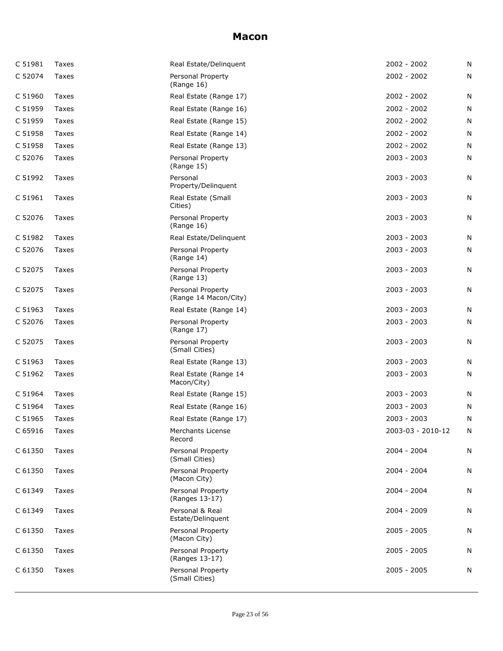| C 51981 | Taxes        | Real Estate/Delinguent                     | $2002 - 2002$     | N |
|---------|--------------|--------------------------------------------|-------------------|---|
| C 52074 | Taxes        | Personal Property<br>(Range 16)            | $2002 - 2002$     | N |
| C 51960 | Taxes        | Real Estate (Range 17)                     | $2002 - 2002$     | N |
| C 51959 | Taxes        | Real Estate (Range 16)                     | $2002 - 2002$     | Ν |
| C 51959 | Taxes        | Real Estate (Range 15)                     | $2002 - 2002$     | N |
| C 51958 | Taxes        | Real Estate (Range 14)                     | $2002 - 2002$     | N |
| C 51958 | Taxes        | Real Estate (Range 13)                     | $2002 - 2002$     | N |
| C 52076 | Taxes        | Personal Property<br>(Range 15)            | $2003 - 2003$     | N |
| C 51992 | Taxes        | Personal<br>Property/Delinquent            | $2003 - 2003$     | N |
| C 51961 | Taxes        | Real Estate (Small<br>Cities)              | $2003 - 2003$     | N |
| C 52076 | <b>Taxes</b> | Personal Property<br>(Range 16)            | $2003 - 2003$     | Ν |
| C 51982 | Taxes        | Real Estate/Delinguent                     | 2003 - 2003       | Ν |
| C 52076 | Taxes        | Personal Property<br>(Range 14)            | 2003 - 2003       | N |
| C 52075 | Taxes        | Personal Property<br>(Range 13)            | $2003 - 2003$     | N |
| C 52075 | Taxes        | Personal Property<br>(Range 14 Macon/City) | $2003 - 2003$     | N |
| C 51963 | Taxes        | Real Estate (Range 14)                     | 2003 - 2003       | N |
| C 52076 | Taxes        | Personal Property<br>(Range 17)            | $2003 - 2003$     | N |
| C 52075 | Taxes        | Personal Property<br>(Small Cities)        | $2003 - 2003$     | N |
| C 51963 | Taxes        | Real Estate (Range 13)                     | $2003 - 2003$     | N |
| C 51962 | Taxes        | Real Estate (Range 14<br>Macon/City)       | $2003 - 2003$     | N |
| C 51964 | Taxes        | Real Estate (Range 15)                     | $2003 - 2003$     | N |
| C 51964 | Taxes        | Real Estate (Range 16)                     | 2003 - 2003       | N |
| C 51965 | Taxes        | Real Estate (Range 17)                     | $2003 - 2003$     | N |
| C 65916 | Taxes        | Merchants License<br>Record                | 2003-03 - 2010-12 | N |
| C 61350 | Taxes        | Personal Property<br>(Small Cities)        | $2004 - 2004$     | N |
| C 61350 | Taxes        | Personal Property<br>(Macon City)          | $2004 - 2004$     | N |
| C 61349 | Taxes        | Personal Property<br>(Ranges 13-17)        | 2004 - 2004       | N |
| C 61349 | Taxes        | Personal & Real<br>Estate/Delinquent       | 2004 - 2009       | N |
| C 61350 | Taxes        | Personal Property<br>(Macon City)          | $2005 - 2005$     | N |
| C 61350 | Taxes        | Personal Property<br>(Ranges 13-17)        | 2005 - 2005       | N |
| C 61350 | Taxes        | Personal Property<br>(Small Cities)        | $2005 - 2005$     | N |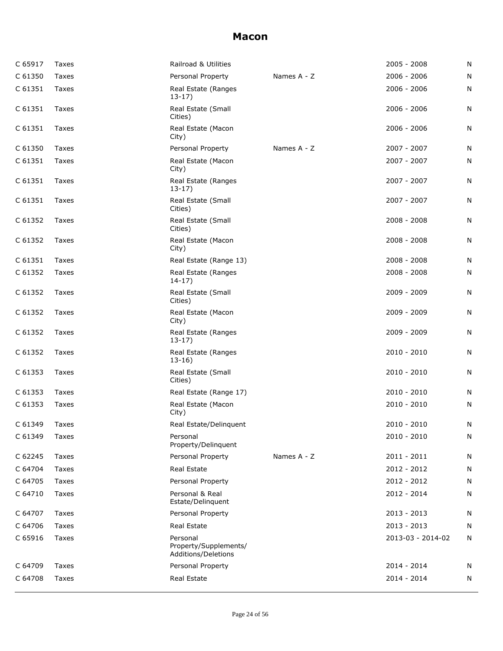| C 65917 | Taxes | Railroad & Utilities                                     |             | $2005 - 2008$     | N |
|---------|-------|----------------------------------------------------------|-------------|-------------------|---|
| C 61350 | Taxes | Personal Property                                        | Names A - Z | $2006 - 2006$     | N |
| C 61351 | Taxes | Real Estate (Ranges<br>$13-17)$                          |             | 2006 - 2006       | N |
| C 61351 | Taxes | Real Estate (Small<br>Cities)                            |             | $2006 - 2006$     | N |
| C 61351 | Taxes | Real Estate (Macon<br>City)                              |             | $2006 - 2006$     | N |
| C 61350 | Taxes | Personal Property                                        | Names A - Z | $2007 - 2007$     | N |
| C 61351 | Taxes | Real Estate (Macon<br>City)                              |             | 2007 - 2007       | N |
| C 61351 | Taxes | Real Estate (Ranges<br>$13-17$                           |             | 2007 - 2007       | N |
| C 61351 | Taxes | Real Estate (Small<br>Cities)                            |             | $2007 - 2007$     | N |
| C 61352 | Taxes | Real Estate (Small<br>Cities)                            |             | $2008 - 2008$     | N |
| C 61352 | Taxes | Real Estate (Macon<br>City)                              |             | $2008 - 2008$     | N |
| C 61351 | Taxes | Real Estate (Range 13)                                   |             | $2008 - 2008$     | N |
| C 61352 | Taxes | Real Estate (Ranges<br>$14-17)$                          |             | $2008 - 2008$     | N |
| C 61352 | Taxes | Real Estate (Small<br>Cities)                            |             | 2009 - 2009       | N |
| C 61352 | Taxes | Real Estate (Macon<br>City)                              |             | 2009 - 2009       | N |
| C 61352 | Taxes | Real Estate (Ranges<br>$13-17$                           |             | 2009 - 2009       | N |
| C 61352 | Taxes | Real Estate (Ranges<br>$13-16$                           |             | 2010 - 2010       | N |
| C 61353 | Taxes | Real Estate (Small<br>Cities)                            |             | $2010 - 2010$     | N |
| C 61353 | Taxes | Real Estate (Range 17)                                   |             | $2010 - 2010$     | N |
| C 61353 | Taxes | Real Estate (Macon<br>City)                              |             | $2010 - 2010$     | N |
| C 61349 | Taxes | Real Estate/Delinquent                                   |             | $2010 - 2010$     | N |
| C 61349 | Taxes | Personal<br>Property/Delinquent                          |             | $2010 - 2010$     | N |
| C 62245 | Taxes | Personal Property                                        | Names A - Z | $2011 - 2011$     | N |
| C 64704 | Taxes | <b>Real Estate</b>                                       |             | 2012 - 2012       | N |
| C 64705 | Taxes | Personal Property                                        |             | 2012 - 2012       | N |
| C 64710 | Taxes | Personal & Real<br>Estate/Delinguent                     |             | 2012 - 2014       | N |
| C 64707 | Taxes | Personal Property                                        |             | $2013 - 2013$     | N |
| C 64706 | Taxes | Real Estate                                              |             | $2013 - 2013$     | N |
| C 65916 | Taxes | Personal<br>Property/Supplements/<br>Additions/Deletions |             | 2013-03 - 2014-02 | N |
| C 64709 | Taxes | Personal Property                                        |             | 2014 - 2014       | N |
| C 64708 | Taxes | Real Estate                                              |             | 2014 - 2014       | N |
|         |       |                                                          |             |                   |   |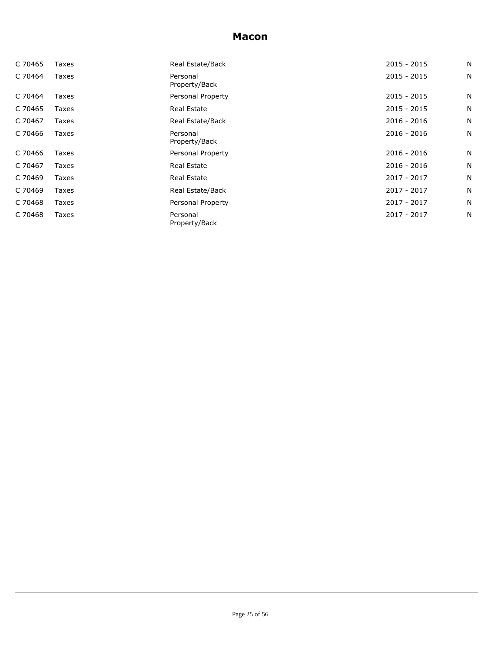| C 70465 | Taxes | Real Estate/Back          | $2015 - 2015$ | N |
|---------|-------|---------------------------|---------------|---|
| C 70464 | Taxes | Personal<br>Property/Back | $2015 - 2015$ | N |
| C 70464 | Taxes | Personal Property         | $2015 - 2015$ | N |
| C 70465 | Taxes | Real Estate               | $2015 - 2015$ | N |
| C 70467 | Taxes | Real Estate/Back          | $2016 - 2016$ | N |
| C 70466 | Taxes | Personal<br>Property/Back | $2016 - 2016$ | N |
| C 70466 | Taxes | Personal Property         | $2016 - 2016$ | N |
| C 70467 | Taxes | Real Estate               | 2016 - 2016   | N |
| C 70469 | Taxes | Real Estate               | 2017 - 2017   | N |
| C 70469 | Taxes | Real Estate/Back          | 2017 - 2017   | N |
| C 70468 | Taxes | Personal Property         | 2017 - 2017   | N |
| C 70468 | Taxes | Personal<br>Property/Back | 2017 - 2017   | N |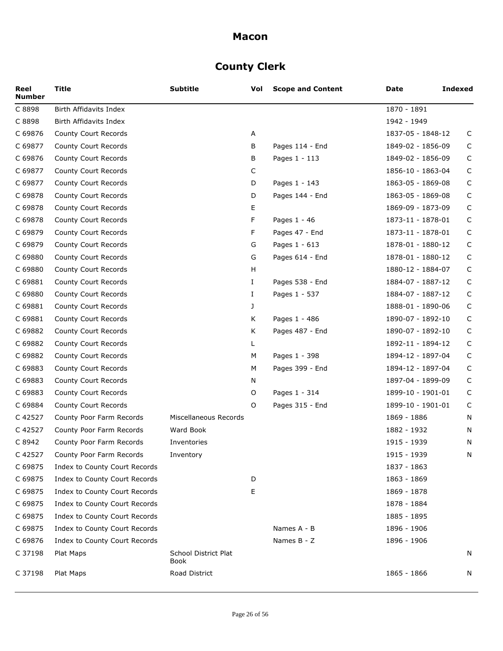# **County Clerk**

| Reel<br><b>Number</b> | <b>Title</b>                  | <b>Subtitle</b>                     | Vol | <b>Scope and Content</b> | Date              | <b>Indexed</b> |
|-----------------------|-------------------------------|-------------------------------------|-----|--------------------------|-------------------|----------------|
| C 8898                | Birth Affidavits Index        |                                     |     |                          | 1870 - 1891       |                |
| C 8898                | Birth Affidavits Index        |                                     |     |                          | 1942 - 1949       |                |
| C 69876               | County Court Records          |                                     | А   |                          | 1837-05 - 1848-12 | C              |
| C 69877               | County Court Records          |                                     | В   | Pages 114 - End          | 1849-02 - 1856-09 | C              |
| C 69876               | County Court Records          |                                     | В   | Pages 1 - 113            | 1849-02 - 1856-09 | $\mathsf C$    |
| C 69877               | County Court Records          |                                     | С   |                          | 1856-10 - 1863-04 | $\mathsf C$    |
| C 69877               | County Court Records          |                                     | D   | Pages 1 - 143            | 1863-05 - 1869-08 | $\mathsf C$    |
| C 69878               | County Court Records          |                                     | D   | Pages 144 - End          | 1863-05 - 1869-08 | C              |
| C 69878               | County Court Records          |                                     | E   |                          | 1869-09 - 1873-09 | $\mathsf C$    |
| C 69878               | County Court Records          |                                     | F   | Pages 1 - 46             | 1873-11 - 1878-01 | $\mathsf C$    |
| C 69879               | County Court Records          |                                     | F   | Pages 47 - End           | 1873-11 - 1878-01 | C              |
| C 69879               | County Court Records          |                                     | G   | Pages 1 - 613            | 1878-01 - 1880-12 | C              |
| C 69880               | County Court Records          |                                     | G   | Pages 614 - End          | 1878-01 - 1880-12 | $\mathsf C$    |
| C 69880               | County Court Records          |                                     | H   |                          | 1880-12 - 1884-07 | $\mathsf C$    |
| C 69881               | County Court Records          |                                     | Ι.  | Pages 538 - End          | 1884-07 - 1887-12 | C              |
| C 69880               | County Court Records          |                                     | Ι.  | Pages 1 - 537            | 1884-07 - 1887-12 | C              |
| C 69881               | County Court Records          |                                     | J   |                          | 1888-01 - 1890-06 | $\mathsf C$    |
| C 69881               | County Court Records          |                                     | К   | Pages 1 - 486            | 1890-07 - 1892-10 | $\mathsf C$    |
| C 69882               | County Court Records          |                                     | К   | Pages 487 - End          | 1890-07 - 1892-10 | $\mathsf C$    |
| C 69882               | County Court Records          |                                     | L   |                          | 1892-11 - 1894-12 | C              |
| C 69882               | County Court Records          |                                     | M   | Pages 1 - 398            | 1894-12 - 1897-04 | $\mathsf C$    |
| C 69883               | County Court Records          |                                     | М   | Pages 399 - End          | 1894-12 - 1897-04 | $\mathsf C$    |
| C 69883               | County Court Records          |                                     | N   |                          | 1897-04 - 1899-09 | C              |
| C 69883               | County Court Records          |                                     | O   | Pages 1 - 314            | 1899-10 - 1901-01 | C              |
| C 69884               | County Court Records          |                                     | 0   | Pages 315 - End          | 1899-10 - 1901-01 | C              |
| C 42527               | County Poor Farm Records      | Miscellaneous Records               |     |                          | 1869 - 1886       | N              |
| C 42527               | County Poor Farm Records      | Ward Book                           |     |                          | 1882 - 1932       | N              |
| C 8942                | County Poor Farm Records      | Inventories                         |     |                          | 1915 - 1939       | N              |
| C 42527               | County Poor Farm Records      | Inventory                           |     |                          | 1915 - 1939       | N              |
| C 69875               | Index to County Court Records |                                     |     |                          | 1837 - 1863       |                |
| C 69875               | Index to County Court Records |                                     | D   |                          | 1863 - 1869       |                |
| C 69875               | Index to County Court Records |                                     | Ε   |                          | 1869 - 1878       |                |
| C 69875               | Index to County Court Records |                                     |     |                          | 1878 - 1884       |                |
| C 69875               | Index to County Court Records |                                     |     |                          | 1885 - 1895       |                |
| C 69875               | Index to County Court Records |                                     |     | Names A - B              | 1896 - 1906       |                |
| C 69876               | Index to County Court Records |                                     |     | Names B - Z              | 1896 - 1906       |                |
| C 37198               | Plat Maps                     | <b>School District Plat</b><br>Book |     |                          |                   | N              |
| C 37198               | Plat Maps                     | Road District                       |     |                          | 1865 - 1866       | N              |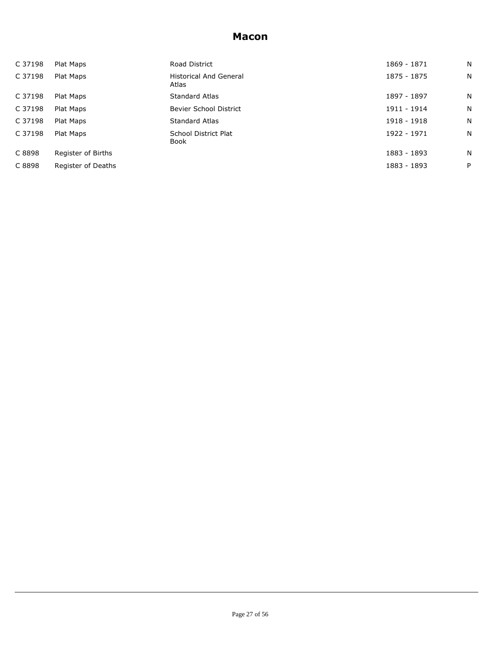| C 37198 | Plat Maps          | Road District                          | 1869 - 1871 | N |
|---------|--------------------|----------------------------------------|-------------|---|
| C 37198 | Plat Maps          | <b>Historical And General</b><br>Atlas | 1875 - 1875 | N |
| C 37198 | Plat Maps          | <b>Standard Atlas</b>                  | 1897 - 1897 | N |
| C 37198 | Plat Maps          | Bevier School District                 | 1911 - 1914 | N |
| C 37198 | Plat Maps          | <b>Standard Atlas</b>                  | 1918 - 1918 | N |
| C 37198 | Plat Maps          | School District Plat<br>Book           | 1922 - 1971 | N |
| C 8898  | Register of Births |                                        | 1883 - 1893 | N |
| C 8898  | Register of Deaths |                                        | 1883 - 1893 | P |
|         |                    |                                        |             |   |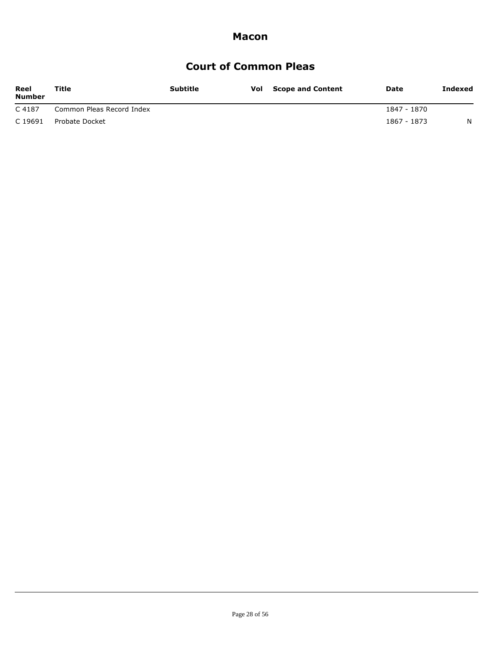# **Court of Common Pleas**

| Reel<br><b>Number</b> | Title                     | <b>Subtitle</b> | <b>Vol</b> Scope and Content | Date        | Indexed |
|-----------------------|---------------------------|-----------------|------------------------------|-------------|---------|
| C 4187                | Common Pleas Record Index |                 |                              | 1847 - 1870 |         |
| C 19691               | Probate Docket            |                 |                              | 1867 - 1873 | N       |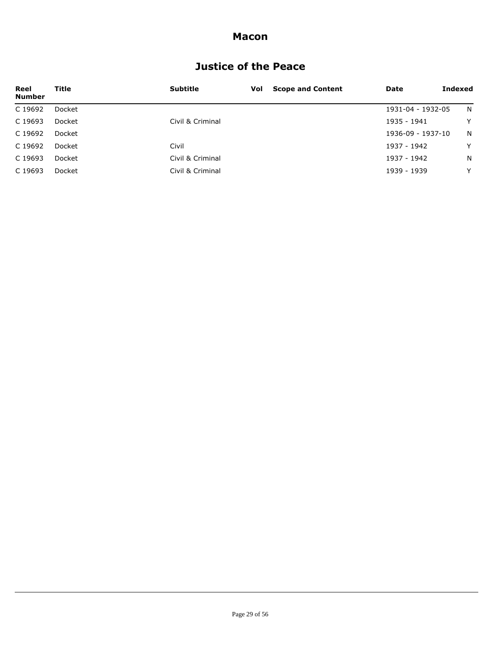# **Justice of the Peace**

| Reel<br><b>Number</b> | Title  | <b>Subtitle</b>  | Vol | <b>Scope and Content</b> | Date              | Indexed |
|-----------------------|--------|------------------|-----|--------------------------|-------------------|---------|
| C 19692               | Docket |                  |     |                          | 1931-04 - 1932-05 | N.      |
| C 19693               | Docket | Civil & Criminal |     |                          | 1935 - 1941       | Y       |
| C 19692               | Docket |                  |     |                          | 1936-09 - 1937-10 | N.      |
| C 19692               | Docket | Civil            |     |                          | 1937 - 1942       | Y       |
| C 19693               | Docket | Civil & Criminal |     |                          | 1937 - 1942       | N       |
| C 19693               | Docket | Civil & Criminal |     |                          | 1939 - 1939       | Y       |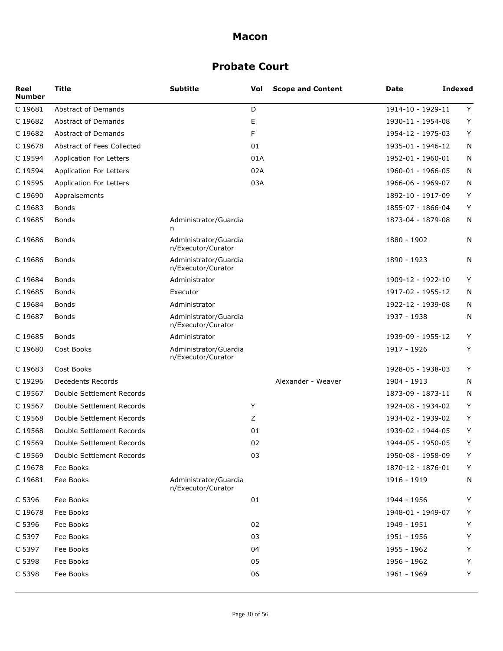# **Probate Court**

| Reel<br><b>Number</b> | Title                          | <b>Subtitle</b>                             | Vol | <b>Scope and Content</b> | Date              | <b>Indexed</b> |
|-----------------------|--------------------------------|---------------------------------------------|-----|--------------------------|-------------------|----------------|
| C 19681               | <b>Abstract of Demands</b>     |                                             | D   |                          | 1914-10 - 1929-11 | Y              |
| C 19682               | <b>Abstract of Demands</b>     |                                             | E   |                          | 1930-11 - 1954-08 | Y              |
| C 19682               | <b>Abstract of Demands</b>     |                                             | F   |                          | 1954-12 - 1975-03 | Y              |
| C 19678               | Abstract of Fees Collected     |                                             | 01  |                          | 1935-01 - 1946-12 | N              |
| C 19594               | <b>Application For Letters</b> |                                             | 01A |                          | 1952-01 - 1960-01 | N              |
| C 19594               | <b>Application For Letters</b> |                                             | 02A |                          | 1960-01 - 1966-05 | N              |
| C 19595               | <b>Application For Letters</b> |                                             | 03A |                          | 1966-06 - 1969-07 | N              |
| C 19690               | Appraisements                  |                                             |     |                          | 1892-10 - 1917-09 | Y              |
| C 19683               | Bonds                          |                                             |     |                          | 1855-07 - 1866-04 | Y              |
| C 19685               | Bonds                          | Administrator/Guardia<br>n                  |     |                          | 1873-04 - 1879-08 | N              |
| C 19686               | Bonds                          | Administrator/Guardia<br>n/Executor/Curator |     |                          | 1880 - 1902       | N              |
| C 19686               | Bonds                          | Administrator/Guardia<br>n/Executor/Curator |     |                          | 1890 - 1923       | N              |
| C 19684               | Bonds                          | Administrator                               |     |                          | 1909-12 - 1922-10 | Y              |
| C 19685               | <b>Bonds</b>                   | Executor                                    |     |                          | 1917-02 - 1955-12 | N              |
| C 19684               | Bonds                          | Administrator                               |     |                          | 1922-12 - 1939-08 | N              |
| C 19687               | <b>Bonds</b>                   | Administrator/Guardia<br>n/Executor/Curator |     |                          | 1937 - 1938       | N              |
| C 19685               | <b>Bonds</b>                   | Administrator                               |     |                          | 1939-09 - 1955-12 | Y              |
| C 19680               | Cost Books                     | Administrator/Guardia<br>n/Executor/Curator |     |                          | 1917 - 1926       | Y              |
| C 19683               | Cost Books                     |                                             |     |                          | 1928-05 - 1938-03 | Y              |
| C 19296               | <b>Decedents Records</b>       |                                             |     | Alexander - Weaver       | 1904 - 1913       | N              |
| C 19567               | Double Settlement Records      |                                             |     |                          | 1873-09 - 1873-11 | N              |
| C 19567               | Double Settlement Records      |                                             | Y   |                          | 1924-08 - 1934-02 | Y              |
| C 19568               | Double Settlement Records      |                                             | Z   |                          | 1934-02 - 1939-02 | Y              |
| C 19568               | Double Settlement Records      |                                             | 01  |                          | 1939-02 - 1944-05 | Y              |
| C 19569               | Double Settlement Records      |                                             | 02  |                          | 1944-05 - 1950-05 | Y              |
| C 19569               | Double Settlement Records      |                                             | 03  |                          | 1950-08 - 1958-09 | Y              |
| C 19678               | Fee Books                      |                                             |     |                          | 1870-12 - 1876-01 | Υ              |
| C 19681               | Fee Books                      | Administrator/Guardia<br>n/Executor/Curator |     |                          | 1916 - 1919       | N              |
| C 5396                | Fee Books                      |                                             | 01  |                          | 1944 - 1956       | Υ              |
| C 19678               | Fee Books                      |                                             |     |                          | 1948-01 - 1949-07 | Y              |
| C 5396                | Fee Books                      |                                             | 02  |                          | 1949 - 1951       | Υ              |
| C 5397                | Fee Books                      |                                             | 03  |                          | 1951 - 1956       | Υ              |
| C 5397                | Fee Books                      |                                             | 04  |                          | 1955 - 1962       | Υ              |
| C 5398                | Fee Books                      |                                             | 05  |                          | 1956 - 1962       | Υ              |
| C 5398                | Fee Books                      |                                             | 06  |                          | 1961 - 1969       | Υ              |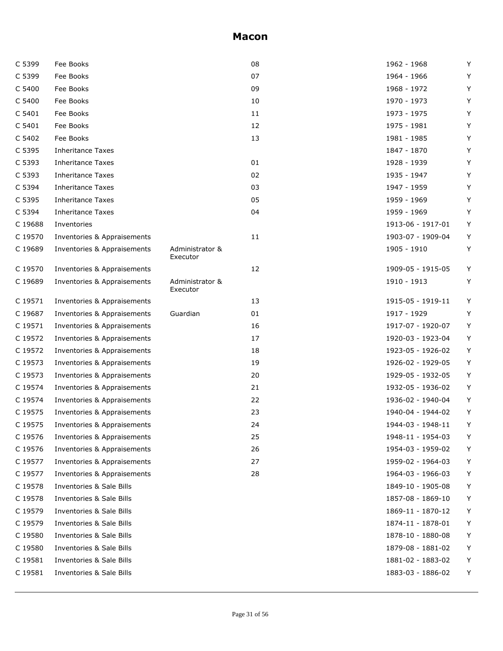| C 5399  | Fee Books                   |                             | 08 | 1962 - 1968       | Y |
|---------|-----------------------------|-----------------------------|----|-------------------|---|
| C 5399  | Fee Books                   |                             | 07 | 1964 - 1966       | Υ |
| C 5400  | Fee Books                   |                             | 09 | 1968 - 1972       | Y |
| C 5400  | Fee Books                   |                             | 10 | 1970 - 1973       | Υ |
| C 5401  | Fee Books                   |                             | 11 | 1973 - 1975       | Y |
| C 5401  | Fee Books                   |                             | 12 | 1975 - 1981       | Υ |
| C 5402  | Fee Books                   |                             | 13 | 1981 - 1985       | Y |
| C 5395  | Inheritance Taxes           |                             |    | 1847 - 1870       | Y |
| C 5393  | Inheritance Taxes           |                             | 01 | 1928 - 1939       | Y |
| C 5393  | <b>Inheritance Taxes</b>    |                             | 02 | 1935 - 1947       | Y |
| C 5394  | <b>Inheritance Taxes</b>    |                             | 03 | 1947 - 1959       | Y |
| C 5395  | <b>Inheritance Taxes</b>    |                             | 05 | 1959 - 1969       | Y |
| C 5394  | <b>Inheritance Taxes</b>    |                             | 04 | 1959 - 1969       | Y |
| C 19688 | Inventories                 |                             |    | 1913-06 - 1917-01 | Y |
| C 19570 | Inventories & Appraisements |                             | 11 | 1903-07 - 1909-04 | Y |
| C 19689 | Inventories & Appraisements | Administrator &<br>Executor |    | 1905 - 1910       | Y |
| C 19570 | Inventories & Appraisements |                             | 12 | 1909-05 - 1915-05 | Y |
| C 19689 | Inventories & Appraisements | Administrator &<br>Executor |    | 1910 - 1913       | Y |
| C 19571 | Inventories & Appraisements |                             | 13 | 1915-05 - 1919-11 | Y |
| C 19687 | Inventories & Appraisements | Guardian                    | 01 | 1917 - 1929       | Υ |
| C 19571 | Inventories & Appraisements |                             | 16 | 1917-07 - 1920-07 | Y |
| C 19572 | Inventories & Appraisements |                             | 17 | 1920-03 - 1923-04 | Y |
| C 19572 | Inventories & Appraisements |                             | 18 | 1923-05 - 1926-02 | Y |
| C 19573 | Inventories & Appraisements |                             | 19 | 1926-02 - 1929-05 | Υ |
| C 19573 | Inventories & Appraisements |                             | 20 | 1929-05 - 1932-05 | Υ |
| C 19574 | Inventories & Appraisements |                             | 21 | 1932-05 - 1936-02 | Y |
| C 19574 | Inventories & Appraisements |                             | 22 | 1936-02 - 1940-04 | Y |
| C 19575 | Inventories & Appraisements |                             | 23 | 1940-04 - 1944-02 | Y |
| C 19575 | Inventories & Appraisements |                             | 24 | 1944-03 - 1948-11 | Y |
| C 19576 | Inventories & Appraisements |                             | 25 | 1948-11 - 1954-03 | Υ |
| C 19576 | Inventories & Appraisements |                             | 26 | 1954-03 - 1959-02 | Y |
| C 19577 | Inventories & Appraisements |                             | 27 | 1959-02 - 1964-03 | Υ |
| C 19577 | Inventories & Appraisements |                             | 28 | 1964-03 - 1966-03 | Y |
| C 19578 | Inventories & Sale Bills    |                             |    | 1849-10 - 1905-08 | Υ |
| C 19578 | Inventories & Sale Bills    |                             |    | 1857-08 - 1869-10 | Y |
| C 19579 | Inventories & Sale Bills    |                             |    | 1869-11 - 1870-12 | Υ |
| C 19579 | Inventories & Sale Bills    |                             |    | 1874-11 - 1878-01 | Υ |
| C 19580 | Inventories & Sale Bills    |                             |    | 1878-10 - 1880-08 | Υ |
| C 19580 | Inventories & Sale Bills    |                             |    | 1879-08 - 1881-02 | Υ |
| C 19581 | Inventories & Sale Bills    |                             |    | 1881-02 - 1883-02 | Y |
| C 19581 | Inventories & Sale Bills    |                             |    | 1883-03 - 1886-02 | Y |
|         |                             |                             |    |                   |   |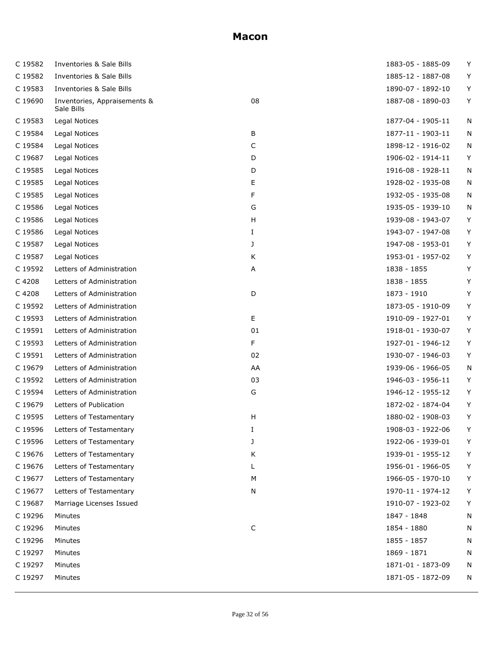| C 19582 | Inventories & Sale Bills                   |    | 1883-05 - 1885-09 | Υ |
|---------|--------------------------------------------|----|-------------------|---|
| C 19582 | Inventories & Sale Bills                   |    | 1885-12 - 1887-08 | Y |
| C 19583 | Inventories & Sale Bills                   |    | 1890-07 - 1892-10 | Υ |
| C 19690 | Inventories, Appraisements &<br>Sale Bills | 08 | 1887-08 - 1890-03 | Υ |
| C 19583 | Legal Notices                              |    | 1877-04 - 1905-11 | N |
| C 19584 | Legal Notices                              | В  | 1877-11 - 1903-11 | N |
| C 19584 | Legal Notices                              | C  | 1898-12 - 1916-02 | N |
| C 19687 | Legal Notices                              | D  | 1906-02 - 1914-11 | Υ |
| C 19585 | Legal Notices                              | D  | 1916-08 - 1928-11 | N |
| C 19585 | Legal Notices                              | Ε  | 1928-02 - 1935-08 | N |
| C 19585 | Legal Notices                              | F  | 1932-05 - 1935-08 | N |
| C 19586 | Legal Notices                              | G  | 1935-05 - 1939-10 | N |
| C 19586 | Legal Notices                              | H  | 1939-08 - 1943-07 | Υ |
| C 19586 | Legal Notices                              | Ι. | 1943-07 - 1947-08 | Υ |
| C 19587 | Legal Notices                              | J  | 1947-08 - 1953-01 | Y |
| C 19587 | Legal Notices                              | Κ  | 1953-01 - 1957-02 | Υ |
| C 19592 | Letters of Administration                  | А  | 1838 - 1855       | Υ |
| C 4208  | Letters of Administration                  |    | 1838 - 1855       | Υ |
| C 4208  | Letters of Administration                  | D  | 1873 - 1910       | Y |
| C 19592 | Letters of Administration                  |    | 1873-05 - 1910-09 | Υ |
| C 19593 | Letters of Administration                  | E  | 1910-09 - 1927-01 | Y |
| C 19591 | Letters of Administration                  | 01 | 1918-01 - 1930-07 | Υ |
| C 19593 | Letters of Administration                  | F  | 1927-01 - 1946-12 | Y |
| C 19591 | Letters of Administration                  | 02 | 1930-07 - 1946-03 | Υ |
| C 19679 | Letters of Administration                  | AA | 1939-06 - 1966-05 | N |
| C 19592 | Letters of Administration                  | 03 | 1946-03 - 1956-11 | Υ |
| C 19594 | Letters of Administration                  | G  | 1946-12 - 1955-12 | Υ |
| C 19679 | Letters of Publication                     |    | 1872-02 - 1874-04 | Y |
| C 19595 | Letters of Testamentary                    | H  | 1880-02 - 1908-03 | Υ |
| C 19596 | Letters of Testamentary                    | I  | 1908-03 - 1922-06 | Y |
| C 19596 | Letters of Testamentary                    | J  | 1922-06 - 1939-01 | Y |
| C 19676 | Letters of Testamentary                    | Κ  | 1939-01 - 1955-12 | Υ |
| C 19676 | Letters of Testamentary                    | L  | 1956-01 - 1966-05 | Υ |
| C 19677 | Letters of Testamentary                    | М  | 1966-05 - 1970-10 | Y |
| C 19677 | Letters of Testamentary                    | N  | 1970-11 - 1974-12 | Υ |
| C 19687 | Marriage Licenses Issued                   |    | 1910-07 - 1923-02 | Υ |
| C 19296 | Minutes                                    |    | 1847 - 1848       | N |
| C 19296 | Minutes                                    | C  | 1854 - 1880       | N |
| C 19296 | Minutes                                    |    | 1855 - 1857       | N |
| C 19297 | Minutes                                    |    | 1869 - 1871       | N |
| C 19297 | Minutes                                    |    | 1871-01 - 1873-09 | N |
| C 19297 | Minutes                                    |    | 1871-05 - 1872-09 | N |
|         |                                            |    |                   |   |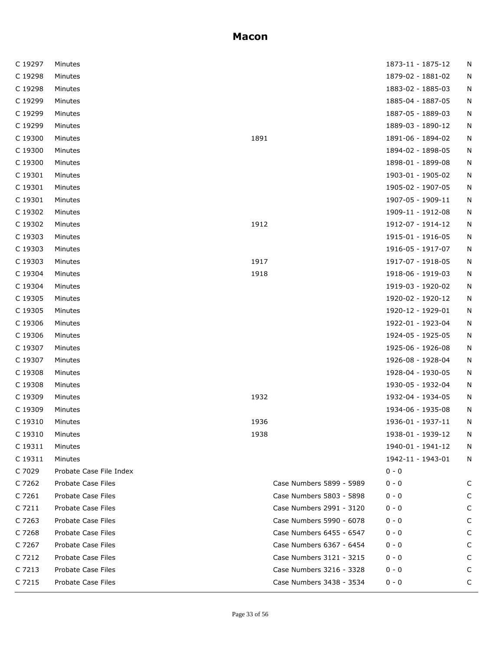| C 19297 | Minutes                 |      |                          | 1873-11 - 1875-12 | N |
|---------|-------------------------|------|--------------------------|-------------------|---|
| C 19298 | Minutes                 |      |                          | 1879-02 - 1881-02 | N |
| C 19298 | Minutes                 |      |                          | 1883-02 - 1885-03 | Ν |
| C 19299 | Minutes                 |      |                          | 1885-04 - 1887-05 | N |
| C 19299 | Minutes                 |      |                          | 1887-05 - 1889-03 | N |
| C 19299 | Minutes                 |      |                          | 1889-03 - 1890-12 | N |
| C 19300 | Minutes                 | 1891 |                          | 1891-06 - 1894-02 | Ν |
| C 19300 | Minutes                 |      |                          | 1894-02 - 1898-05 | N |
| C 19300 | Minutes                 |      |                          | 1898-01 - 1899-08 | N |
| C 19301 | Minutes                 |      |                          | 1903-01 - 1905-02 | N |
| C 19301 | Minutes                 |      |                          | 1905-02 - 1907-05 | N |
| C 19301 | Minutes                 |      |                          | 1907-05 - 1909-11 | N |
| C 19302 | Minutes                 |      |                          | 1909-11 - 1912-08 | N |
| C 19302 | Minutes                 | 1912 |                          | 1912-07 - 1914-12 | N |
| C 19303 | Minutes                 |      |                          | 1915-01 - 1916-05 | N |
| C 19303 | Minutes                 |      |                          | 1916-05 - 1917-07 | N |
| C 19303 | Minutes                 | 1917 |                          | 1917-07 - 1918-05 | N |
| C 19304 | Minutes                 | 1918 |                          | 1918-06 - 1919-03 | N |
| C 19304 | Minutes                 |      |                          | 1919-03 - 1920-02 | N |
| C 19305 | Minutes                 |      |                          | 1920-02 - 1920-12 | N |
| C 19305 | Minutes                 |      |                          | 1920-12 - 1929-01 | N |
| C 19306 | Minutes                 |      |                          | 1922-01 - 1923-04 | N |
| C 19306 | Minutes                 |      |                          | 1924-05 - 1925-05 | Ν |
| C 19307 | Minutes                 |      |                          | 1925-06 - 1926-08 | N |
| C 19307 | Minutes                 |      |                          | 1926-08 - 1928-04 | N |
| C 19308 | Minutes                 |      |                          | 1928-04 - 1930-05 | N |
| C 19308 | Minutes                 |      |                          | 1930-05 - 1932-04 | Ν |
| C 19309 | Minutes                 | 1932 |                          | 1932-04 - 1934-05 | N |
| C 19309 | Minutes                 |      |                          | 1934-06 - 1935-08 | N |
| C 19310 | Minutes                 | 1936 |                          | 1936-01 - 1937-11 | N |
| C 19310 | Minutes                 | 1938 |                          | 1938-01 - 1939-12 | N |
| C 19311 | Minutes                 |      |                          | 1940-01 - 1941-12 | N |
| C 19311 | Minutes                 |      |                          | 1942-11 - 1943-01 | N |
| C 7029  | Probate Case File Index |      |                          | $0 - 0$           |   |
| C 7262  | Probate Case Files      |      | Case Numbers 5899 - 5989 | $0 - 0$           | C |
| C 7261  | Probate Case Files      |      | Case Numbers 5803 - 5898 | 0 - 0             | C |
| C 7211  | Probate Case Files      |      | Case Numbers 2991 - 3120 | $0 - 0$           | C |
| C 7263  | Probate Case Files      |      | Case Numbers 5990 - 6078 | $0 - 0$           | C |
| C 7268  | Probate Case Files      |      | Case Numbers 6455 - 6547 | $0 - 0$           | C |
| C 7267  | Probate Case Files      |      | Case Numbers 6367 - 6454 | 0 - 0             | C |
| C 7212  | Probate Case Files      |      | Case Numbers 3121 - 3215 | $0 - 0$           | C |
| C 7213  | Probate Case Files      |      | Case Numbers 3216 - 3328 | $0 - 0$           | C |
| C 7215  | Probate Case Files      |      | Case Numbers 3438 - 3534 | $0 - 0$           | C |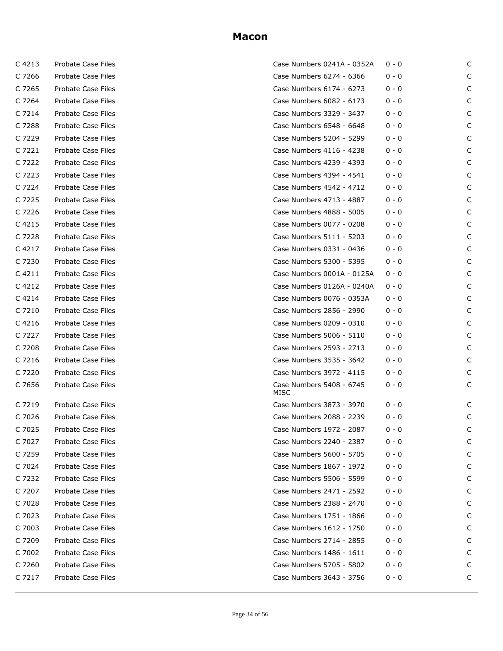| C 4213    | Probate Case Files |
|-----------|--------------------|
| C 7266    | Probate Case Files |
| C 7265    | Probate Case Files |
| C 7264    | Probate Case Files |
| C 7214    | Probate Case Files |
| C 7288    | Probate Case Files |
| C 7229    | Probate Case Files |
| C 7221    | Probate Case Files |
| C 7222    | Probate Case Files |
| C 7223    | Probate Case Files |
| C 7224    | Probate Case Files |
| C 7225    | Probate Case Files |
| C 7226    | Probate Case Files |
| C 4215    | Probate Case Files |
| C 7228    | Probate Case Files |
| C 4217    | Probate Case Files |
| C 7230    | Probate Case Files |
| C 4211    | Probate Case Files |
| C 4212    | Probate Case Files |
| C 4214    | Probate Case Files |
| C 7210    | Probate Case Files |
| C 4216    | Probate Case Files |
| C 7227    | Probate Case Files |
| C 7208    | Probate Case Files |
| C 7216    | Probate Case Files |
| C 7220    | Probate Case Files |
| C 7656    | Probate Case Files |
| C 7219    | Probate Case Files |
| C 7026    | Probate Case Files |
| C<br>7025 | Probate Case Files |
| C 7027    | Probate Case Files |
| C 7259    | Probate Case Files |
| C 7024    | Probate Case Files |
| C 7232    | Probate Case Files |
| C 7207    | Probate Case Files |
| C 7028    | Probate Case Files |
| C 7023    | Probate Case Files |
| C 7003    | Probate Case Files |
| C 7209    | Probate Case Files |
| C 7002    | Probate Case Files |
| C 7260    | Probate Case Files |
| C 7217    | Probate Case Files |

| C 4213 | Probate Case Files | Case Numbers 0241A - 0352A       | $0 - 0$ | C |
|--------|--------------------|----------------------------------|---------|---|
| C 7266 | Probate Case Files | Case Numbers 6274 - 6366         | $0 - 0$ | C |
| C 7265 | Probate Case Files | Case Numbers 6174 - 6273         | 0 - 0   | C |
| C 7264 | Probate Case Files | Case Numbers 6082 - 6173         | $0 - 0$ | C |
| C 7214 | Probate Case Files | Case Numbers 3329 - 3437         | 0 - 0   | C |
| C 7288 | Probate Case Files | Case Numbers 6548 - 6648         | $0 - 0$ | C |
| C 7229 | Probate Case Files | Case Numbers 5204 - 5299         | 0 - 0   | C |
| C 7221 | Probate Case Files | Case Numbers 4116 - 4238         | $0 - 0$ | C |
| C 7222 | Probate Case Files | Case Numbers 4239 - 4393         | 0 - 0   | C |
| C 7223 | Probate Case Files | Case Numbers 4394 - 4541         | $0 - 0$ | C |
| C 7224 | Probate Case Files | Case Numbers 4542 - 4712         | 0 - 0   | C |
| C 7225 | Probate Case Files | Case Numbers 4713 - 4887         | $0 - 0$ | C |
| C 7226 | Probate Case Files | Case Numbers 4888 - 5005         | 0 - 0   | C |
| C 4215 | Probate Case Files | Case Numbers 0077 - 0208         | $0 - 0$ | C |
| C 7228 | Probate Case Files | Case Numbers 5111 - 5203         | 0 - 0   | C |
| C 4217 | Probate Case Files | Case Numbers 0331 - 0436         | $0 - 0$ | C |
| C 7230 | Probate Case Files | Case Numbers 5300 - 5395         | 0 - 0   | C |
| C 4211 | Probate Case Files | Case Numbers 0001A - 0125A       | $0 - 0$ | C |
| C 4212 | Probate Case Files | Case Numbers 0126A - 0240A       | $0 - 0$ | C |
| C 4214 | Probate Case Files | Case Numbers 0076 - 0353A        | $0 - 0$ | C |
| C 7210 | Probate Case Files | Case Numbers 2856 - 2990         | $0 - 0$ | C |
| C 4216 | Probate Case Files | Case Numbers 0209 - 0310         | $0 - 0$ | C |
| C 7227 | Probate Case Files | Case Numbers 5006 - 5110         | $0 - 0$ | C |
| C 7208 | Probate Case Files | Case Numbers 2593 - 2713         | $0 - 0$ | C |
| C 7216 | Probate Case Files | Case Numbers 3535 - 3642         | 0 - 0   | C |
| C 7220 | Probate Case Files | Case Numbers 3972 - 4115         | $0 - 0$ | C |
| C 7656 | Probate Case Files | Case Numbers 5408 - 6745<br>MISC | 0 - 0   | C |
| C 7219 | Probate Case Files | Case Numbers 3873 - 3970         | $0 - 0$ | C |
| C 7026 | Probate Case Files | Case Numbers 2088 - 2239         | 0 - 0   | C |
| C 7025 | Probate Case Files | Case Numbers 1972 - 2087         | $0 - 0$ |   |
| C 7027 | Probate Case Files | Case Numbers 2240 - 2387         | 0 - 0   | C |
| C 7259 | Probate Case Files | Case Numbers 5600 - 5705         | 0 - 0   |   |
| C 7024 | Probate Case Files | Case Numbers 1867 - 1972         | 0 - 0   |   |
| C 7232 | Probate Case Files | Case Numbers 5506 - 5599         | 0 - 0   |   |
| C 7207 | Probate Case Files | Case Numbers 2471 - 2592         | 0 - 0   |   |
| C 7028 | Probate Case Files | Case Numbers 2388 - 2470         | 0 - 0   |   |
| C 7023 | Probate Case Files | Case Numbers 1751 - 1866         | 0 - 0   |   |
| C 7003 | Probate Case Files | Case Numbers 1612 - 1750         | 0 - 0   |   |
| C 7209 | Probate Case Files | Case Numbers 2714 - 2855         | 0 - 0   |   |
| C 7002 | Probate Case Files | Case Numbers 1486 - 1611         | 0 - 0   |   |
| C 7260 | Probate Case Files | Case Numbers 5705 - 5802         | 0 - 0   |   |
| C 7217 | Probate Case Files | Case Numbers 3643 - 3756         | 0 - 0   | C |
|        |                    |                                  |         |   |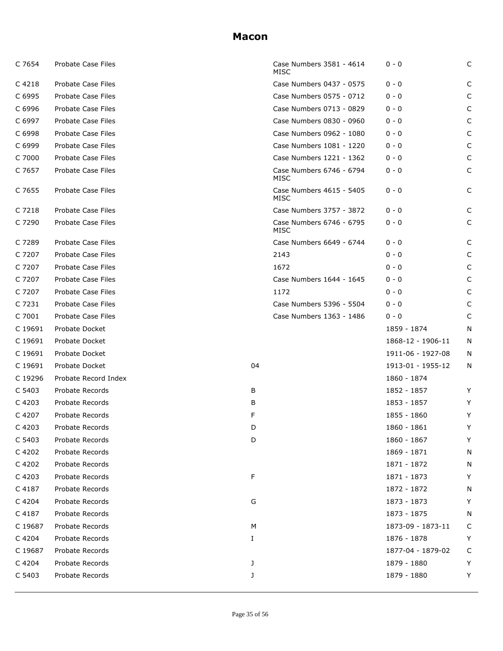| C 7654  | Probate Case Files        |    | Case Numbers 3581 - 4614<br>MISC | $0 - 0$           | C |
|---------|---------------------------|----|----------------------------------|-------------------|---|
| C 4218  | <b>Probate Case Files</b> |    | Case Numbers 0437 - 0575         | $0 - 0$           | C |
| C 6995  | Probate Case Files        |    | Case Numbers 0575 - 0712         | $0 - 0$           | C |
| C 6996  | Probate Case Files        |    | Case Numbers 0713 - 0829         | $0 - 0$           | C |
| C 6997  | Probate Case Files        |    | Case Numbers 0830 - 0960         | $0 - 0$           | C |
| C 6998  | Probate Case Files        |    | Case Numbers 0962 - 1080         | $0 - 0$           | C |
| C 6999  | Probate Case Files        |    | Case Numbers 1081 - 1220         | $0 - 0$           | C |
| C 7000  | Probate Case Files        |    | Case Numbers 1221 - 1362         | $0 - 0$           | C |
| C 7657  | Probate Case Files        |    | Case Numbers 6746 - 6794<br>MISC | $0 - 0$           | C |
| C 7655  | Probate Case Files        |    | Case Numbers 4615 - 5405<br>MISC | $0 - 0$           | C |
| C 7218  | Probate Case Files        |    | Case Numbers 3757 - 3872         | $0 - 0$           | С |
| C 7290  | Probate Case Files        |    | Case Numbers 6746 - 6795<br>MISC | $0 - 0$           | C |
| C 7289  | Probate Case Files        |    | Case Numbers 6649 - 6744         | $0 - 0$           | C |
| C 7207  | Probate Case Files        |    | 2143                             | $0 - 0$           | C |
| C 7207  | Probate Case Files        |    | 1672                             | $0 - 0$           | C |
| C 7207  | Probate Case Files        |    | Case Numbers 1644 - 1645         | $0 - 0$           | C |
| C 7207  | Probate Case Files        |    | 1172                             | $0 - 0$           | C |
| C 7231  | Probate Case Files        |    | Case Numbers 5396 - 5504         | $0 - 0$           | C |
| C 7001  | Probate Case Files        |    | Case Numbers 1363 - 1486         | $0 - 0$           | C |
| C 19691 | Probate Docket            |    |                                  | 1859 - 1874       | N |
| C 19691 | Probate Docket            |    |                                  | 1868-12 - 1906-11 | N |
| C 19691 | Probate Docket            |    |                                  | 1911-06 - 1927-08 | N |
| C 19691 | Probate Docket            | 04 |                                  | 1913-01 - 1955-12 | N |
| C 19296 | Probate Record Index      |    |                                  | 1860 - 1874       |   |
| C 5403  | Probate Records           | В  |                                  | 1852 - 1857       | Y |
| C 4203  | Probate Records           | В  |                                  | 1853 - 1857       | Y |
| C 4207  | Probate Records           | F  |                                  | 1855 - 1860       | Y |
| C 4203  | Probate Records           | D  |                                  | 1860 - 1861       | Y |
| C 5403  | Probate Records           | D  |                                  | 1860 - 1867       | Y |
| C 4202  | Probate Records           |    |                                  | 1869 - 1871       | N |
| C 4202  | Probate Records           |    |                                  | 1871 - 1872       | N |
| C 4203  | Probate Records           | F  |                                  | 1871 - 1873       | Y |
| C 4187  | Probate Records           |    |                                  | 1872 - 1872       | N |
| C 4204  | Probate Records           | G  |                                  | 1873 - 1873       | Y |
| C 4187  | Probate Records           |    |                                  | 1873 - 1875       | N |
| C 19687 | Probate Records           | м  |                                  | 1873-09 - 1873-11 | C |
| C 4204  | Probate Records           | I  |                                  | 1876 - 1878       | Y |
| C 19687 | Probate Records           |    |                                  | 1877-04 - 1879-02 | С |
| C 4204  | Probate Records           | J  |                                  | 1879 - 1880       | Y |
| C 5403  | Probate Records           | J  |                                  | 1879 - 1880       | Y |
|         |                           |    |                                  |                   |   |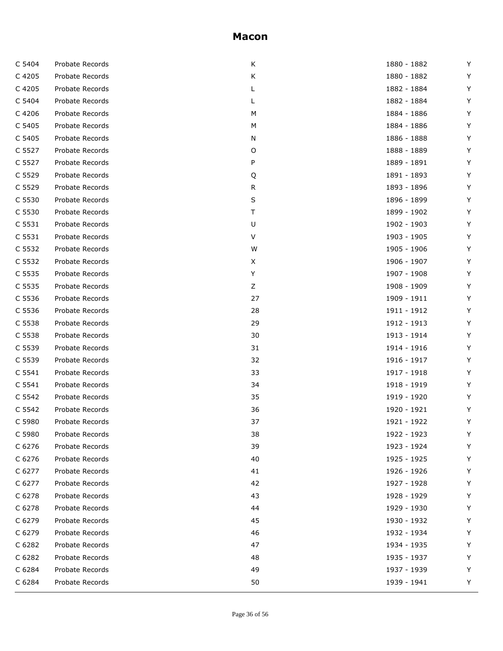| C 5404 | Probate Records | К  | 1880 - 1882 | Y  |
|--------|-----------------|----|-------------|----|
| C 4205 | Probate Records | Κ  | 1880 - 1882 | Y  |
| C 4205 | Probate Records | L  | 1882 - 1884 | Y  |
| C 5404 | Probate Records | L  | 1882 - 1884 | Y  |
| C 4206 | Probate Records | M  | 1884 - 1886 | Y  |
| C 5405 | Probate Records | M  | 1884 - 1886 | Y  |
| C 5405 | Probate Records | N  | 1886 - 1888 | Y  |
| C 5527 | Probate Records | O  | 1888 - 1889 | Y  |
| C 5527 | Probate Records | P  | 1889 - 1891 | Y  |
| C 5529 | Probate Records | Q  | 1891 - 1893 | Y  |
| C 5529 | Probate Records | R  | 1893 - 1896 | Y  |
| C 5530 | Probate Records | S  | 1896 - 1899 | Y  |
| C 5530 | Probate Records | Τ  | 1899 - 1902 | Y  |
| C 5531 | Probate Records | U  | 1902 - 1903 | Y  |
| C 5531 | Probate Records | V  | 1903 - 1905 | Y  |
| C 5532 | Probate Records | W  | 1905 - 1906 | Y  |
| C 5532 | Probate Records | X  | 1906 - 1907 | Y  |
| C 5535 | Probate Records | Υ  | 1907 - 1908 | Y  |
| C 5535 | Probate Records | Ζ  | 1908 - 1909 | Y  |
| C 5536 | Probate Records | 27 | 1909 - 1911 | Y  |
| C 5536 | Probate Records | 28 | 1911 - 1912 | Y  |
| C 5538 | Probate Records | 29 | 1912 - 1913 | Y  |
| C 5538 | Probate Records | 30 | 1913 - 1914 | Y  |
| C 5539 | Probate Records | 31 | 1914 - 1916 | Y  |
| C 5539 | Probate Records | 32 | 1916 - 1917 | Y  |
| C 5541 | Probate Records | 33 | 1917 - 1918 | Y  |
| C 5541 | Probate Records | 34 | 1918 - 1919 | Y  |
| C 5542 | Probate Records | 35 | 1919 - 1920 | Y  |
| C 5542 | Probate Records | 36 | 1920 - 1921 | Y  |
| C 5980 | Probate Records | 37 | 1921 - 1922 | Y  |
| C 5980 | Probate Records | 38 | 1922 - 1923 | Υ  |
| C 6276 | Probate Records | 39 | 1923 - 1924 | Y  |
| C 6276 | Probate Records | 40 | 1925 - 1925 | Υ  |
| C 6277 | Probate Records | 41 | 1926 - 1926 | Y  |
| C 6277 | Probate Records | 42 | 1927 - 1928 | Y  |
| C 6278 | Probate Records | 43 | 1928 - 1929 | Y  |
| C 6278 | Probate Records | 44 | 1929 - 1930 | Y  |
| C 6279 | Probate Records | 45 | 1930 - 1932 | Y  |
| C 6279 | Probate Records | 46 | 1932 - 1934 | Y  |
| C 6282 | Probate Records | 47 | 1934 - 1935 | Υ  |
| C 6282 | Probate Records | 48 | 1935 - 1937 | Υ  |
| C 6284 | Probate Records | 49 | 1937 - 1939 | Y  |
| C 6284 | Probate Records | 50 | 1939 - 1941 | Y. |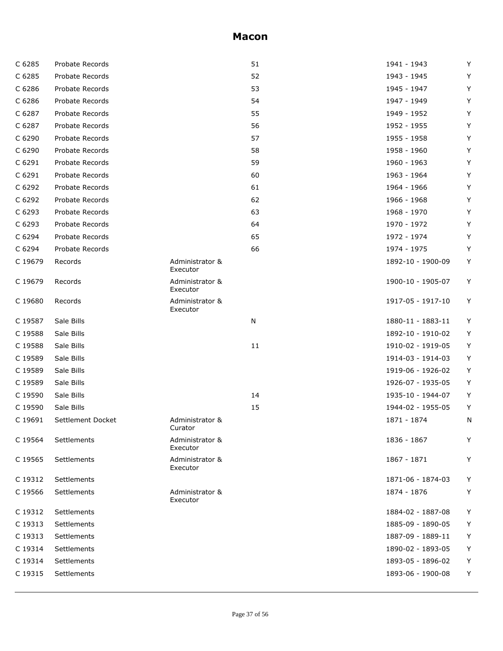| C 6285  | Probate Records   |                             | 51 | 1941 - 1943       | Y |
|---------|-------------------|-----------------------------|----|-------------------|---|
| C 6285  | Probate Records   |                             | 52 | 1943 - 1945       | Y |
| C 6286  | Probate Records   |                             | 53 | 1945 - 1947       | Y |
| C 6286  | Probate Records   |                             | 54 | 1947 - 1949       | Y |
| C 6287  | Probate Records   |                             | 55 | 1949 - 1952       | Y |
| C 6287  | Probate Records   |                             | 56 | 1952 - 1955       | Y |
| C 6290  | Probate Records   |                             | 57 | 1955 - 1958       | Y |
| C 6290  | Probate Records   |                             | 58 | 1958 - 1960       | Y |
| C 6291  | Probate Records   |                             | 59 | 1960 - 1963       | Y |
| C 6291  | Probate Records   |                             | 60 | 1963 - 1964       | Y |
| C 6292  | Probate Records   |                             | 61 | 1964 - 1966       | Y |
| C 6292  | Probate Records   |                             | 62 | 1966 - 1968       | Y |
| C 6293  | Probate Records   |                             | 63 | 1968 - 1970       | Y |
| C 6293  | Probate Records   |                             | 64 | 1970 - 1972       | Y |
| C 6294  | Probate Records   |                             | 65 | 1972 - 1974       | Y |
| C 6294  | Probate Records   |                             | 66 | 1974 - 1975       | Y |
| C 19679 | Records           | Administrator &<br>Executor |    | 1892-10 - 1900-09 | Y |
| C 19679 | Records           | Administrator &<br>Executor |    | 1900-10 - 1905-07 | Y |
| C 19680 | Records           | Administrator &<br>Executor |    | 1917-05 - 1917-10 | Y |
| C 19587 | Sale Bills        |                             | N  | 1880-11 - 1883-11 | Υ |
| C 19588 | Sale Bills        |                             |    | 1892-10 - 1910-02 | Y |
| C 19588 | Sale Bills        |                             | 11 | 1910-02 - 1919-05 | Y |
| C 19589 | Sale Bills        |                             |    | 1914-03 - 1914-03 | Y |
| C 19589 | Sale Bills        |                             |    | 1919-06 - 1926-02 | Y |
| C 19589 | Sale Bills        |                             |    | 1926-07 - 1935-05 | Υ |
| C 19590 | Sale Bills        |                             | 14 | 1935-10 - 1944-07 | Y |
| C 19590 | Sale Bills        |                             | 15 | 1944-02 - 1955-05 | Υ |
| C 19691 | Settlement Docket | Administrator &<br>Curator  |    | 1871 - 1874       | N |
| C 19564 | Settlements       | Administrator &<br>Executor |    | 1836 - 1867       | Y |
| C 19565 | Settlements       | Administrator &<br>Executor |    | 1867 - 1871       | Y |
| C 19312 | Settlements       |                             |    | 1871-06 - 1874-03 | Y |
| C 19566 | Settlements       | Administrator &<br>Executor |    | 1874 - 1876       | Y |
| C 19312 | Settlements       |                             |    | 1884-02 - 1887-08 | Y |
| C 19313 | Settlements       |                             |    | 1885-09 - 1890-05 | Y |
| C 19313 | Settlements       |                             |    | 1887-09 - 1889-11 | Υ |
| C 19314 | Settlements       |                             |    | 1890-02 - 1893-05 | Υ |
| C 19314 | Settlements       |                             |    | 1893-05 - 1896-02 | Y |
| C 19315 | Settlements       |                             |    | 1893-06 - 1900-08 | Y |
|         |                   |                             |    |                   |   |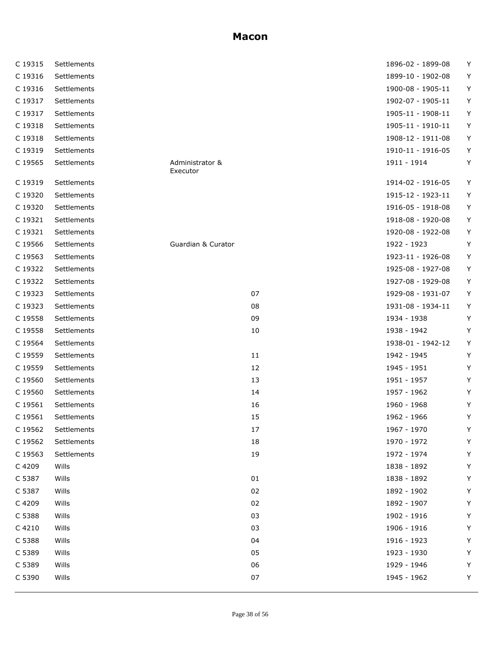| C 19315 | Settlements |                             |    | 1896-02 - 1899-08 | Y |
|---------|-------------|-----------------------------|----|-------------------|---|
| C 19316 | Settlements |                             |    | 1899-10 - 1902-08 | Υ |
| C 19316 | Settlements |                             |    | 1900-08 - 1905-11 | Y |
| C 19317 | Settlements |                             |    | 1902-07 - 1905-11 | Υ |
| C 19317 | Settlements |                             |    | 1905-11 - 1908-11 | Υ |
| C 19318 | Settlements |                             |    | 1905-11 - 1910-11 | Υ |
| C 19318 | Settlements |                             |    | 1908-12 - 1911-08 | Υ |
| C 19319 | Settlements |                             |    | 1910-11 - 1916-05 | Υ |
| C 19565 | Settlements | Administrator &<br>Executor |    | 1911 - 1914       | Υ |
| C 19319 | Settlements |                             |    | 1914-02 - 1916-05 | Υ |
| C 19320 | Settlements |                             |    | 1915-12 - 1923-11 | Υ |
| C 19320 | Settlements |                             |    | 1916-05 - 1918-08 | Υ |
| C 19321 | Settlements |                             |    | 1918-08 - 1920-08 | Υ |
| C 19321 | Settlements |                             |    | 1920-08 - 1922-08 | Υ |
| C 19566 | Settlements | Guardian & Curator          |    | 1922 - 1923       | Y |
| C 19563 | Settlements |                             |    | 1923-11 - 1926-08 | Y |
| C 19322 | Settlements |                             |    | 1925-08 - 1927-08 | Y |
| C 19322 | Settlements |                             |    | 1927-08 - 1929-08 | Y |
| C 19323 | Settlements |                             | 07 | 1929-08 - 1931-07 | Υ |
| C 19323 | Settlements |                             | 08 | 1931-08 - 1934-11 | Y |
| C 19558 | Settlements |                             | 09 | 1934 - 1938       | Y |
| C 19558 | Settlements |                             | 10 | 1938 - 1942       | Y |
| C 19564 | Settlements |                             |    | 1938-01 - 1942-12 | Υ |
| C 19559 | Settlements |                             | 11 | 1942 - 1945       | Y |
| C 19559 | Settlements |                             | 12 | 1945 - 1951       | Y |
| C 19560 | Settlements |                             | 13 | 1951 - 1957       | Y |
| C 19560 | Settlements |                             | 14 | 1957 - 1962       | Y |
| C 19561 | Settlements |                             | 16 | 1960 - 1968       | Y |
| C 19561 | Settlements |                             | 15 | 1962 - 1966       | Y |
| C 19562 | Settlements |                             | 1/ | 1967 - 1970       | Y |
| C 19562 | Settlements |                             | 18 | 1970 - 1972       | Υ |
| C 19563 | Settlements |                             | 19 | 1972 - 1974       | Y |
| C 4209  | Wills       |                             |    | 1838 - 1892       | Y |
| C 5387  | Wills       |                             | 01 | 1838 - 1892       | Y |
| C 5387  | Wills       |                             | 02 | 1892 - 1902       | Υ |
| C 4209  | Wills       |                             | 02 | 1892 - 1907       | Y |
| C 5388  | Wills       |                             | 03 | 1902 - 1916       | Y |
| C 4210  | Wills       |                             | 03 | 1906 - 1916       | Y |
| C 5388  | Wills       |                             | 04 | 1916 - 1923       | Y |
| C 5389  | Wills       |                             | 05 | 1923 - 1930       | Y |
| C 5389  | Wills       |                             | 06 | 1929 - 1946       | Y |
| C 5390  | Wills       |                             | 07 | 1945 - 1962       | Y |
|         |             |                             |    |                   |   |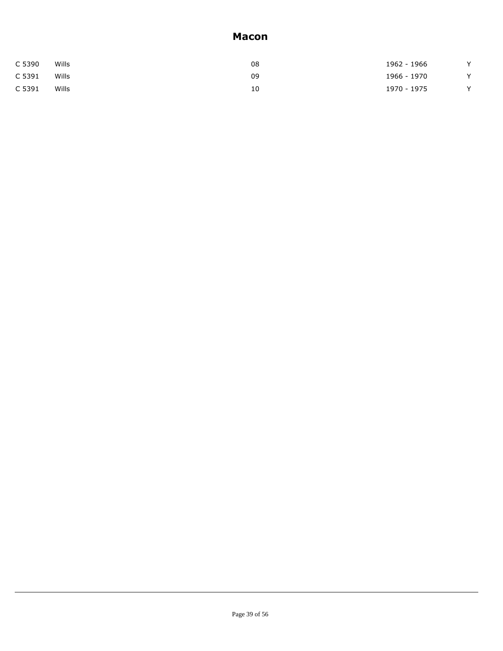| C 5390 | Wills | 08 | 1962 - 1966 | $\sqrt{}$ |
|--------|-------|----|-------------|-----------|
| C 5391 | Wills | 09 | 1966 - 1970 | $\sqrt{}$ |
| C 5391 | Wills | 10 | 1970 - 1975 | $\sqrt{}$ |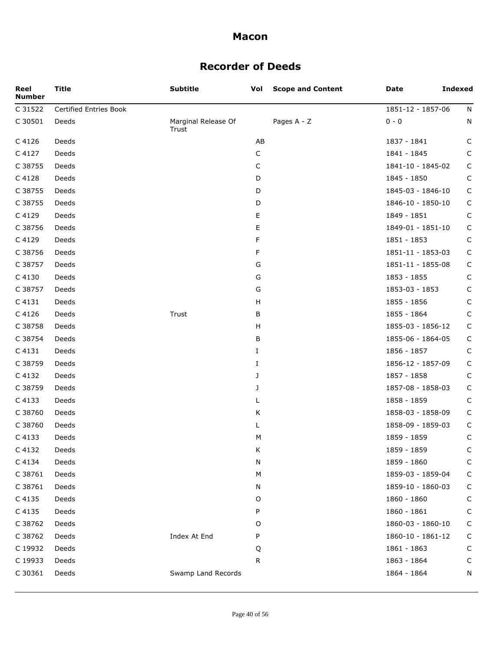# **Recorder of Deeds**

| Reel<br><b>Number</b> | Title                  | <b>Subtitle</b>              | Vol           | <b>Scope and Content</b> | Date              | <b>Indexed</b> |
|-----------------------|------------------------|------------------------------|---------------|--------------------------|-------------------|----------------|
| C 31522               | Certified Entries Book |                              |               |                          | 1851-12 - 1857-06 | N              |
| C 30501               | Deeds                  | Marginal Release Of<br>Trust |               | Pages A - Z              | $0 - 0$           | N              |
| C 4126                | Deeds                  |                              | AB            |                          | 1837 - 1841       | C              |
| C 4127                | Deeds                  |                              | C             |                          | 1841 - 1845       | C              |
| C 38755               | Deeds                  |                              | C             |                          | 1841-10 - 1845-02 | C              |
| C 4128                | Deeds                  |                              | D             |                          | 1845 - 1850       | C              |
| C 38755               | Deeds                  |                              | D             |                          | 1845-03 - 1846-10 | $\mathsf{C}$   |
| C 38755               | Deeds                  |                              | D             |                          | 1846-10 - 1850-10 | C              |
| C 4129                | Deeds                  |                              | Е             |                          | 1849 - 1851       | C              |
| C 38756               | Deeds                  |                              | E             |                          | 1849-01 - 1851-10 | C              |
| C 4129                | Deeds                  |                              | F             |                          | 1851 - 1853       | C              |
| C 38756               | Deeds                  |                              | F             |                          | 1851-11 - 1853-03 | $\mathsf{C}$   |
| C 38757               | Deeds                  |                              | G             |                          | 1851-11 - 1855-08 | C              |
| C 4130                | Deeds                  |                              | G             |                          | 1853 - 1855       | C              |
| C 38757               | Deeds                  |                              | ${\mathsf G}$ |                          | 1853-03 - 1853    | C              |
| C 4131                | Deeds                  |                              | H             |                          | 1855 - 1856       | C              |
| C 4126                | Deeds                  | Trust                        | В             |                          | 1855 - 1864       | C              |
| C 38758               | Deeds                  |                              | H             |                          | 1855-03 - 1856-12 | $\mathsf C$    |
| C 38754               | Deeds                  |                              | B             |                          | 1855-06 - 1864-05 | $\mathsf C$    |
| C 4131                | Deeds                  |                              | I             |                          | 1856 - 1857       | $\mathsf C$    |
| C 38759               | Deeds                  |                              | I             |                          | 1856-12 - 1857-09 | C              |
| C 4132                | Deeds                  |                              | J             |                          | 1857 - 1858       | $\mathsf{C}$   |
| C 38759               | Deeds                  |                              | J             |                          | 1857-08 - 1858-03 | C              |
| C 4133                | Deeds                  |                              | L             |                          | 1858 - 1859       | $\mathsf C$    |
| C 38760               | Deeds                  |                              | Κ             |                          | 1858-03 - 1858-09 | $\mathsf{C}$   |
| C 38760               | Deeds                  |                              | L             |                          | 1858-09 - 1859-03 | C              |
| C 4133                | Deeds                  |                              | M             |                          | 1859 - 1859       | C              |
| C 4132                | Deeds                  |                              | Κ             |                          | 1859 - 1859       | C              |
| C 4134                | Deeds                  |                              | N             |                          | 1859 - 1860       | C              |
| C 38761               | Deeds                  |                              | M             |                          | 1859-03 - 1859-04 | C              |
| C 38761               | Deeds                  |                              | Ν             |                          | 1859-10 - 1860-03 | C              |
| C 4135                | Deeds                  |                              | O             |                          | 1860 - 1860       | C              |
| C 4135                | Deeds                  |                              | P             |                          | 1860 - 1861       | C              |
| C 38762               | Deeds                  |                              | O             |                          | 1860-03 - 1860-10 | C              |
| C 38762               | Deeds                  | Index At End                 | P             |                          | 1860-10 - 1861-12 | C              |
| C 19932               | Deeds                  |                              | Q             |                          | 1861 - 1863       | C              |
| C 19933               | Deeds                  |                              | R             |                          | 1863 - 1864       | C              |
| C 30361               | Deeds                  | Swamp Land Records           |               |                          | 1864 - 1864       | N              |
|                       |                        |                              |               |                          |                   |                |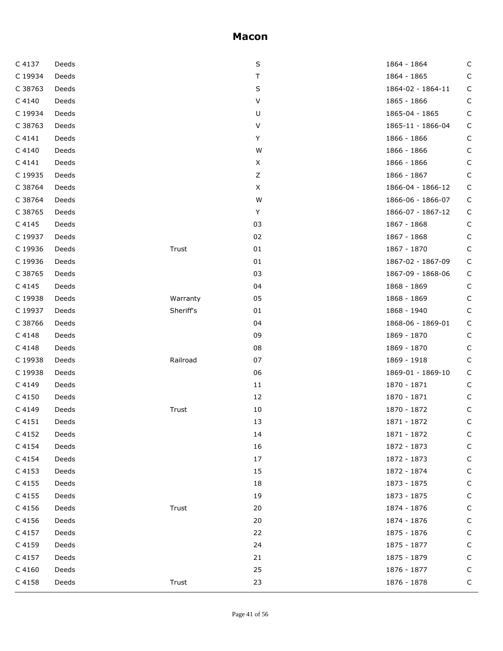| C 4137  | Deeds |           | S           | 1864 - 1864       | C            |
|---------|-------|-----------|-------------|-------------------|--------------|
| C 19934 | Deeds |           | Τ           | 1864 - 1865       | C            |
| C 38763 | Deeds |           | $\sf S$     | 1864-02 - 1864-11 | C            |
| C 4140  | Deeds |           | V           | 1865 - 1866       | C            |
| C 19934 | Deeds |           | U           | 1865-04 - 1865    | $\mathsf C$  |
| C 38763 | Deeds |           | $\sf V$     | 1865-11 - 1866-04 | $\mathsf C$  |
| C 4141  | Deeds |           | Y           | 1866 - 1866       | C            |
| C 4140  | Deeds |           | W           | 1866 - 1866       | C            |
| C 4141  | Deeds |           | X           | 1866 - 1866       | C            |
| C 19935 | Deeds |           | $\mathsf Z$ | 1866 - 1867       | $\mathsf C$  |
| C 38764 | Deeds |           | X           | 1866-04 - 1866-12 | $\mathsf C$  |
| C 38764 | Deeds |           | W           | 1866-06 - 1866-07 | C            |
| C 38765 | Deeds |           | Y           | 1866-07 - 1867-12 | C            |
| C 4145  | Deeds |           | 03          | 1867 - 1868       | $\mathsf C$  |
| C 19937 | Deeds |           | 02          | 1867 - 1868       | C            |
| C 19936 | Deeds | Trust     | 01          | 1867 - 1870       | $\mathsf C$  |
| C 19936 | Deeds |           | 01          | 1867-02 - 1867-09 | $\mathsf C$  |
| C 38765 | Deeds |           | 03          | 1867-09 - 1868-06 | $\mathsf C$  |
| C 4145  | Deeds |           | 04          | 1868 - 1869       | C            |
| C 19938 | Deeds | Warranty  | 05          | 1868 - 1869       | C            |
| C 19937 | Deeds | Sheriff's | 01          | 1868 - 1940       | $\mathsf{C}$ |
| C 38766 | Deeds |           | 04          | 1868-06 - 1869-01 | $\mathsf C$  |
| C 4148  | Deeds |           | 09          | 1869 - 1870       | C            |
| C 4148  | Deeds |           | 08          | 1869 - 1870       | C            |
| C 19938 | Deeds | Railroad  | 07          | 1869 - 1918       | C            |
| C 19938 | Deeds |           | 06          | 1869-01 - 1869-10 | $\mathsf C$  |
| C 4149  | Deeds |           | $11\,$      | 1870 - 1871       | C            |
| C 4150  | Deeds |           | 12          | 1870 - 1871       | C            |
| C 4149  | Deeds | Trust     | 10          | 1870 - 1872       | C            |
| C 4151  | Deeds |           | 13          | 1871 - 1872       | $\mathsf C$  |
| C 4152  | Deeds |           | 14          | 1871 - 1872       | C            |
| C 4154  | Deeds |           | 16          | 1872 - 1873       | C            |
| C 4154  | Deeds |           | 17          | 1872 - 1873       | C            |
| C 4153  | Deeds |           | 15          | 1872 - 1874       | C            |
| C 4155  | Deeds |           | 18          | 1873 - 1875       | С            |
| C 4155  | Deeds |           | 19          | 1873 - 1875       | C            |
| C 4156  | Deeds | Trust     | 20          | 1874 - 1876       | С            |
| C 4156  | Deeds |           | 20          | 1874 - 1876       | С            |
| C 4157  | Deeds |           | 22          | 1875 - 1876       | С            |
| C 4159  | Deeds |           | 24          | 1875 - 1877       | C            |
| C 4157  | Deeds |           | 21          | 1875 - 1879       | С            |
| C 4160  | Deeds |           | 25          | 1876 - 1877       | C            |
| C 4158  | Deeds | Trust     | 23          | 1876 - 1878       | C            |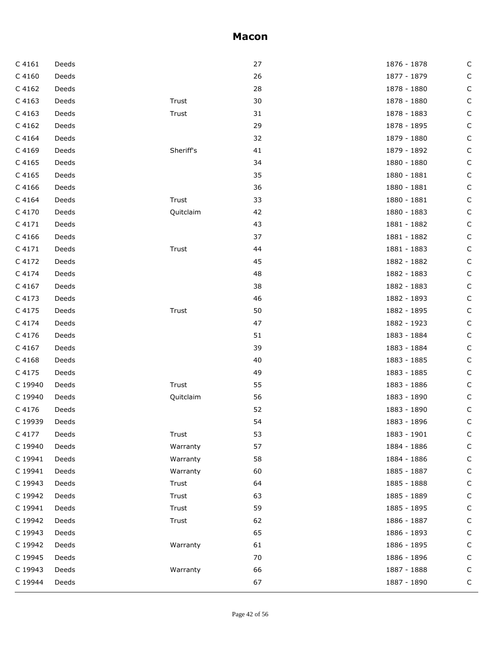| $C$ 4161 | Deeds |           | 27 | 1876 - 1878 | C           |
|----------|-------|-----------|----|-------------|-------------|
| C 4160   | Deeds |           | 26 | 1877 - 1879 | C           |
| C 4162   | Deeds |           | 28 | 1878 - 1880 | C           |
| C 4163   | Deeds | Trust     | 30 | 1878 - 1880 | C           |
| C 4163   | Deeds | Trust     | 31 | 1878 - 1883 | C           |
| C 4162   | Deeds |           | 29 | 1878 - 1895 | C           |
| C 4164   | Deeds |           | 32 | 1879 - 1880 | C           |
| C 4169   | Deeds | Sheriff's | 41 | 1879 - 1892 | C           |
| C 4165   | Deeds |           | 34 | 1880 - 1880 | C           |
| C 4165   | Deeds |           | 35 | 1880 - 1881 | С           |
| C 4166   | Deeds |           | 36 | 1880 - 1881 | C           |
| C 4164   | Deeds | Trust     | 33 | 1880 - 1881 | C           |
| C 4170   | Deeds | Quitclaim | 42 | 1880 - 1883 | C           |
| C 4171   | Deeds |           | 43 | 1881 - 1882 | С           |
| C 4166   | Deeds |           | 37 | 1881 - 1882 | C           |
| C 4171   | Deeds | Trust     | 44 | 1881 - 1883 | C           |
| C 4172   | Deeds |           | 45 | 1882 - 1882 | C           |
| C 4174   | Deeds |           | 48 | 1882 - 1883 | С           |
| C 4167   | Deeds |           | 38 | 1882 - 1883 | C           |
| C 4173   | Deeds |           | 46 | 1882 - 1893 | C           |
| C 4175   | Deeds | Trust     | 50 | 1882 - 1895 | C           |
| C 4174   | Deeds |           | 47 | 1882 - 1923 | C           |
| C 4176   | Deeds |           | 51 | 1883 - 1884 | C           |
| C 4167   | Deeds |           | 39 | 1883 - 1884 | C           |
| C 4168   | Deeds |           | 40 | 1883 - 1885 | C           |
| C 4175   | Deeds |           | 49 | 1883 - 1885 | C           |
| C 19940  | Deeds | Trust     | 55 | 1883 - 1886 | C           |
| C 19940  | Deeds | Quitclaim | 56 | 1883 - 1890 | C           |
| C 4176   | Deeds |           | 52 | 1883 - 1890 | С           |
| C 19939  | Deeds |           | 54 | 1883 - 1896 | С           |
| C 4177   | Deeds | Trust     | 53 | 1883 - 1901 | C           |
| C 19940  | Deeds | Warranty  | 57 | 1884 - 1886 | C           |
| C 19941  | Deeds | Warranty  | 58 | 1884 - 1886 | C           |
| C 19941  | Deeds | Warranty  | 60 | 1885 - 1887 | C           |
| C 19943  | Deeds | Trust     | 64 | 1885 - 1888 | C           |
| C 19942  | Deeds | Trust     | 63 | 1885 - 1889 | С           |
| C 19941  | Deeds | Trust     | 59 | 1885 - 1895 | C           |
| C 19942  | Deeds | Trust     | 62 | 1886 - 1887 | C           |
| C 19943  | Deeds |           | 65 | 1886 - 1893 | C           |
| C 19942  | Deeds | Warranty  | 61 | 1886 - 1895 | С           |
| C 19945  | Deeds |           | 70 | 1886 - 1896 | C           |
| C 19943  | Deeds | Warranty  | 66 | 1887 - 1888 | C           |
| C 19944  | Deeds |           | 67 | 1887 - 1890 | $\mathsf C$ |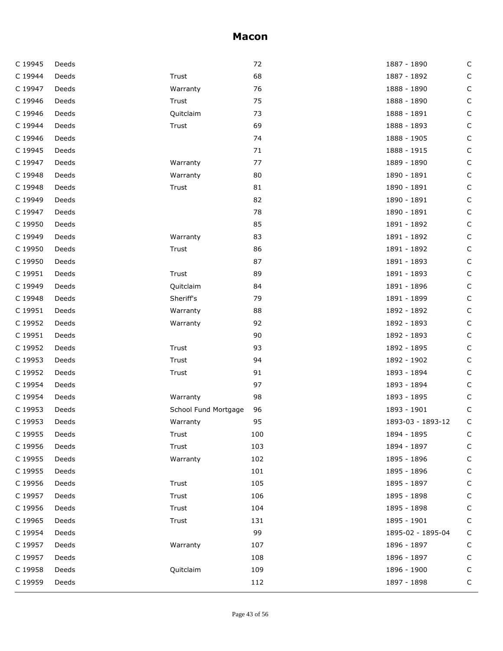| C 19945 | Deeds |                      | 72  | 1887 - 1890       | $\mathsf C$  |
|---------|-------|----------------------|-----|-------------------|--------------|
| C 19944 | Deeds | Trust                | 68  | 1887 - 1892       | $\mathsf C$  |
| C 19947 | Deeds | Warranty             | 76  | 1888 - 1890       | $\mathsf C$  |
| C 19946 | Deeds | Trust                | 75  | 1888 - 1890       | $\mathsf C$  |
| C 19946 | Deeds | Quitclaim            | 73  | 1888 - 1891       | $\mathsf C$  |
| C 19944 | Deeds | Trust                | 69  | 1888 - 1893       | $\mathsf C$  |
| C 19946 | Deeds |                      | 74  | 1888 - 1905       | $\mathsf C$  |
| C 19945 | Deeds |                      | 71  | 1888 - 1915       | $\mathsf C$  |
| C 19947 | Deeds | Warranty             | 77  | 1889 - 1890       | $\mathsf C$  |
| C 19948 | Deeds | Warranty             | 80  | 1890 - 1891       | $\mathsf C$  |
| C 19948 | Deeds | Trust                | 81  | 1890 - 1891       | $\mathsf{C}$ |
| C 19949 | Deeds |                      | 82  | 1890 - 1891       | $\mathsf{C}$ |
| C 19947 | Deeds |                      | 78  | 1890 - 1891       | $\mathsf C$  |
| C 19950 | Deeds |                      | 85  | 1891 - 1892       | $\mathsf C$  |
| C 19949 | Deeds | Warranty             | 83  | 1891 - 1892       | $\mathsf C$  |
| C 19950 | Deeds | Trust                | 86  | 1891 - 1892       | $\mathsf{C}$ |
| C 19950 | Deeds |                      | 87  | 1891 - 1893       | $\mathsf{C}$ |
| C 19951 | Deeds | Trust                | 89  | 1891 - 1893       | $\mathsf C$  |
| C 19949 | Deeds | Quitclaim            | 84  | 1891 - 1896       | С            |
| C 19948 | Deeds | Sheriff's            | 79  | 1891 - 1899       | $\mathsf{C}$ |
| C 19951 | Deeds | Warranty             | 88  | 1892 - 1892       | $\mathsf{C}$ |
| C 19952 | Deeds | Warranty             | 92  | 1892 - 1893       | $\mathsf C$  |
| C 19951 | Deeds |                      | 90  | 1892 - 1893       | С            |
| C 19952 | Deeds | Trust                | 93  | 1892 - 1895       | $\mathsf C$  |
| C 19953 | Deeds | Trust                | 94  | 1892 - 1902       | $\mathsf{C}$ |
| C 19952 | Deeds | Trust                | 91  | 1893 - 1894       | $\mathsf C$  |
| C 19954 | Deeds |                      | 97  | 1893 - 1894       | С            |
| C 19954 | Deeds | Warranty             | 98  | 1893 - 1895       | $\mathsf C$  |
| C 19953 | Deeds | School Fund Mortgage | 96  | 1893 - 1901       | $\mathsf C$  |
| C 19953 | Deeds | Warranty             | 95  | 1893-03 - 1893-12 | С            |
| C 19955 | Deeds | Trust                | 100 | 1894 - 1895       | C            |
| C 19956 | Deeds | Trust                | 103 | 1894 - 1897       | С            |
| C 19955 | Deeds | Warranty             | 102 | 1895 - 1896       | C            |
| C 19955 | Deeds |                      | 101 | 1895 - 1896       | С            |
| C 19956 | Deeds | Trust                | 105 | 1895 - 1897       | С            |
| C 19957 | Deeds | Trust                | 106 | 1895 - 1898       | С            |
| C 19956 | Deeds | Trust                | 104 | 1895 - 1898       | С            |
| C 19965 | Deeds | Trust                | 131 | 1895 - 1901       | С            |
| C 19954 | Deeds |                      | 99  | 1895-02 - 1895-04 | С            |
| C 19957 | Deeds | Warranty             | 107 | 1896 - 1897       | С            |
| C 19957 | Deeds |                      | 108 | 1896 - 1897       | С            |
| C 19958 | Deeds | Quitclaim            | 109 | 1896 - 1900       | C            |
| C 19959 | Deeds |                      | 112 | 1897 - 1898       | С            |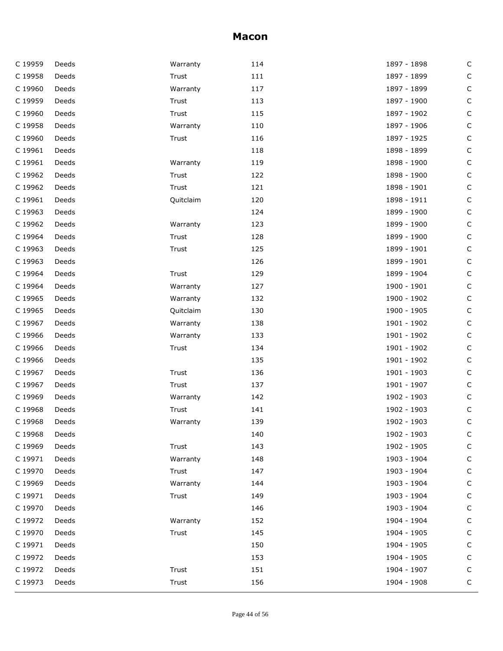| C 19959 | Deeds | Warranty  | 114 | 1897 - 1898 | $\mathsf C$  |
|---------|-------|-----------|-----|-------------|--------------|
| C 19958 | Deeds | Trust     | 111 | 1897 - 1899 | $\mathsf C$  |
| C 19960 | Deeds | Warranty  | 117 | 1897 - 1899 | $\mathsf C$  |
| C 19959 | Deeds | Trust     | 113 | 1897 - 1900 | С            |
| C 19960 | Deeds | Trust     | 115 | 1897 - 1902 | С            |
| C 19958 | Deeds | Warranty  | 110 | 1897 - 1906 | $\mathsf C$  |
| C 19960 | Deeds | Trust     | 116 | 1897 - 1925 | $\mathsf C$  |
| C 19961 | Deeds |           | 118 | 1898 - 1899 | С            |
| C 19961 | Deeds | Warranty  | 119 | 1898 - 1900 | $\mathsf C$  |
| C 19962 | Deeds | Trust     | 122 | 1898 - 1900 | $\mathsf C$  |
| C 19962 | Deeds | Trust     | 121 | 1898 - 1901 | $\mathsf C$  |
| C 19961 | Deeds | Quitclaim | 120 | 1898 - 1911 | $\mathsf{C}$ |
| C 19963 | Deeds |           | 124 | 1899 - 1900 | $\mathsf C$  |
| C 19962 | Deeds | Warranty  | 123 | 1899 - 1900 | $\mathsf C$  |
| C 19964 | Deeds | Trust     | 128 | 1899 - 1900 | $\mathsf C$  |
| C 19963 | Deeds | Trust     | 125 | 1899 - 1901 | $\mathsf{C}$ |
| C 19963 | Deeds |           | 126 | 1899 - 1901 | $\mathsf C$  |
| C 19964 | Deeds | Trust     | 129 | 1899 - 1904 | $\mathsf C$  |
| C 19964 | Deeds | Warranty  | 127 | 1900 - 1901 | $\mathsf C$  |
| C 19965 | Deeds | Warranty  | 132 | 1900 - 1902 | $\mathsf{C}$ |
| C 19965 | Deeds | Quitclaim | 130 | 1900 - 1905 | $\mathsf C$  |
| C 19967 | Deeds | Warranty  | 138 | 1901 - 1902 | $\mathsf C$  |
| C 19966 | Deeds | Warranty  | 133 | 1901 - 1902 | $\mathsf C$  |
| C 19966 | Deeds | Trust     | 134 | 1901 - 1902 | $\mathsf C$  |
| C 19966 | Deeds |           | 135 | 1901 - 1902 | $\mathsf C$  |
| C 19967 | Deeds | Trust     | 136 | 1901 - 1903 | $\mathsf C$  |
| C 19967 | Deeds | Trust     | 137 | 1901 - 1907 | C            |
| C 19969 | Deeds | Warranty  | 142 | 1902 - 1903 | $\mathsf C$  |
| C 19968 | Deeds | Trust     | 141 | 1902 - 1903 | C            |
| C 19968 | Deeds | Warranty  | 139 | 1902 - 1903 | C            |
| C 19968 | Deeds |           | 140 | 1902 - 1903 | С            |
| C 19969 | Deeds | Trust     | 143 | 1902 - 1905 | C            |
| C 19971 | Deeds | Warranty  | 148 | 1903 - 1904 | С            |
| C 19970 | Deeds | Trust     | 147 | 1903 - 1904 | С            |
| C 19969 | Deeds | Warranty  | 144 | 1903 - 1904 | C            |
| C 19971 | Deeds | Trust     | 149 | 1903 - 1904 | $\mathsf C$  |
| C 19970 | Deeds |           | 146 | 1903 - 1904 | С            |
| C 19972 | Deeds | Warranty  | 152 | 1904 - 1904 | C            |
| C 19970 | Deeds | Trust     | 145 | 1904 - 1905 | C            |
| C 19971 | Deeds |           | 150 | 1904 - 1905 | $\mathsf{C}$ |
| C 19972 | Deeds |           | 153 | 1904 - 1905 | C            |
| C 19972 | Deeds | Trust     | 151 | 1904 - 1907 | C            |
| C 19973 | Deeds | Trust     | 156 | 1904 - 1908 | C            |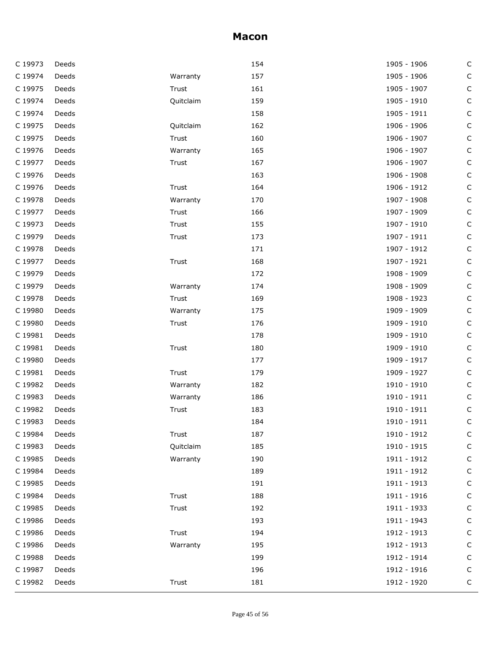| C 19973 | Deeds |           | 154 | 1905 - 1906 | С           |
|---------|-------|-----------|-----|-------------|-------------|
| C 19974 | Deeds | Warranty  | 157 | 1905 - 1906 | C           |
| C 19975 | Deeds | Trust     | 161 | 1905 - 1907 | C           |
| C 19974 | Deeds | Quitclaim | 159 | 1905 - 1910 | С           |
| C 19974 | Deeds |           | 158 | 1905 - 1911 | С           |
| C 19975 | Deeds | Quitclaim | 162 | 1906 - 1906 | С           |
| C 19975 | Deeds | Trust     | 160 | 1906 - 1907 | $\mathsf C$ |
| C 19976 | Deeds | Warranty  | 165 | 1906 - 1907 | С           |
| C 19977 | Deeds | Trust     | 167 | 1906 - 1907 | С           |
| C 19976 | Deeds |           | 163 | 1906 - 1908 | $\mathsf C$ |
| C 19976 | Deeds | Trust     | 164 | 1906 - 1912 | C           |
| C 19978 | Deeds | Warranty  | 170 | 1907 - 1908 | С           |
| C 19977 | Deeds | Trust     | 166 | 1907 - 1909 | С           |
| C 19973 | Deeds | Trust     | 155 | 1907 - 1910 | $\mathsf C$ |
| C 19979 | Deeds | Trust     | 173 | 1907 - 1911 | C           |
| C 19978 | Deeds |           | 171 | 1907 - 1912 | С           |
| C 19977 | Deeds | Trust     | 168 | 1907 - 1921 | С           |
| C 19979 | Deeds |           | 172 | 1908 - 1909 | $\mathsf C$ |
| C 19979 | Deeds | Warranty  | 174 | 1908 - 1909 | C           |
| C 19978 | Deeds | Trust     | 169 | 1908 - 1923 | С           |
| C 19980 | Deeds | Warranty  | 175 | 1909 - 1909 | С           |
| C 19980 | Deeds | Trust     | 176 | 1909 - 1910 | $\mathsf C$ |
| C 19981 | Deeds |           | 178 | 1909 - 1910 | C           |
| C 19981 | Deeds | Trust     | 180 | 1909 - 1910 | С           |
| C 19980 | Deeds |           | 177 | 1909 - 1917 | С           |
| C 19981 | Deeds | Trust     | 179 | 1909 - 1927 | $\mathsf C$ |
| C 19982 | Deeds | Warranty  | 182 | 1910 - 1910 | C           |
| C 19983 | Deeds | Warranty  | 186 | 1910 - 1911 | C           |
| C 19982 | Deeds | Trust     | 183 | 1910 - 1911 | $\mathsf C$ |
| C 19983 | Deeds |           | 184 | 1910 - 1911 | С           |
| C 19984 | Deeds | Trust     | 187 | 1910 - 1912 | C           |
| C 19983 | Deeds | Quitclaim | 185 | 1910 - 1915 | C           |
| C 19985 | Deeds | Warranty  | 190 | 1911 - 1912 | С           |
| C 19984 | Deeds |           | 189 | 1911 - 1912 | С           |
| C 19985 | Deeds |           | 191 | 1911 - 1913 | C           |
| C 19984 | Deeds | Trust     | 188 | 1911 - 1916 | C           |
| C 19985 | Deeds | Trust     | 192 | 1911 - 1933 | С           |
| C 19986 | Deeds |           | 193 | 1911 - 1943 | C           |
| C 19986 | Deeds | Trust     | 194 | 1912 - 1913 | C           |
| C 19986 | Deeds | Warranty  | 195 | 1912 - 1913 | C           |
| C 19988 | Deeds |           | 199 | 1912 - 1914 | C           |
| C 19987 | Deeds |           | 196 | 1912 - 1916 | C           |
| C 19982 | Deeds | Trust     | 181 | 1912 - 1920 | $\mathsf C$ |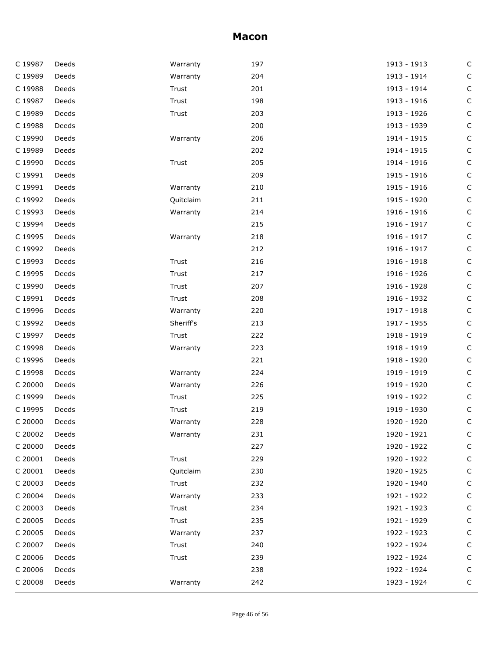| C 19987 | Deeds | Warranty  | 197 | 1913 - 1913 | C           |
|---------|-------|-----------|-----|-------------|-------------|
| C 19989 | Deeds | Warranty  | 204 | 1913 - 1914 | $\mathsf C$ |
| C 19988 | Deeds | Trust     | 201 | 1913 - 1914 | C           |
| C 19987 | Deeds | Trust     | 198 | 1913 - 1916 | С           |
| C 19989 | Deeds | Trust     | 203 | 1913 - 1926 | $\mathsf C$ |
| C 19988 | Deeds |           | 200 | 1913 - 1939 | $\mathsf C$ |
| C 19990 | Deeds | Warranty  | 206 | 1914 - 1915 | $\mathsf C$ |
| C 19989 | Deeds |           | 202 | 1914 - 1915 | С           |
| C 19990 | Deeds | Trust     | 205 | 1914 - 1916 | С           |
| C 19991 | Deeds |           | 209 | 1915 - 1916 | $\mathsf C$ |
| C 19991 | Deeds | Warranty  | 210 | 1915 - 1916 | C           |
| C 19992 | Deeds | Quitclaim | 211 | 1915 - 1920 | С           |
| C 19993 | Deeds | Warranty  | 214 | 1916 - 1916 | С           |
| C 19994 | Deeds |           | 215 | 1916 - 1917 | $\mathsf C$ |
| C 19995 | Deeds | Warranty  | 218 | 1916 - 1917 | C           |
| C 19992 | Deeds |           | 212 | 1916 - 1917 | С           |
| C 19993 | Deeds | Trust     | 216 | 1916 - 1918 | С           |
| C 19995 | Deeds | Trust     | 217 | 1916 - 1926 | $\mathsf C$ |
| C 19990 | Deeds | Trust     | 207 | 1916 - 1928 | C           |
| C 19991 | Deeds | Trust     | 208 | 1916 - 1932 | С           |
| C 19996 | Deeds | Warranty  | 220 | 1917 - 1918 | С           |
| C 19992 | Deeds | Sheriff's | 213 | 1917 - 1955 | $\mathsf C$ |
| C 19997 | Deeds | Trust     | 222 | 1918 - 1919 | C           |
| C 19998 | Deeds | Warranty  | 223 | 1918 - 1919 | С           |
| C 19996 | Deeds |           | 221 | 1918 - 1920 | С           |
| C 19998 | Deeds | Warranty  | 224 | 1919 - 1919 | $\mathsf C$ |
| C 20000 | Deeds | Warranty  | 226 | 1919 - 1920 | С           |
| C 19999 | Deeds | Trust     | 225 | 1919 - 1922 | С           |
| C 19995 | Deeds | Trust     | 219 | 1919 - 1930 | $\mathsf C$ |
| C 20000 | Deeds | Warranty  | 228 | 1920 - 1920 | C           |
| C 20002 | Deeds | Warranty  | 231 | 1920 - 1921 | C           |
| C 20000 | Deeds |           | 227 | 1920 - 1922 | C           |
| C 20001 | Deeds | Trust     | 229 | 1920 - 1922 | C           |
| C 20001 | Deeds | Quitclaim | 230 | 1920 - 1925 | C           |
| C 20003 | Deeds | Trust     | 232 | 1920 - 1940 | C           |
| C 20004 | Deeds | Warranty  | 233 | 1921 - 1922 | C           |
| C 20003 | Deeds | Trust     | 234 | 1921 - 1923 | C           |
| C 20005 | Deeds | Trust     | 235 | 1921 - 1929 | C           |
| C 20005 | Deeds | Warranty  | 237 | 1922 - 1923 | C           |
| C 20007 | Deeds | Trust     | 240 | 1922 - 1924 | C           |
| C 20006 | Deeds | Trust     | 239 | 1922 - 1924 | C           |
| C 20006 | Deeds |           | 238 | 1922 - 1924 | C           |
| C 20008 | Deeds | Warranty  | 242 | 1923 - 1924 | C           |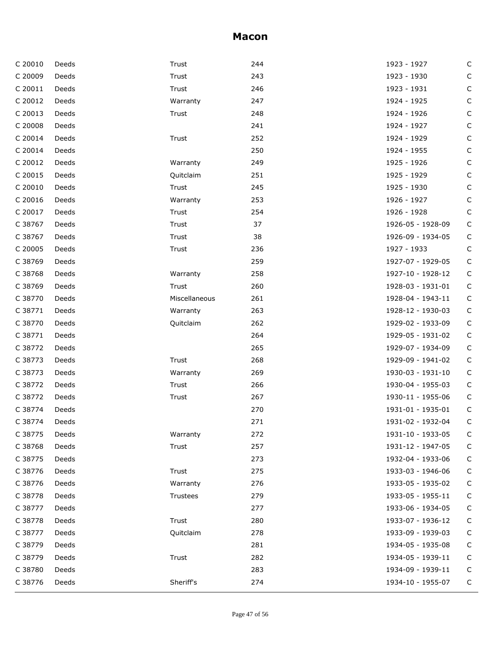| C 20010 | Deeds | Trust         | 244 | 1923 - 1927       | C           |
|---------|-------|---------------|-----|-------------------|-------------|
| C 20009 | Deeds | Trust         | 243 | 1923 - 1930       | С           |
| C 20011 | Deeds | Trust         | 246 | 1923 - 1931       | C           |
| C 20012 | Deeds | Warranty      | 247 | 1924 - 1925       | С           |
| C 20013 | Deeds | Trust         | 248 | 1924 - 1926       | C           |
| C 20008 | Deeds |               | 241 | 1924 - 1927       | С           |
| C 20014 | Deeds | Trust         | 252 | 1924 - 1929       | $\mathsf C$ |
| C 20014 | Deeds |               | 250 | 1924 - 1955       | С           |
| C 20012 | Deeds | Warranty      | 249 | 1925 - 1926       | С           |
| C 20015 | Deeds | Quitclaim     | 251 | 1925 - 1929       | C           |
| C 20010 | Deeds | Trust         | 245 | 1925 - 1930       | C           |
| C 20016 | Deeds | Warranty      | 253 | 1926 - 1927       | С           |
| C 20017 | Deeds | Trust         | 254 | 1926 - 1928       | $\mathsf C$ |
| C 38767 | Deeds | Trust         | 37  | 1926-05 - 1928-09 | $\mathsf C$ |
| C 38767 | Deeds | Trust         | 38  | 1926-09 - 1934-05 | $\mathsf C$ |
| C 20005 | Deeds | Trust         | 236 | 1927 - 1933       | $\mathsf C$ |
| C 38769 | Deeds |               | 259 | 1927-07 - 1929-05 | $\mathsf C$ |
| C 38768 | Deeds | Warranty      | 258 | 1927-10 - 1928-12 | $\mathsf C$ |
| C 38769 | Deeds | Trust         | 260 | 1928-03 - 1931-01 | $\mathsf C$ |
| C 38770 | Deeds | Miscellaneous | 261 | 1928-04 - 1943-11 | $\mathsf C$ |
| C 38771 | Deeds | Warranty      | 263 | 1928-12 - 1930-03 | $\mathsf C$ |
| C 38770 | Deeds | Quitclaim     | 262 | 1929-02 - 1933-09 | $\mathsf C$ |
| C 38771 | Deeds |               | 264 | 1929-05 - 1931-02 | $\mathsf C$ |
| C 38772 | Deeds |               | 265 | 1929-07 - 1934-09 | $\mathsf C$ |
| C 38773 | Deeds | Trust         | 268 | 1929-09 - 1941-02 | $\mathsf C$ |
| C 38773 | Deeds | Warranty      | 269 | 1930-03 - 1931-10 | $\mathsf C$ |
| C 38772 | Deeds | Trust         | 266 | 1930-04 - 1955-03 | $\mathsf C$ |
| C 38772 | Deeds | Trust         | 267 | 1930-11 - 1955-06 | $\mathsf C$ |
| C 38774 | Deeds |               | 270 | 1931-01 - 1935-01 | $\mathsf C$ |
| C 38774 | Deeds |               | 271 | 1931-02 - 1932-04 | $\mathsf C$ |
| C 38775 | Deeds | Warranty      | 272 | 1931-10 - 1933-05 | C           |
| C 38768 | Deeds | Trust         | 257 | 1931-12 - 1947-05 | C           |
| C 38775 | Deeds |               | 273 | 1932-04 - 1933-06 | C           |
| C 38776 | Deeds | Trust         | 275 | 1933-03 - 1946-06 | C           |
| C 38776 | Deeds | Warranty      | 276 | 1933-05 - 1935-02 | C           |
| C 38778 | Deeds | Trustees      | 279 | 1933-05 - 1955-11 | C           |
| C 38777 | Deeds |               | 277 | 1933-06 - 1934-05 | C           |
| C 38778 | Deeds | Trust         | 280 | 1933-07 - 1936-12 | C           |
| C 38777 | Deeds | Quitclaim     | 278 | 1933-09 - 1939-03 | C           |
| C 38779 | Deeds |               | 281 | 1934-05 - 1935-08 | C           |
| C 38779 | Deeds | Trust         | 282 | 1934-05 - 1939-11 | C           |
| C 38780 | Deeds |               | 283 | 1934-09 - 1939-11 | C           |
| C 38776 | Deeds | Sheriff's     | 274 | 1934-10 - 1955-07 | C           |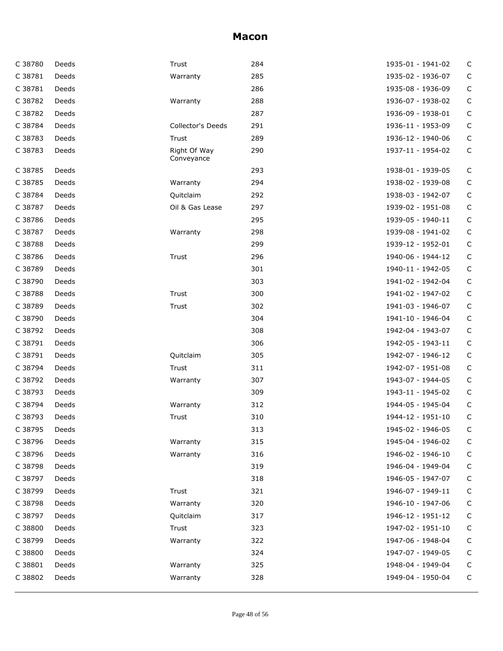| C 38780 | Deeds | Trust                      | 284 | 1935-01 - 1941-02 | C            |
|---------|-------|----------------------------|-----|-------------------|--------------|
| C 38781 | Deeds | Warranty                   | 285 | 1935-02 - 1936-07 | $\mathsf C$  |
| C 38781 | Deeds |                            | 286 | 1935-08 - 1936-09 | $\mathsf C$  |
| C 38782 | Deeds | Warranty                   | 288 | 1936-07 - 1938-02 | С            |
| C 38782 | Deeds |                            | 287 | 1936-09 - 1938-01 | $\mathsf C$  |
| C 38784 | Deeds | Collector's Deeds          | 291 | 1936-11 - 1953-09 | $\mathsf{C}$ |
| C 38783 | Deeds | Trust                      | 289 | 1936-12 - 1940-06 | $\mathsf{C}$ |
| C 38783 | Deeds | Right Of Way<br>Conveyance | 290 | 1937-11 - 1954-02 | $\mathsf C$  |
| C 38785 | Deeds |                            | 293 | 1938-01 - 1939-05 | С            |
| C 38785 | Deeds | Warranty                   | 294 | 1938-02 - 1939-08 | $\mathsf C$  |
| C 38784 | Deeds | Quitclaim                  | 292 | 1938-03 - 1942-07 | C            |
| C 38787 | Deeds | Oil & Gas Lease            | 297 | 1939-02 - 1951-08 | $\mathsf C$  |
| C 38786 | Deeds |                            | 295 | 1939-05 - 1940-11 | C            |
| C 38787 | Deeds | Warranty                   | 298 | 1939-08 - 1941-02 | $\mathsf C$  |
| C 38788 | Deeds |                            | 299 | 1939-12 - 1952-01 | C            |
| C 38786 | Deeds | Trust                      | 296 | 1940-06 - 1944-12 | $\mathsf C$  |
| C 38789 | Deeds |                            | 301 | 1940-11 - 1942-05 | С            |
| C 38790 | Deeds |                            | 303 | 1941-02 - 1942-04 | $\mathsf C$  |
| C 38788 | Deeds | Trust                      | 300 | 1941-02 - 1947-02 | $\mathsf C$  |
| C 38789 | Deeds | Trust                      | 302 | 1941-03 - 1946-07 | $\mathsf C$  |
| C 38790 | Deeds |                            | 304 | 1941-10 - 1946-04 | $\mathsf{C}$ |
| C 38792 | Deeds |                            | 308 | 1942-04 - 1943-07 | $\mathsf C$  |
| C 38791 | Deeds |                            | 306 | 1942-05 - 1943-11 | $\mathsf C$  |
| C 38791 | Deeds | Quitclaim                  | 305 | 1942-07 - 1946-12 | $\mathsf C$  |
| C 38794 | Deeds | Trust                      | 311 | 1942-07 - 1951-08 | $\mathsf{C}$ |
| C 38792 | Deeds | Warranty                   | 307 | 1943-07 - 1944-05 | $\mathsf C$  |
| C 38793 | Deeds |                            | 309 | 1943-11 - 1945-02 | $\mathsf C$  |
| C 38794 | Deeds | Warranty                   | 312 | 1944-05 - 1945-04 | C            |
| C 38793 | Deeds | Trust                      | 310 | 1944-12 - 1951-10 | $\mathsf{C}$ |
| C 38795 | Deeds |                            | 313 | 1945-02 - 1946-05 | $\mathsf C$  |
| C 38796 | Deeds | Warranty                   | 315 | 1945-04 - 1946-02 | C            |
| C 38796 | Deeds | Warranty                   | 316 | 1946-02 - 1946-10 | $\mathsf C$  |
| C 38798 | Deeds |                            | 319 | 1946-04 - 1949-04 | $\mathsf C$  |
| C 38797 | Deeds |                            | 318 | 1946-05 - 1947-07 | $\mathsf{C}$ |
| C 38799 | Deeds | Trust                      | 321 | 1946-07 - 1949-11 | С            |
| C 38798 | Deeds | Warranty                   | 320 | 1946-10 - 1947-06 | $\mathsf C$  |
| C 38797 | Deeds | Quitclaim                  | 317 | 1946-12 - 1951-12 | $\mathsf C$  |
| C 38800 | Deeds | Trust                      | 323 | 1947-02 - 1951-10 | $\mathsf{C}$ |
| C 38799 | Deeds | Warranty                   | 322 | 1947-06 - 1948-04 | С            |
| C 38800 | Deeds |                            | 324 | 1947-07 - 1949-05 | С            |
| C 38801 | Deeds | Warranty                   | 325 | 1948-04 - 1949-04 | $\mathsf C$  |
| C 38802 | Deeds | Warranty                   | 328 | 1949-04 - 1950-04 | $\mathsf C$  |
|         |       |                            |     |                   |              |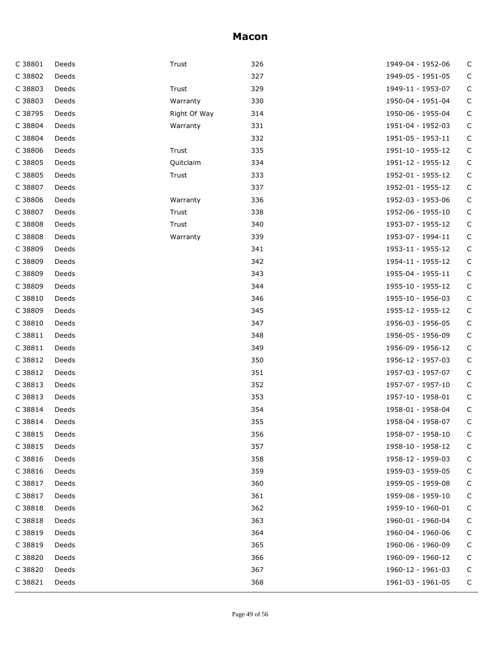| C 38801 | Deeds | Trust        | 326 | 1949-04 - 1952-06 | C           |
|---------|-------|--------------|-----|-------------------|-------------|
| C 38802 | Deeds |              | 327 | 1949-05 - 1951-05 | С           |
| C 38803 | Deeds | Trust        | 329 | 1949-11 - 1953-07 | C           |
| C 38803 | Deeds | Warranty     | 330 | 1950-04 - 1951-04 | C           |
| C 38795 | Deeds | Right Of Way | 314 | 1950-06 - 1955-04 | C           |
| C 38804 | Deeds | Warranty     | 331 | 1951-04 - 1952-03 | $\mathsf C$ |
| C 38804 | Deeds |              | 332 | 1951-05 - 1953-11 | $\mathsf C$ |
| C 38806 | Deeds | Trust        | 335 | 1951-10 - 1955-12 | С           |
| C 38805 | Deeds | Quitclaim    | 334 | 1951-12 - 1955-12 | $\mathsf C$ |
| C 38805 | Deeds | Trust        | 333 | 1952-01 - 1955-12 | $\mathsf C$ |
| C 38807 | Deeds |              | 337 | 1952-01 - 1955-12 | $\mathsf C$ |
| C 38806 | Deeds | Warranty     | 336 | 1952-03 - 1953-06 | C           |
| C 38807 | Deeds | Trust        | 338 | 1952-06 - 1955-10 | $\mathsf C$ |
| C 38808 | Deeds | Trust        | 340 | 1953-07 - 1955-12 | C           |
| C 38808 | Deeds | Warranty     | 339 | 1953-07 - 1994-11 | $\mathsf C$ |
| C 38809 | Deeds |              | 341 | 1953-11 - 1955-12 | С           |
| C 38809 | Deeds |              | 342 | 1954-11 - 1955-12 | $\mathsf C$ |
| C 38809 | Deeds |              | 343 | 1955-04 - 1955-11 | C           |
| C 38809 | Deeds |              | 344 | 1955-10 - 1955-12 | $\mathsf C$ |
| C 38810 | Deeds |              | 346 | 1955-10 - 1956-03 | $\mathsf C$ |
| C 38809 | Deeds |              | 345 | 1955-12 - 1955-12 | $\mathsf C$ |
| C 38810 | Deeds |              | 347 | 1956-03 - 1956-05 | $\mathsf C$ |
| C 38811 | Deeds |              | 348 | 1956-05 - 1956-09 | $\mathsf C$ |
| C 38811 | Deeds |              | 349 | 1956-09 - 1956-12 | С           |
| C 38812 | Deeds |              | 350 | 1956-12 - 1957-03 | $\mathsf C$ |
| C 38812 | Deeds |              | 351 | 1957-03 - 1957-07 | $\mathsf C$ |
| C 38813 | Deeds |              | 352 | 1957-07 - 1957-10 | C           |
| C 38813 | Deeds |              | 353 | 1957-10 - 1958-01 | С           |
| C 38814 | Deeds |              | 354 | 1958-01 - 1958-04 | $\mathsf C$ |
| C 38814 | Deeds |              | 355 | 1958-04 - 1958-07 | С           |
| C 38815 | Deeds |              | 356 | 1958-07 - 1958-10 | С           |
| C 38815 | Deeds |              | 357 | 1958-10 - 1958-12 | С           |
| C 38816 | Deeds |              | 358 | 1958-12 - 1959-03 | C           |
| C 38816 | Deeds |              | 359 | 1959-03 - 1959-05 | С           |
| C 38817 | Deeds |              | 360 | 1959-05 - 1959-08 | С           |
| C 38817 | Deeds |              | 361 | 1959-08 - 1959-10 | С           |
| C 38818 | Deeds |              | 362 | 1959-10 - 1960-01 | С           |
| C 38818 | Deeds |              | 363 | 1960-01 - 1960-04 | С           |
| C 38819 | Deeds |              | 364 | 1960-04 - 1960-06 | С           |
| C 38819 | Deeds |              | 365 | 1960-06 - 1960-09 | С           |
| C 38820 | Deeds |              | 366 | 1960-09 - 1960-12 | С           |
| C 38820 | Deeds |              | 367 | 1960-12 - 1961-03 | C           |
| C 38821 | Deeds |              | 368 | 1961-03 - 1961-05 | C           |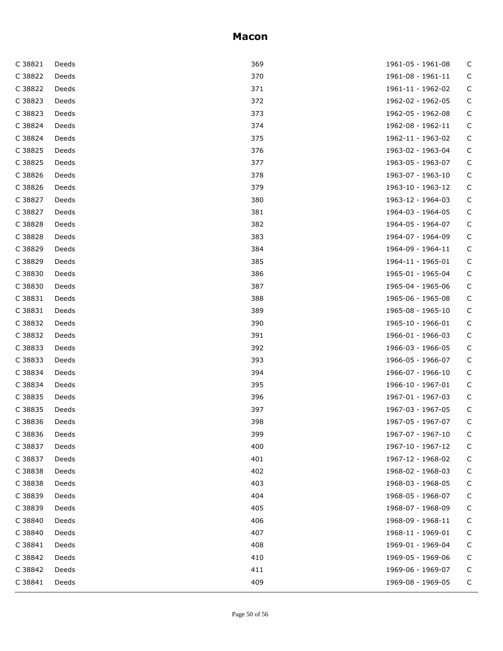| C 38821 | Deeds | 369 | 1961-05 - 1961-08 | С           |
|---------|-------|-----|-------------------|-------------|
| C 38822 | Deeds | 370 | 1961-08 - 1961-11 | C           |
| C 38822 | Deeds | 371 | 1961-11 - 1962-02 | С           |
| C 38823 | Deeds | 372 | 1962-02 - 1962-05 | С           |
| C 38823 | Deeds | 373 | 1962-05 - 1962-08 | С           |
| C 38824 | Deeds | 374 | 1962-08 - 1962-11 | C           |
| C 38824 | Deeds | 375 | 1962-11 - 1963-02 | С           |
| C 38825 | Deeds | 376 | 1963-02 - 1963-04 | C           |
| C 38825 | Deeds | 377 | 1963-05 - 1963-07 | C           |
| C 38826 | Deeds | 378 | 1963-07 - 1963-10 | $\mathsf C$ |
| C 38826 | Deeds | 379 | 1963-10 - 1963-12 | С           |
| C 38827 | Deeds | 380 | 1963-12 - 1964-03 | C           |
| C 38827 | Deeds | 381 | 1964-03 - 1964-05 | C           |
| C 38828 | Deeds | 382 | 1964-05 - 1964-07 | С           |
| C 38828 | Deeds | 383 | 1964-07 - 1964-09 | С           |
| C 38829 | Deeds | 384 | 1964-09 - 1964-11 | $\mathsf C$ |
| C 38829 | Deeds | 385 | 1964-11 - 1965-01 | C           |
| C 38830 | Deeds | 386 | 1965-01 - 1965-04 | C           |
| C 38830 | Deeds | 387 | 1965-04 - 1965-06 | C           |
| C 38831 | Deeds | 388 | 1965-06 - 1965-08 | $\mathsf C$ |
| C 38831 | Deeds | 389 | 1965-08 - 1965-10 | C           |
| C 38832 | Deeds | 390 | 1965-10 - 1966-01 | $\mathsf C$ |
| C 38832 | Deeds | 391 | 1966-01 - 1966-03 | С           |
| C 38833 | Deeds | 392 | 1966-03 - 1966-05 | C           |
| C 38833 | Deeds | 393 | 1966-05 - 1966-07 | C           |
| C 38834 | Deeds | 394 | 1966-07 - 1966-10 | С           |
| C 38834 | Deeds | 395 | 1966-10 - 1967-01 | C           |
| C 38835 | Deeds | 396 | 1967-01 - 1967-03 | C           |
| C 38835 | Deeds | 397 | 1967-03 - 1967-05 | C           |
| C 38836 | Deeds | 398 | 1967-05 - 1967-07 | C           |
| C 38836 | Deeds | 399 | 1967-07 - 1967-10 | C           |
| C 38837 | Deeds | 400 | 1967-10 - 1967-12 | C           |
| C 38837 | Deeds | 401 | 1967-12 - 1968-02 | С           |
| C 38838 | Deeds | 402 | 1968-02 - 1968-03 | С           |
| C 38838 | Deeds | 403 | 1968-03 - 1968-05 | С           |
| C 38839 | Deeds | 404 | 1968-05 - 1968-07 | С           |
| C 38839 | Deeds | 405 | 1968-07 - 1968-09 | С           |
| C 38840 | Deeds | 406 | 1968-09 - 1968-11 | С           |
| C 38840 | Deeds | 407 | 1968-11 - 1969-01 | С           |
| C 38841 | Deeds | 408 | 1969-01 - 1969-04 | С           |
| C 38842 | Deeds | 410 | 1969-05 - 1969-06 | C           |
| C 38842 | Deeds | 411 | 1969-06 - 1969-07 | С           |
| C 38841 | Deeds | 409 | 1969-08 - 1969-05 | C           |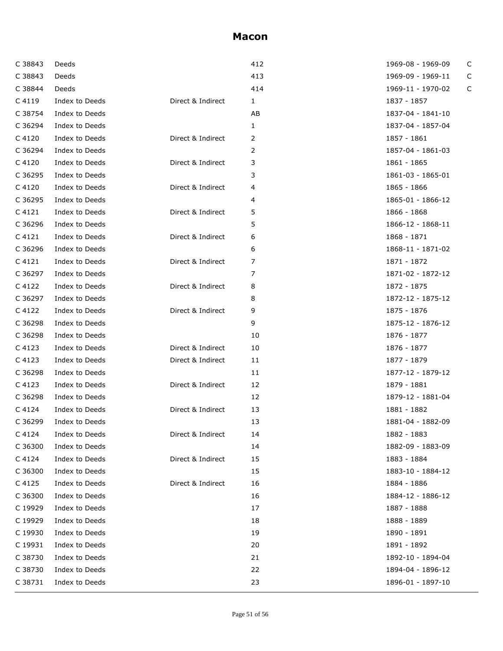| C 38843 | Deeds          |                   | 412 | 1969-08 - 1969-09 | C |
|---------|----------------|-------------------|-----|-------------------|---|
| C 38843 | Deeds          |                   | 413 | 1969-09 - 1969-11 | C |
| C 38844 | Deeds          |                   | 414 | 1969-11 - 1970-02 | C |
| C 4119  | Index to Deeds | Direct & Indirect | 1   | 1837 - 1857       |   |
| C 38754 | Index to Deeds |                   | AB  | 1837-04 - 1841-10 |   |
| C 36294 | Index to Deeds |                   | 1   | 1837-04 - 1857-04 |   |
| C 4120  | Index to Deeds | Direct & Indirect | 2   | 1857 - 1861       |   |
| C 36294 | Index to Deeds |                   | 2   | 1857-04 - 1861-03 |   |
| C 4120  | Index to Deeds | Direct & Indirect | 3   | 1861 - 1865       |   |
| C 36295 | Index to Deeds |                   | 3   | 1861-03 - 1865-01 |   |
| C 4120  | Index to Deeds | Direct & Indirect | 4   | 1865 - 1866       |   |
| C 36295 | Index to Deeds |                   | 4   | 1865-01 - 1866-12 |   |
| C 4121  | Index to Deeds | Direct & Indirect | 5   | 1866 - 1868       |   |
| C 36296 | Index to Deeds |                   | 5   | 1866-12 - 1868-11 |   |
| C 4121  | Index to Deeds | Direct & Indirect | 6   | 1868 - 1871       |   |
| C 36296 | Index to Deeds |                   | 6   | 1868-11 - 1871-02 |   |
| C 4121  | Index to Deeds | Direct & Indirect | 7   | 1871 - 1872       |   |
| C 36297 | Index to Deeds |                   | 7   | 1871-02 - 1872-12 |   |
| C 4122  | Index to Deeds | Direct & Indirect | 8   | 1872 - 1875       |   |
| C 36297 | Index to Deeds |                   | 8   | 1872-12 - 1875-12 |   |
| C 4122  | Index to Deeds | Direct & Indirect | 9   | 1875 - 1876       |   |
| C 36298 | Index to Deeds |                   | 9   | 1875-12 - 1876-12 |   |
| C 36298 | Index to Deeds |                   | 10  | 1876 - 1877       |   |
| C 4123  | Index to Deeds | Direct & Indirect | 10  | 1876 - 1877       |   |
| C 4123  | Index to Deeds | Direct & Indirect | 11  | 1877 - 1879       |   |
| C 36298 | Index to Deeds |                   | 11  | 1877-12 - 1879-12 |   |
| C 4123  | Index to Deeds | Direct & Indirect | 12  | 1879 - 1881       |   |
| C 36298 | Index to Deeds |                   | 12  | 1879-12 - 1881-04 |   |
| C 4124  | Index to Deeds | Direct & Indirect | 13  | 1881 - 1882       |   |
| C 36299 | Index to Deeds |                   | 13  | 1881-04 - 1882-09 |   |
| C 4124  | Index to Deeds | Direct & Indirect | 14  | 1882 - 1883       |   |
| C 36300 | Index to Deeds |                   | 14  | 1882-09 - 1883-09 |   |
| C 4124  | Index to Deeds | Direct & Indirect | 15  | 1883 - 1884       |   |
| C 36300 | Index to Deeds |                   | 15  | 1883-10 - 1884-12 |   |
| C 4125  | Index to Deeds | Direct & Indirect | 16  | 1884 - 1886       |   |
| C 36300 | Index to Deeds |                   | 16  | 1884-12 - 1886-12 |   |
| C 19929 | Index to Deeds |                   | 17  | 1887 - 1888       |   |
| C 19929 | Index to Deeds |                   | 18  | 1888 - 1889       |   |
| C 19930 | Index to Deeds |                   | 19  | 1890 - 1891       |   |
| C 19931 | Index to Deeds |                   | 20  | 1891 - 1892       |   |
| C 38730 | Index to Deeds |                   | 21  | 1892-10 - 1894-04 |   |
| C 38730 | Index to Deeds |                   | 22  | 1894-04 - 1896-12 |   |
| C 38731 | Index to Deeds |                   | 23  | 1896-01 - 1897-10 |   |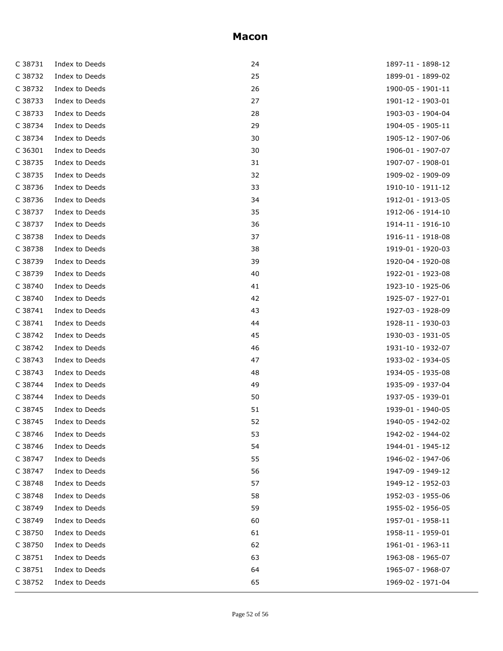| C 38731 | Index to Deeds | 24 | 1897-11 - 1898-12 |
|---------|----------------|----|-------------------|
| C 38732 | Index to Deeds | 25 | 1899-01 - 1899-02 |
| C 38732 | Index to Deeds | 26 | 1900-05 - 1901-11 |
| C 38733 | Index to Deeds | 27 | 1901-12 - 1903-01 |
| C 38733 | Index to Deeds | 28 | 1903-03 - 1904-04 |
| C 38734 | Index to Deeds | 29 | 1904-05 - 1905-11 |
| C 38734 | Index to Deeds | 30 | 1905-12 - 1907-06 |
| C 36301 | Index to Deeds | 30 | 1906-01 - 1907-07 |
| C 38735 | Index to Deeds | 31 | 1907-07 - 1908-01 |
| C 38735 | Index to Deeds | 32 | 1909-02 - 1909-09 |
| C 38736 | Index to Deeds | 33 | 1910-10 - 1911-12 |
| C 38736 | Index to Deeds | 34 | 1912-01 - 1913-05 |
| C 38737 | Index to Deeds | 35 | 1912-06 - 1914-10 |
| C 38737 | Index to Deeds | 36 | 1914-11 - 1916-10 |
| C 38738 | Index to Deeds | 37 | 1916-11 - 1918-08 |
| C 38738 | Index to Deeds | 38 | 1919-01 - 1920-03 |
| C 38739 | Index to Deeds | 39 | 1920-04 - 1920-08 |
| C 38739 | Index to Deeds | 40 | 1922-01 - 1923-08 |
| C 38740 | Index to Deeds | 41 | 1923-10 - 1925-06 |
| C 38740 | Index to Deeds | 42 | 1925-07 - 1927-01 |
| C 38741 | Index to Deeds | 43 | 1927-03 - 1928-09 |
| C 38741 | Index to Deeds | 44 | 1928-11 - 1930-03 |
| C 38742 | Index to Deeds | 45 | 1930-03 - 1931-05 |
| C 38742 | Index to Deeds | 46 | 1931-10 - 1932-07 |
| C 38743 | Index to Deeds | 47 | 1933-02 - 1934-05 |
| C 38743 | Index to Deeds | 48 | 1934-05 - 1935-08 |
| C 38744 | Index to Deeds | 49 | 1935-09 - 1937-04 |
| C 38744 | Index to Deeds | 50 | 1937-05 - 1939-01 |
| C 38745 | Index to Deeds | 51 | 1939-01 - 1940-05 |
| C 38745 | Index to Deeds | 52 | 1940-05 - 1942-02 |
| C 38746 | Index to Deeds | 53 | 1942-02 - 1944-02 |
| C 38746 | Index to Deeds | 54 | 1944-01 - 1945-12 |
| C 38747 | Index to Deeds | 55 | 1946-02 - 1947-06 |
| C 38747 | Index to Deeds | 56 | 1947-09 - 1949-12 |
| C 38748 | Index to Deeds | 57 | 1949-12 - 1952-03 |
| C 38748 | Index to Deeds | 58 | 1952-03 - 1955-06 |
| C 38749 | Index to Deeds | 59 | 1955-02 - 1956-05 |
| C 38749 | Index to Deeds | 60 | 1957-01 - 1958-11 |
| C 38750 | Index to Deeds | 61 | 1958-11 - 1959-01 |
| C 38750 | Index to Deeds | 62 | 1961-01 - 1963-11 |
| C 38751 | Index to Deeds | 63 | 1963-08 - 1965-07 |
| C 38751 | Index to Deeds | 64 | 1965-07 - 1968-07 |
| C 38752 | Index to Deeds | 65 | 1969-02 - 1971-04 |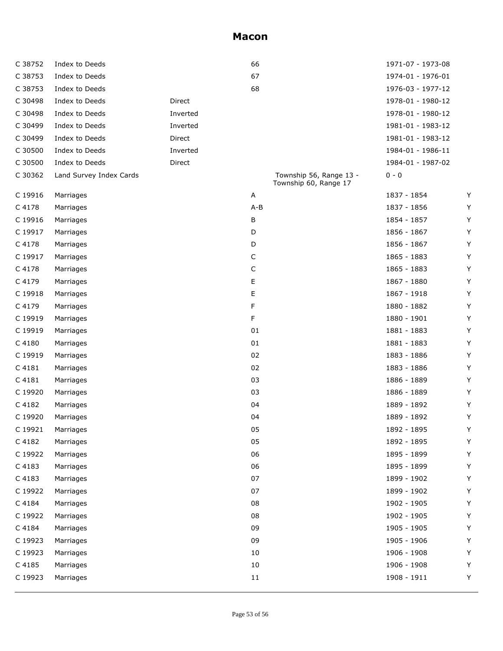| C 38752 | Index to Deeds          |          | 66      |                                                  | 1971-07 - 1973-08 |   |
|---------|-------------------------|----------|---------|--------------------------------------------------|-------------------|---|
| C 38753 | Index to Deeds          |          | 67      |                                                  | 1974-01 - 1976-01 |   |
| C 38753 | Index to Deeds          |          | 68      |                                                  | 1976-03 - 1977-12 |   |
| C 30498 | Index to Deeds          | Direct   |         |                                                  | 1978-01 - 1980-12 |   |
| C 30498 | Index to Deeds          | Inverted |         |                                                  | 1978-01 - 1980-12 |   |
| C 30499 | Index to Deeds          | Inverted |         |                                                  | 1981-01 - 1983-12 |   |
| C 30499 | Index to Deeds          | Direct   |         |                                                  | 1981-01 - 1983-12 |   |
| C 30500 | Index to Deeds          | Inverted |         |                                                  | 1984-01 - 1986-11 |   |
| C 30500 | Index to Deeds          | Direct   |         |                                                  | 1984-01 - 1987-02 |   |
| C 30362 | Land Survey Index Cards |          |         | Township 56, Range 13 -<br>Township 60, Range 17 | $0 - 0$           |   |
| C 19916 | Marriages               |          | Α       |                                                  | 1837 - 1854       | Y |
| C 4178  | Marriages               |          | $A - B$ |                                                  | 1837 - 1856       | Y |
| C 19916 | Marriages               |          | В       |                                                  | 1854 - 1857       | Y |
| C 19917 | Marriages               |          | D       |                                                  | 1856 - 1867       | Y |
| C 4178  | Marriages               |          | D       |                                                  | 1856 - 1867       | Y |
| C 19917 | Marriages               |          | С       |                                                  | 1865 - 1883       | Y |
| C 4178  | Marriages               |          | С       |                                                  | 1865 - 1883       | Y |
| C 4179  | Marriages               |          | Е       |                                                  | 1867 - 1880       | Y |
| C 19918 | Marriages               |          | Ε       |                                                  | 1867 - 1918       | Y |
| C 4179  | Marriages               |          | F       |                                                  | 1880 - 1882       | Y |
| C 19919 | Marriages               |          | F       |                                                  | 1880 - 1901       | Y |
| C 19919 | Marriages               |          | 01      |                                                  | 1881 - 1883       | Y |
| C 4180  | Marriages               |          | 01      |                                                  | 1881 - 1883       | Y |
| C 19919 | Marriages               |          | 02      |                                                  | 1883 - 1886       | Y |
| C 4181  | Marriages               |          | 02      |                                                  | 1883 - 1886       | Y |
| C 4181  | Marriages               |          | 03      |                                                  | 1886 - 1889       | Y |
| C 19920 | Marriages               |          | 03      |                                                  | 1886 - 1889       | Y |
| C 4182  | Marriages               |          | 04      |                                                  | 1889 - 1892       | Y |
| C 19920 | Marriages               |          | 04      |                                                  | 1889 - 1892       | Y |
| C 19921 | Marriages               |          | 05      |                                                  | 1892 - 1895       | Y |
| C 4182  | Marriages               |          | 05      |                                                  | 1892 - 1895       | Y |
| C 19922 | Marriages               |          | 06      |                                                  | 1895 - 1899       | Y |
| C 4183  | Marriages               |          | 06      |                                                  | 1895 - 1899       | Y |
| C 4183  | Marriages               |          | 07      |                                                  | 1899 - 1902       | Y |
| C 19922 | Marriages               |          | 07      |                                                  | 1899 - 1902       | Y |
| C 4184  | Marriages               |          | 08      |                                                  | 1902 - 1905       | Υ |
| C 19922 | Marriages               |          | 08      |                                                  | 1902 - 1905       | Y |
| C 4184  | Marriages               |          | 09      |                                                  | 1905 - 1905       | Y |
| C 19923 | Marriages               |          | 09      |                                                  | 1905 - 1906       | Y |
| C 19923 | Marriages               |          | 10      |                                                  | 1906 - 1908       | Υ |
| C 4185  | Marriages               |          | 10      |                                                  | 1906 - 1908       | Y |
| C 19923 | Marriages               |          | 11      |                                                  | 1908 - 1911       | Y |
|         |                         |          |         |                                                  |                   |   |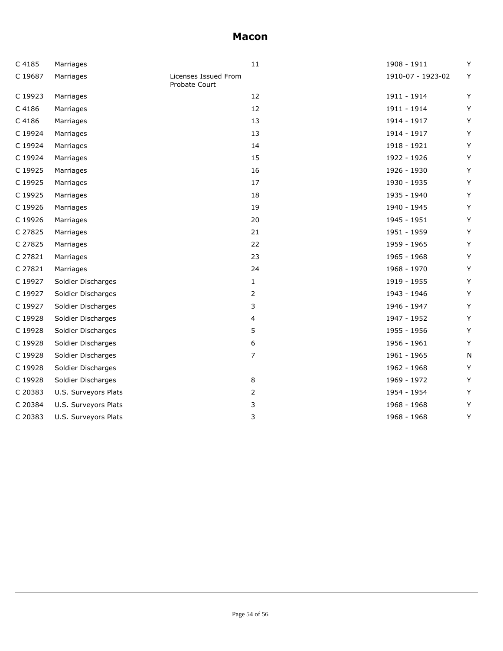| C 4185  | Marriages            |                                       | 11             | 1908 - 1911       | Y |
|---------|----------------------|---------------------------------------|----------------|-------------------|---|
| C 19687 | Marriages            | Licenses Issued From<br>Probate Court |                | 1910-07 - 1923-02 | Y |
| C 19923 | Marriages            |                                       | 12             | 1911 - 1914       | Y |
| C 4186  | Marriages            |                                       | 12             | 1911 - 1914       | Y |
| C 4186  | Marriages            |                                       | 13             | 1914 - 1917       | Υ |
| C 19924 | Marriages            |                                       | 13             | 1914 - 1917       | Y |
| C 19924 | Marriages            |                                       | 14             | 1918 - 1921       | Y |
| C 19924 | Marriages            |                                       | 15             | 1922 - 1926       | Y |
| C 19925 | Marriages            |                                       | 16             | 1926 - 1930       | Y |
| C 19925 | Marriages            |                                       | 17             | 1930 - 1935       | Υ |
| C 19925 | Marriages            |                                       | 18             | 1935 - 1940       | Υ |
| C 19926 | Marriages            |                                       | 19             | 1940 - 1945       | Y |
| C 19926 | Marriages            |                                       | 20             | 1945 - 1951       | Y |
| C 27825 | Marriages            |                                       | 21             | 1951 - 1959       | Y |
| C 27825 | Marriages            |                                       | 22             | 1959 - 1965       | Y |
| C 27821 | Marriages            |                                       | 23             | 1965 - 1968       | Υ |
| C 27821 | Marriages            |                                       | 24             | 1968 - 1970       | Υ |
| C 19927 | Soldier Discharges   |                                       | $\mathbf{1}$   | 1919 - 1955       | Y |
| C 19927 | Soldier Discharges   |                                       | 2              | 1943 - 1946       | Υ |
| C 19927 | Soldier Discharges   |                                       | 3              | 1946 - 1947       | Y |
| C 19928 | Soldier Discharges   |                                       | 4              | 1947 - 1952       | Υ |
| C 19928 | Soldier Discharges   |                                       | 5              | 1955 - 1956       | Y |
| C 19928 | Soldier Discharges   |                                       | 6              | 1956 - 1961       | Y |
| C 19928 | Soldier Discharges   |                                       | $\overline{7}$ | 1961 - 1965       | N |
| C 19928 | Soldier Discharges   |                                       |                | 1962 - 1968       | Y |
| C 19928 | Soldier Discharges   |                                       | 8              | 1969 - 1972       | Y |
| C 20383 | U.S. Surveyors Plats |                                       | 2              | 1954 - 1954       | Y |
| C 20384 | U.S. Surveyors Plats |                                       | 3              | 1968 - 1968       | Y |
| C 20383 | U.S. Surveyors Plats |                                       | 3              | 1968 - 1968       | Υ |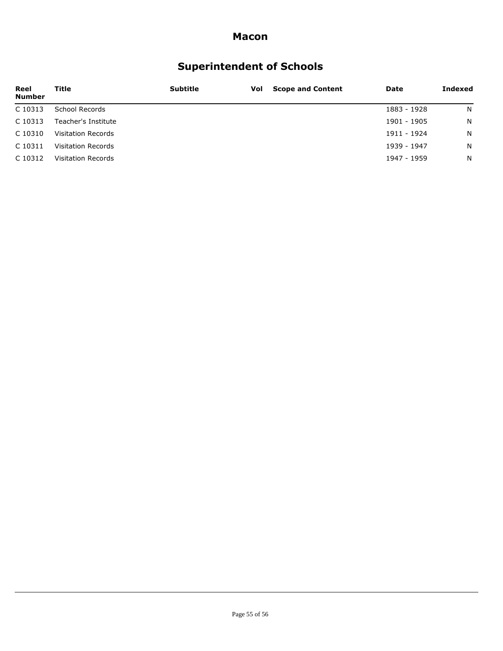# **Superintendent of Schools**

| Reel<br><b>Number</b> | Title                     | <b>Subtitle</b> | Vol | <b>Scope and Content</b> | Date        | Indexed |
|-----------------------|---------------------------|-----------------|-----|--------------------------|-------------|---------|
| C 10313               | School Records            |                 |     |                          | 1883 - 1928 | N       |
| C 10313               | Teacher's Institute       |                 |     |                          | 1901 - 1905 | N       |
| C 10310               | Visitation Records        |                 |     |                          | 1911 - 1924 | N.      |
| C 10311               | <b>Visitation Records</b> |                 |     |                          | 1939 - 1947 | N       |
| C 10312               | Visitation Records        |                 |     |                          | 1947 - 1959 | N       |